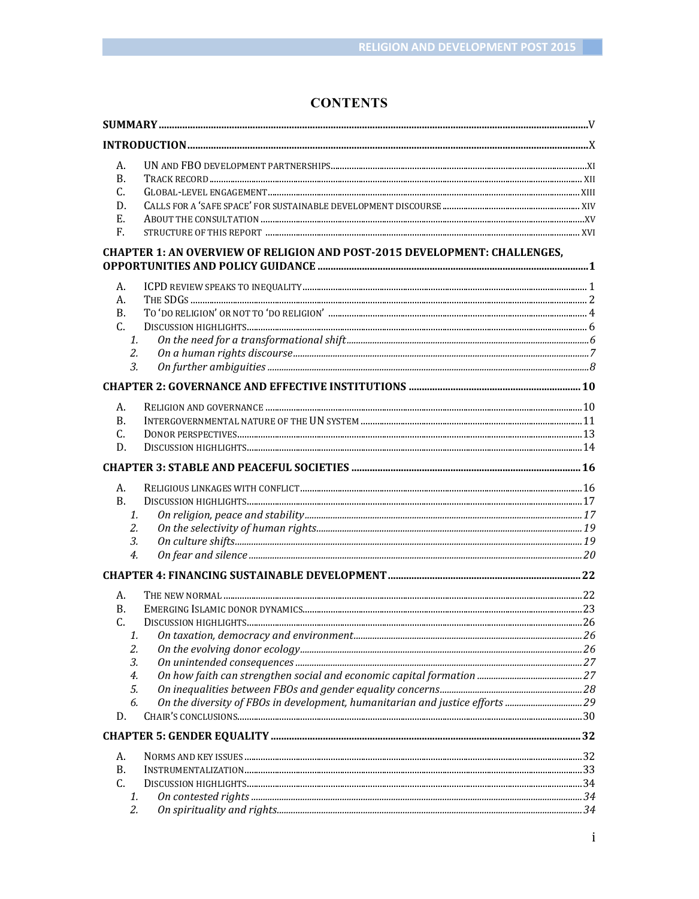# **CONTENTS**

| А.                                                                                 |  |
|------------------------------------------------------------------------------------|--|
| <b>B.</b>                                                                          |  |
| C.                                                                                 |  |
| D.                                                                                 |  |
| E.                                                                                 |  |
| F.                                                                                 |  |
| CHAPTER 1: AN OVERVIEW OF RELIGION AND POST-2015 DEVELOPMENT: CHALLENGES,          |  |
| А.                                                                                 |  |
| А.                                                                                 |  |
| B.                                                                                 |  |
| C.                                                                                 |  |
| 1.                                                                                 |  |
| 2.                                                                                 |  |
| 3.                                                                                 |  |
|                                                                                    |  |
| A.                                                                                 |  |
| B.                                                                                 |  |
| С.                                                                                 |  |
| D.                                                                                 |  |
|                                                                                    |  |
| А.                                                                                 |  |
| <b>B.</b>                                                                          |  |
| 1.                                                                                 |  |
| 2.                                                                                 |  |
| 3.                                                                                 |  |
| 4.                                                                                 |  |
|                                                                                    |  |
| А.                                                                                 |  |
| B.                                                                                 |  |
| C.                                                                                 |  |
| 1.                                                                                 |  |
| 2.                                                                                 |  |
| 3.                                                                                 |  |
| 4.                                                                                 |  |
| 5.                                                                                 |  |
| On the diversity of FBOs in development, humanitarian and justice efforts 29<br>б. |  |
| D.                                                                                 |  |
|                                                                                    |  |
| А.                                                                                 |  |
| B.                                                                                 |  |
| C.                                                                                 |  |
| 1.                                                                                 |  |
| 2.                                                                                 |  |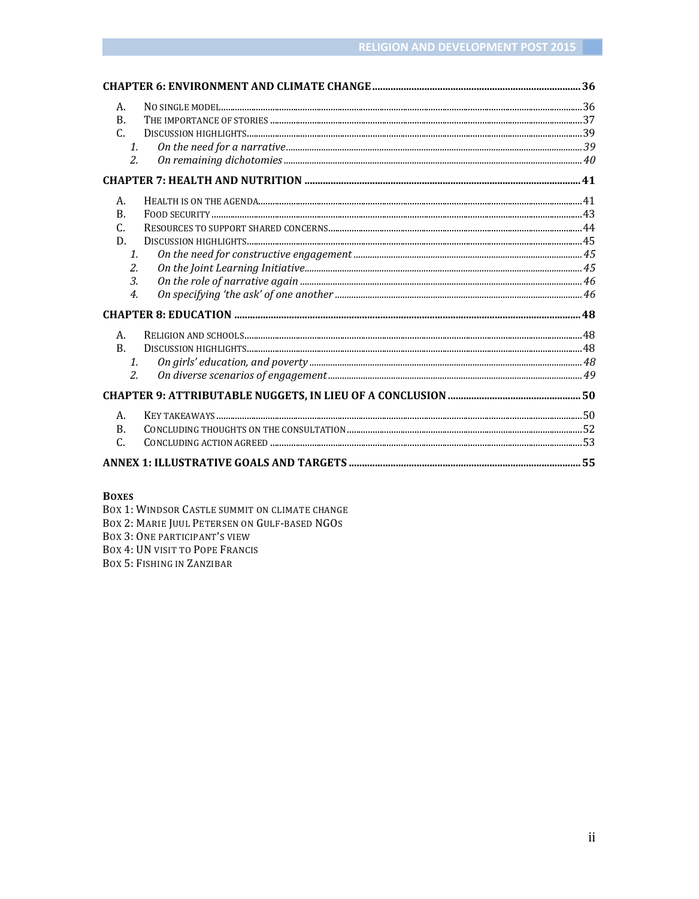| А.             |  |
|----------------|--|
| $\mathbf{B}$   |  |
| $\mathcal{C}$  |  |
| 1.             |  |
| 2.5            |  |
|                |  |
| А.             |  |
| $\mathbf{B}$   |  |
| С.             |  |
| D.             |  |
| 1.             |  |
| 2.5            |  |
| 3.             |  |
| $\overline{4}$ |  |
|                |  |
| А.             |  |
| $\mathbf{B}$ . |  |
| 1.             |  |
| 2.5            |  |
|                |  |
| А.             |  |
| $\mathbf{B}$   |  |
| C.             |  |
|                |  |

**BOXES** 

BOX 1: WINDSOR CASTLE SUMMIT ON CLIMATE CHANGE BOX 2: MARIE JUUL PETERSEN ON GULF-BASED NGOS **BOX 3: ONE PARTICIPANT'S VIEW BOX 4: UN VISIT TO POPE FRANCIS** 

**BOX 5: FISHING IN ZANZIBAR**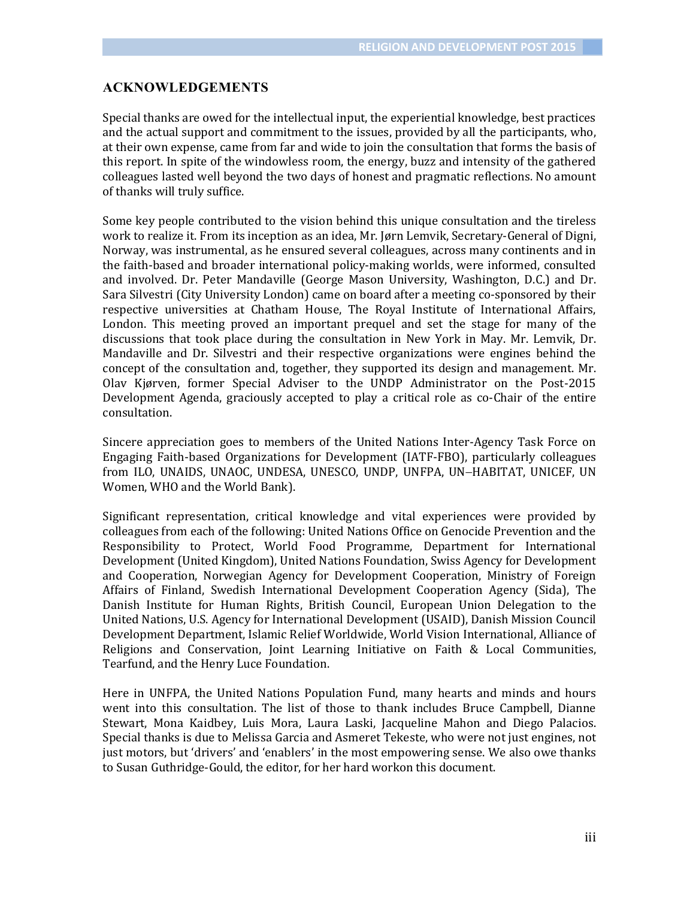#### **ACKNOWLEDGEMENTS**

Special thanks are owed for the intellectual input, the experiential knowledge, best practices and the actual support and commitment to the issues, provided by all the participants, who, at their own expense, came from far and wide to join the consultation that forms the basis of this report. In spite of the windowless room, the energy, buzz and intensity of the gathered colleagues lasted well beyond the two days of honest and pragmatic reflections. No amount of thanks will truly suffice.

Some key people contributed to the vision behind this unique consultation and the tireless work to realize it. From its inception as an idea, Mr. Jørn Lemvik, Secretary-General of Digni, Norway, was instrumental, as he ensured several colleagues, across many continents and in the faith-based and broader international policy-making worlds, were informed, consulted and involved. Dr. Peter Mandaville (George Mason University, Washington, D.C.) and Dr. Sara Silvestri (City University London) came on board after a meeting co-sponsored by their respective universities at Chatham House, The Royal Institute of International Affairs, London. This meeting proved an important prequel and set the stage for many of the discussions that took place during the consultation in New York in May. Mr. Lemvik, Dr. Mandaville and Dr. Silvestri and their respective organizations were engines behind the concept of the consultation and, together, they supported its design and management. Mr. Olav Kjørven, former Special Adviser to the UNDP Administrator on the Post-2015 Development Agenda, graciously accepted to play a critical role as co-Chair of the entire consultation.

Sincere appreciation goes to members of the United Nations Inter-Agency Task Force on Engaging Faith-based Organizations for Development (IATF-FBO), particularly colleagues from ILO, UNAIDS, UNAOC, UNDESA, UNESCO, UNDP, UNFPA, UNHABITAT, UNICEF, UN Women, WHO and the World Bank).

Significant representation, critical knowledge and vital experiences were provided by colleagues from each of the following: United Nations Office on Genocide Prevention and the Responsibility to Protect, World Food Programme, Department for International Development (United Kingdom), United Nations Foundation, Swiss Agency for Development and Cooperation, Norwegian Agency for Development Cooperation, Ministry of Foreign Affairs of Finland, Swedish International Development Cooperation Agency (Sida), The Danish Institute for Human Rights, British Council, European Union Delegation to the United Nations, U.S. Agency for International Development (USAID), Danish Mission Council Development Department, Islamic Relief Worldwide, World Vision International, Alliance of Religions and Conservation, Joint Learning Initiative on Faith & Local Communities, Tearfund, and the Henry Luce Foundation.

Here in UNFPA, the United Nations Population Fund, many hearts and minds and hours went into this consultation. The list of those to thank includes Bruce Campbell, Dianne Stewart, Mona Kaidbey, Luis Mora, Laura Laski, Jacqueline Mahon and Diego Palacios. Special thanks is due to Melissa Garcia and Asmeret Tekeste, who were not just engines, not just motors, but 'drivers' and 'enablers' in the most empowering sense. We also owe thanks to Susan Guthridge-Gould, the editor, for her hard workon this document.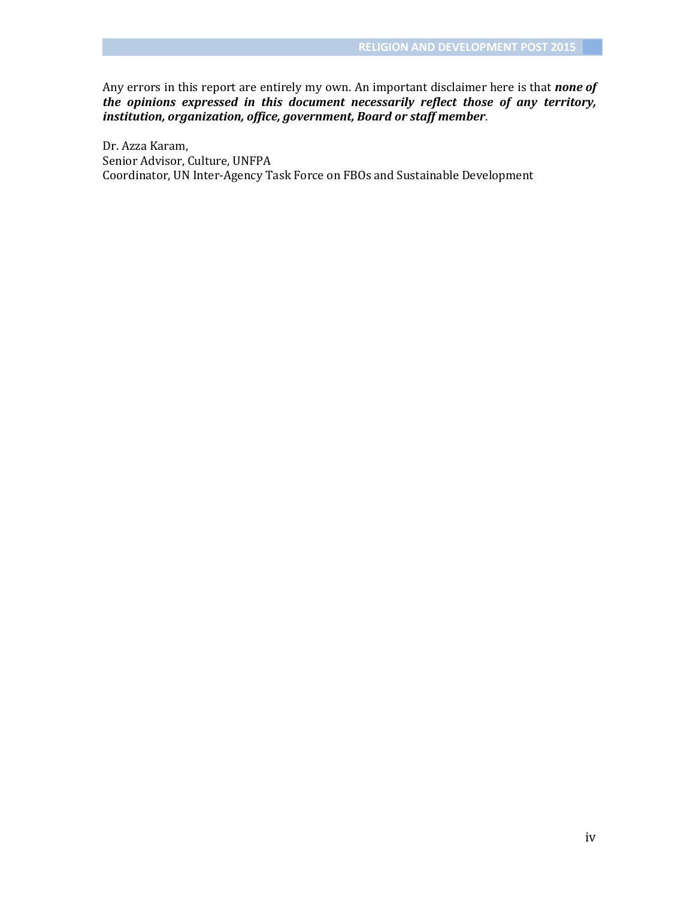Any errors in this report are entirely my own. An important disclaimer here is that *none of the opinions expressed in this document necessarily reflect those of any territory, institution, organization, office, government, Board or staff member*.

Dr. Azza Karam, Senior Advisor, Culture, UNFPA Coordinator, UN Inter-Agency Task Force on FBOs and Sustainable Development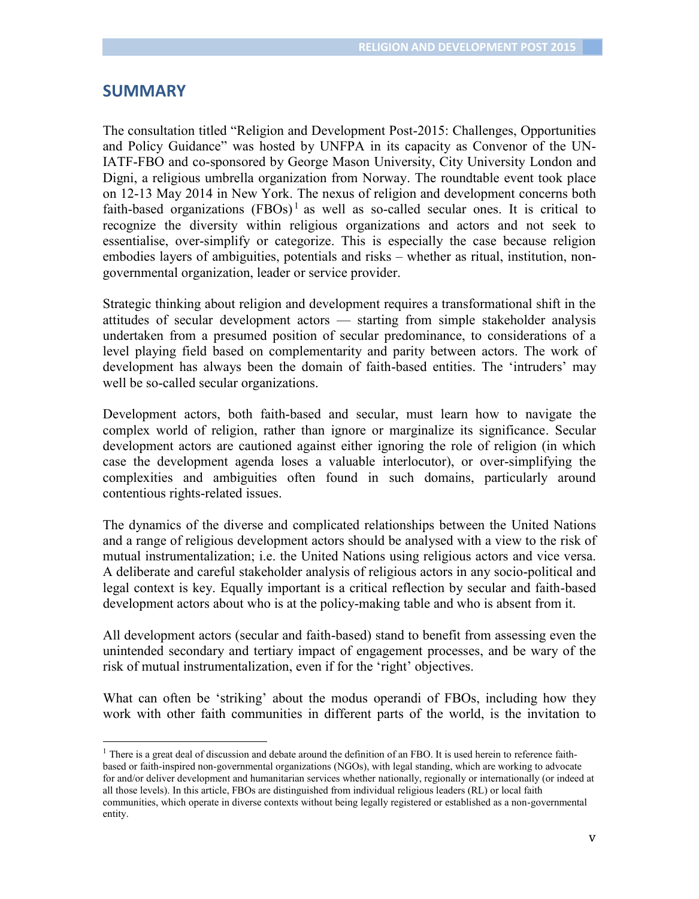# **SUMMARY**

The consultation titled "Religion and Development Post-2015: Challenges, Opportunities and Policy Guidance" was hosted by UNFPA in its capacity as Convenor of the UN-IATF-FBO and co-sponsored by George Mason University, City University London and Digni, a religious umbrella organization from Norway. The roundtable event took place on 12-13 May 2014 in New York. The nexus of religion and development concerns both faith-based organizations  $(FBOs)^{1}$  as well as so-called secular ones. It is critical to recognize the diversity within religious organizations and actors and not seek to essentialise, over-simplify or categorize. This is especially the case because religion embodies layers of ambiguities, potentials and risks – whether as ritual, institution, nongovernmental organization, leader or service provider.

Strategic thinking about religion and development requires a transformational shift in the attitudes of secular development actors — starting from simple stakeholder analysis undertaken from a presumed position of secular predominance, to considerations of a level playing field based on complementarity and parity between actors. The work of development has always been the domain of faith-based entities. The 'intruders' may well be so-called secular organizations.

Development actors, both faith-based and secular, must learn how to navigate the complex world of religion, rather than ignore or marginalize its significance. Secular development actors are cautioned against either ignoring the role of religion (in which case the development agenda loses a valuable interlocutor), or over-simplifying the complexities and ambiguities often found in such domains, particularly around contentious rights-related issues.

The dynamics of the diverse and complicated relationships between the United Nations and a range of religious development actors should be analysed with a view to the risk of mutual instrumentalization; i.e. the United Nations using religious actors and vice versa. A deliberate and careful stakeholder analysis of religious actors in any socio-political and legal context is key. Equally important is a critical reflection by secular and faith-based development actors about who is at the policy-making table and who is absent from it.

All development actors (secular and faith-based) stand to benefit from assessing even the unintended secondary and tertiary impact of engagement processes, and be wary of the risk of mutual instrumentalization, even if for the 'right' objectives.

What can often be 'striking' about the modus operandi of FBOs, including how they work with other faith communities in different parts of the world, is the invitation to

 $<sup>1</sup>$  There is a great deal of discussion and debate around the definition of an FBO. It is used herein to reference faith-</sup> based or faith-inspired non-governmental organizations (NGOs), with legal standing, which are working to advocate for and/or deliver development and humanitarian services whether nationally, regionally or internationally (or indeed at all those levels). In this article, FBOs are distinguished from individual religious leaders (RL) or local faith communities, which operate in diverse contexts without being legally registered or established as a non-governmental entity.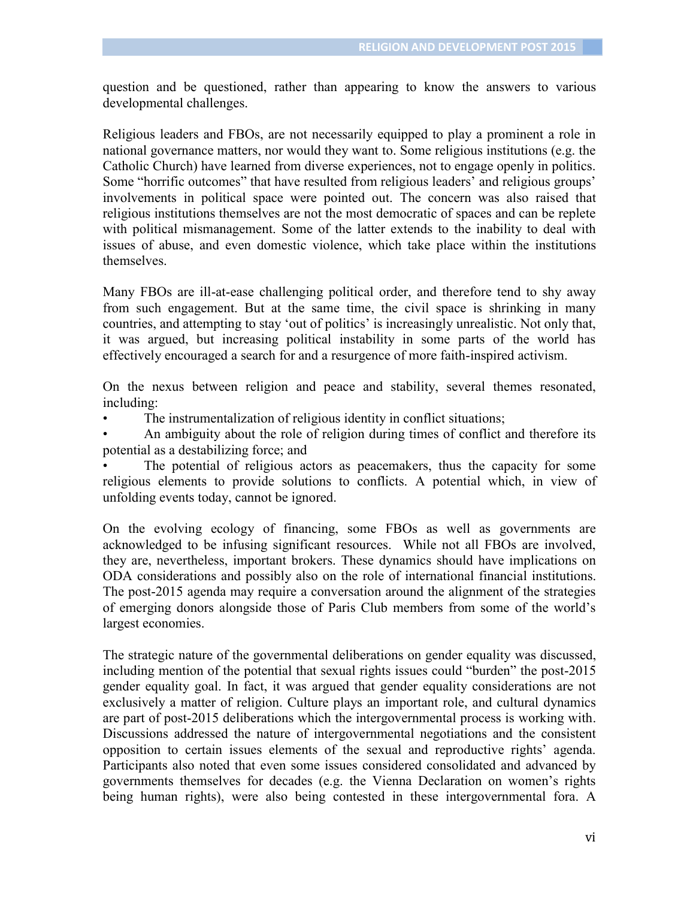question and be questioned, rather than appearing to know the answers to various developmental challenges.

Religious leaders and FBOs, are not necessarily equipped to play a prominent a role in national governance matters, nor would they want to. Some religious institutions (e.g. the Catholic Church) have learned from diverse experiences, not to engage openly in politics. Some "horrific outcomes" that have resulted from religious leaders' and religious groups' involvements in political space were pointed out. The concern was also raised that religious institutions themselves are not the most democratic of spaces and can be replete with political mismanagement. Some of the latter extends to the inability to deal with issues of abuse, and even domestic violence, which take place within the institutions themselves.

Many FBOs are ill-at-ease challenging political order, and therefore tend to shy away from such engagement. But at the same time, the civil space is shrinking in many countries, and attempting to stay 'out of politics' is increasingly unrealistic. Not only that, it was argued, but increasing political instability in some parts of the world has effectively encouraged a search for and a resurgence of more faith-inspired activism.

On the nexus between religion and peace and stability, several themes resonated, including:

The instrumentalization of religious identity in conflict situations;

• An ambiguity about the role of religion during times of conflict and therefore its potential as a destabilizing force; and

• The potential of religious actors as peacemakers, thus the capacity for some religious elements to provide solutions to conflicts. A potential which, in view of unfolding events today, cannot be ignored.

On the evolving ecology of financing, some FBOs as well as governments are acknowledged to be infusing significant resources. While not all FBOs are involved, they are, nevertheless, important brokers. These dynamics should have implications on ODA considerations and possibly also on the role of international financial institutions. The post-2015 agenda may require a conversation around the alignment of the strategies of emerging donors alongside those of Paris Club members from some of the world's largest economies.

The strategic nature of the governmental deliberations on gender equality was discussed, including mention of the potential that sexual rights issues could "burden" the post-2015 gender equality goal. In fact, it was argued that gender equality considerations are not exclusively a matter of religion. Culture plays an important role, and cultural dynamics are part of post-2015 deliberations which the intergovernmental process is working with. Discussions addressed the nature of intergovernmental negotiations and the consistent opposition to certain issues elements of the sexual and reproductive rights' agenda. Participants also noted that even some issues considered consolidated and advanced by governments themselves for decades (e.g. the Vienna Declaration on women's rights being human rights), were also being contested in these intergovernmental fora. A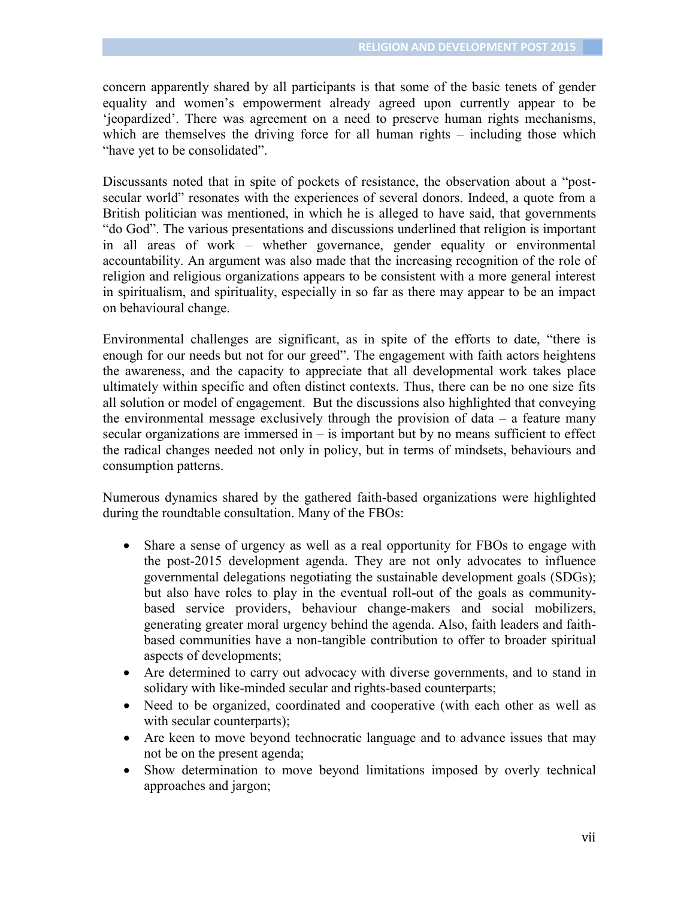concern apparently shared by all participants is that some of the basic tenets of gender equality and women's empowerment already agreed upon currently appear to be 'jeopardized'. There was agreement on a need to preserve human rights mechanisms, which are themselves the driving force for all human rights – including those which "have yet to be consolidated".

Discussants noted that in spite of pockets of resistance, the observation about a "postsecular world" resonates with the experiences of several donors. Indeed, a quote from a British politician was mentioned, in which he is alleged to have said, that governments "do God". The various presentations and discussions underlined that religion is important in all areas of work – whether governance, gender equality or environmental accountability. An argument was also made that the increasing recognition of the role of religion and religious organizations appears to be consistent with a more general interest in spiritualism, and spirituality, especially in so far as there may appear to be an impact on behavioural change.

Environmental challenges are significant, as in spite of the efforts to date, "there is enough for our needs but not for our greed". The engagement with faith actors heightens the awareness, and the capacity to appreciate that all developmental work takes place ultimately within specific and often distinct contexts. Thus, there can be no one size fits all solution or model of engagement. But the discussions also highlighted that conveying the environmental message exclusively through the provision of data – a feature many secular organizations are immersed in – is important but by no means sufficient to effect the radical changes needed not only in policy, but in terms of mindsets, behaviours and consumption patterns.

Numerous dynamics shared by the gathered faith-based organizations were highlighted during the roundtable consultation. Many of the FBOs:

- Share a sense of urgency as well as a real opportunity for FBOs to engage with the post-2015 development agenda. They are not only advocates to influence governmental delegations negotiating the sustainable development goals (SDGs); but also have roles to play in the eventual roll-out of the goals as communitybased service providers, behaviour change-makers and social mobilizers, generating greater moral urgency behind the agenda. Also, faith leaders and faithbased communities have a non-tangible contribution to offer to broader spiritual aspects of developments;
- Are determined to carry out advocacy with diverse governments, and to stand in solidary with like-minded secular and rights-based counterparts;
- Need to be organized, coordinated and cooperative (with each other as well as with secular counterparts);
- Are keen to move beyond technocratic language and to advance issues that may not be on the present agenda;
- Show determination to move beyond limitations imposed by overly technical approaches and jargon;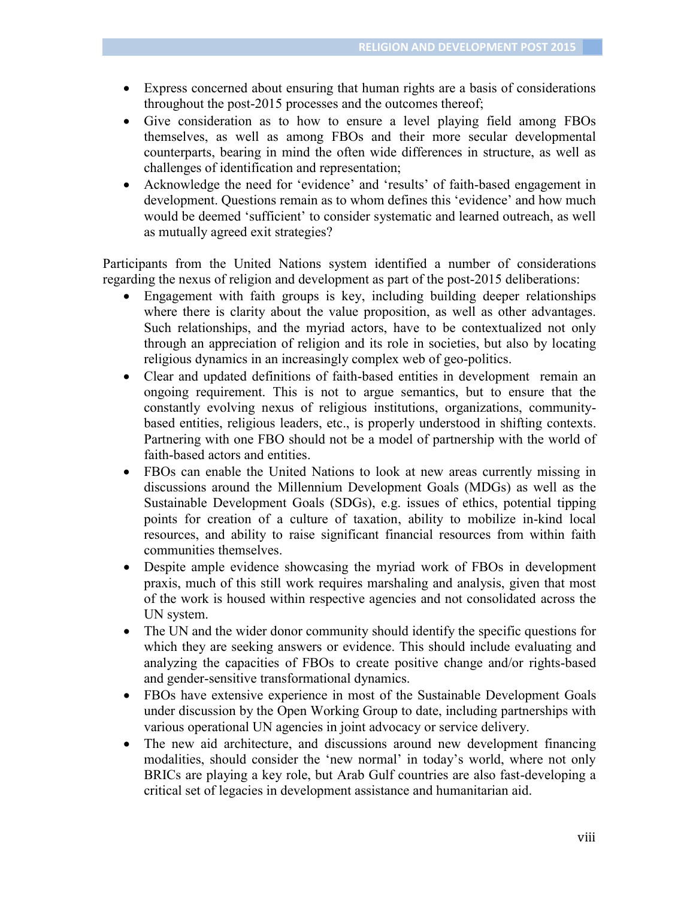- Express concerned about ensuring that human rights are a basis of considerations throughout the post-2015 processes and the outcomes thereof;
- Give consideration as to how to ensure a level playing field among FBOs themselves, as well as among FBOs and their more secular developmental counterparts, bearing in mind the often wide differences in structure, as well as challenges of identification and representation;
- Acknowledge the need for 'evidence' and 'results' of faith-based engagement in development. Questions remain as to whom defines this 'evidence' and how much would be deemed 'sufficient' to consider systematic and learned outreach, as well as mutually agreed exit strategies?

Participants from the United Nations system identified a number of considerations regarding the nexus of religion and development as part of the post-2015 deliberations:

- Engagement with faith groups is key, including building deeper relationships where there is clarity about the value proposition, as well as other advantages. Such relationships, and the myriad actors, have to be contextualized not only through an appreciation of religion and its role in societies, but also by locating religious dynamics in an increasingly complex web of geo-politics.
- Clear and updated definitions of faith-based entities in development remain an ongoing requirement. This is not to argue semantics, but to ensure that the constantly evolving nexus of religious institutions, organizations, communitybased entities, religious leaders, etc., is properly understood in shifting contexts. Partnering with one FBO should not be a model of partnership with the world of faith-based actors and entities.
- FBOs can enable the United Nations to look at new areas currently missing in discussions around the Millennium Development Goals (MDGs) as well as the Sustainable Development Goals (SDGs), e.g. issues of ethics, potential tipping points for creation of a culture of taxation, ability to mobilize in-kind local resources, and ability to raise significant financial resources from within faith communities themselves.
- Despite ample evidence showcasing the myriad work of FBOs in development praxis, much of this still work requires marshaling and analysis, given that most of the work is housed within respective agencies and not consolidated across the UN system.
- The UN and the wider donor community should identify the specific questions for which they are seeking answers or evidence. This should include evaluating and analyzing the capacities of FBOs to create positive change and/or rights-based and gender-sensitive transformational dynamics.
- FBOs have extensive experience in most of the Sustainable Development Goals under discussion by the Open Working Group to date, including partnerships with various operational UN agencies in joint advocacy or service delivery.
- The new aid architecture, and discussions around new development financing modalities, should consider the 'new normal' in today's world, where not only BRICs are playing a key role, but Arab Gulf countries are also fast-developing a critical set of legacies in development assistance and humanitarian aid.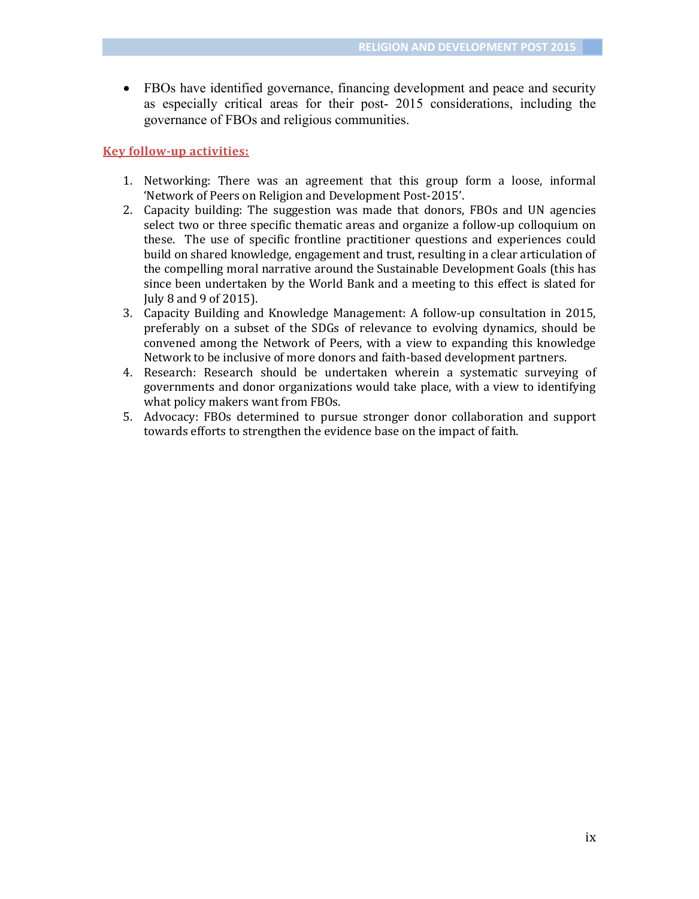FBOs have identified governance, financing development and peace and security as especially critical areas for their post- 2015 considerations, including the governance of FBOs and religious communities.

#### **Key follow-up activities:**

- 1. Networking: There was an agreement that this group form a loose, informal 'Network of Peers on Religion and Development Post-2015'.
- 2. Capacity building: The suggestion was made that donors, FBOs and UN agencies select two or three specific thematic areas and organize a follow-up colloquium on these. The use of specific frontline practitioner questions and experiences could build on shared knowledge, engagement and trust, resulting in a clear articulation of the compelling moral narrative around the Sustainable Development Goals (this has since been undertaken by the World Bank and a meeting to this effect is slated for July 8 and 9 of 2015).
- 3. Capacity Building and Knowledge Management: A follow-up consultation in 2015, preferably on a subset of the SDGs of relevance to evolving dynamics, should be convened among the Network of Peers, with a view to expanding this knowledge Network to be inclusive of more donors and faith-based development partners.
- 4. Research: Research should be undertaken wherein a systematic surveying of governments and donor organizations would take place, with a view to identifying what policy makers want from FBOs.
- 5. Advocacy: FBOs determined to pursue stronger donor collaboration and support towards efforts to strengthen the evidence base on the impact of faith.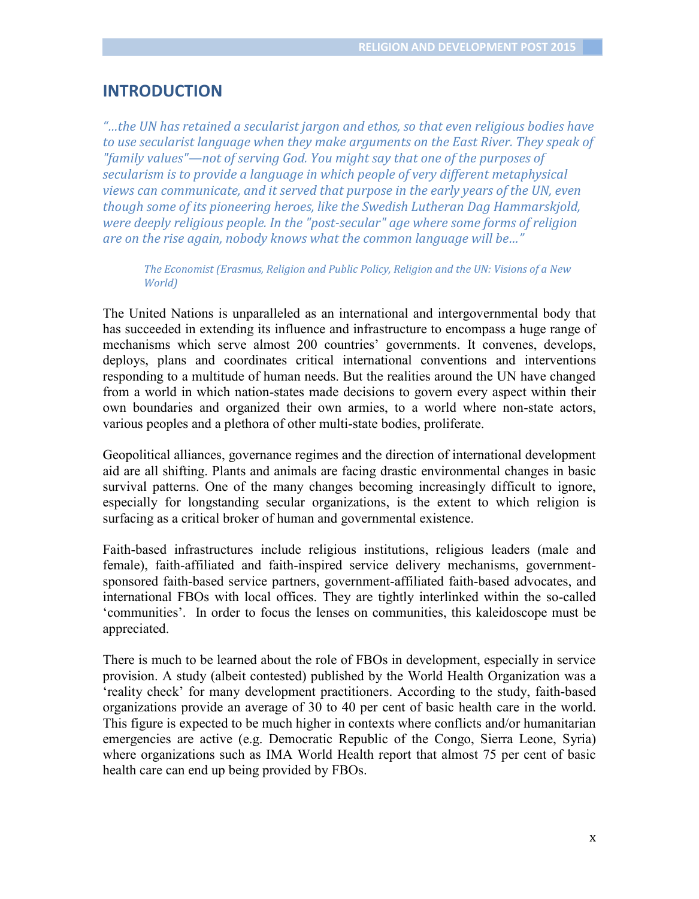# **INTRODUCTION**

*"…the UN has retained a secularist jargon and ethos, so that even religious bodies have to use secularist language when they make arguments on the East River. They speak of "family values"—not of serving God. You might say that one of the purposes of secularism is to provide a language in which people of very different metaphysical views can communicate, and it served that purpose in the early years of the UN, even though some of its pioneering heroes, like the Swedish Lutheran Dag Hammarskjold, were deeply religious people. In the "post-secular" age where some forms of religion are on the rise again, nobody knows what the common language will be…"*

*The Economist (Erasmus, Religion and Public Policy, Religion and the UN: Visions of a New World)*

The United Nations is unparalleled as an international and intergovernmental body that has succeeded in extending its influence and infrastructure to encompass a huge range of mechanisms which serve almost 200 countries' governments. It convenes, develops, deploys, plans and coordinates critical international conventions and interventions responding to a multitude of human needs. But the realities around the UN have changed from a world in which nation-states made decisions to govern every aspect within their own boundaries and organized their own armies, to a world where non-state actors, various peoples and a plethora of other multi-state bodies, proliferate.

Geopolitical alliances, governance regimes and the direction of international development aid are all shifting. Plants and animals are facing drastic environmental changes in basic survival patterns. One of the many changes becoming increasingly difficult to ignore, especially for longstanding secular organizations, is the extent to which religion is surfacing as a critical broker of human and governmental existence.

Faith-based infrastructures include religious institutions, religious leaders (male and female), faith-affiliated and faith-inspired service delivery mechanisms, governmentsponsored faith-based service partners, government-affiliated faith-based advocates, and international FBOs with local offices. They are tightly interlinked within the so-called 'communities'. In order to focus the lenses on communities, this kaleidoscope must be appreciated.

There is much to be learned about the role of FBOs in development, especially in service provision. A study (albeit contested) published by the World Health Organization was a 'reality check' for many development practitioners. According to the study, faith-based organizations provide an average of 30 to 40 per cent of basic health care in the world. This figure is expected to be much higher in contexts where conflicts and/or humanitarian emergencies are active (e.g. Democratic Republic of the Congo, Sierra Leone, Syria) where organizations such as IMA World Health report that almost 75 per cent of basic health care can end up being provided by FBOs.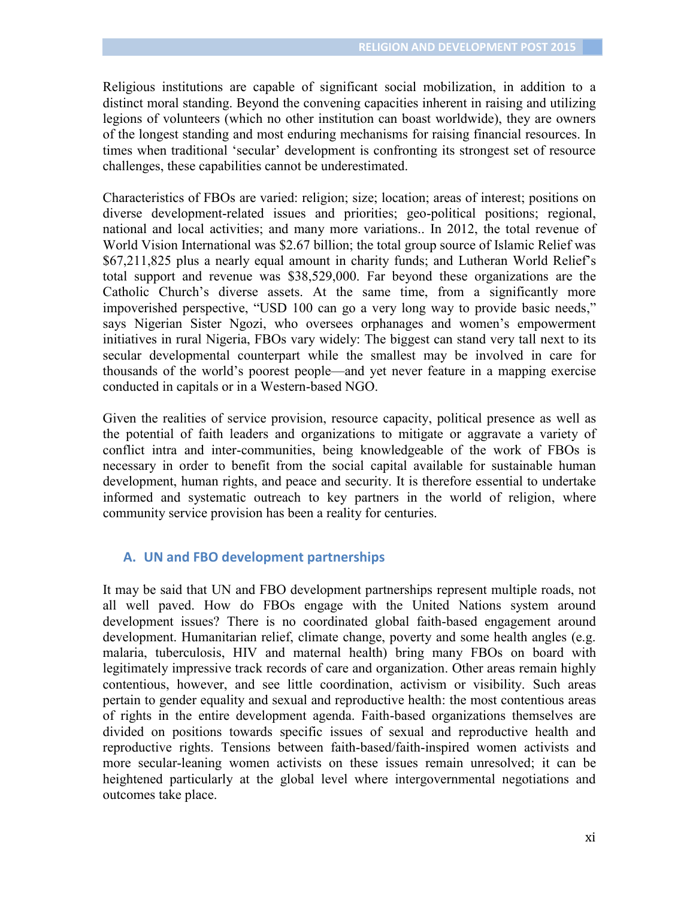Religious institutions are capable of significant social mobilization, in addition to a distinct moral standing. Beyond the convening capacities inherent in raising and utilizing legions of volunteers (which no other institution can boast worldwide), they are owners of the longest standing and most enduring mechanisms for raising financial resources. In times when traditional 'secular' development is confronting its strongest set of resource challenges, these capabilities cannot be underestimated.

Characteristics of FBOs are varied: religion; size; location; areas of interest; positions on diverse development-related issues and priorities; geo-political positions; regional, national and local activities; and many more variations.. In 2012, the total revenue of World Vision International was \$2.67 billion; the total group source of Islamic Relief was \$67,211,825 plus a nearly equal amount in charity funds; and Lutheran World Relief's total support and revenue was \$38,529,000. Far beyond these organizations are the Catholic Church's diverse assets. At the same time, from a significantly more impoverished perspective, "USD 100 can go a very long way to provide basic needs," says Nigerian Sister Ngozi, who oversees orphanages and women's empowerment initiatives in rural Nigeria, FBOs vary widely: The biggest can stand very tall next to its secular developmental counterpart while the smallest may be involved in care for thousands of the world's poorest people—and yet never feature in a mapping exercise conducted in capitals or in a Western-based NGO.

Given the realities of service provision, resource capacity, political presence as well as the potential of faith leaders and organizations to mitigate or aggravate a variety of conflict intra and inter-communities, being knowledgeable of the work of FBOs is necessary in order to benefit from the social capital available for sustainable human development, human rights, and peace and security. It is therefore essential to undertake informed and systematic outreach to key partners in the world of religion, where community service provision has been a reality for centuries.

# **A. UN and FBO development partnerships**

It may be said that UN and FBO development partnerships represent multiple roads, not all well paved. How do FBOs engage with the United Nations system around development issues? There is no coordinated global faith-based engagement around development. Humanitarian relief, climate change, poverty and some health angles (e.g. malaria, tuberculosis, HIV and maternal health) bring many FBOs on board with legitimately impressive track records of care and organization. Other areas remain highly contentious, however, and see little coordination, activism or visibility. Such areas pertain to gender equality and sexual and reproductive health: the most contentious areas of rights in the entire development agenda. Faith-based organizations themselves are divided on positions towards specific issues of sexual and reproductive health and reproductive rights. Tensions between faith-based/faith-inspired women activists and more secular-leaning women activists on these issues remain unresolved; it can be heightened particularly at the global level where intergovernmental negotiations and outcomes take place.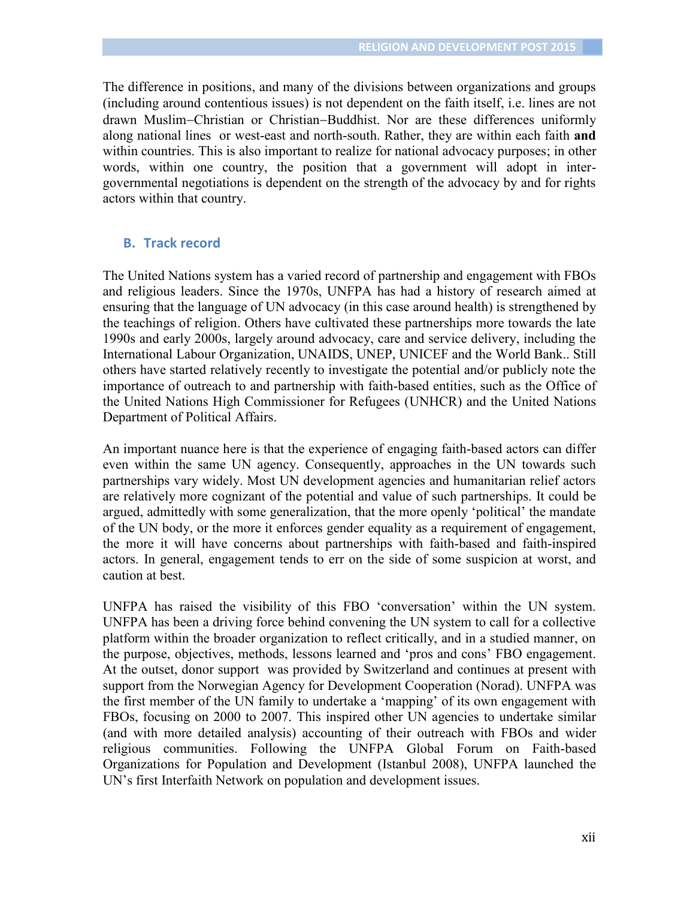The difference in positions, and many of the divisions between organizations and groups (including around contentious issues) is not dependent on the faith itself, i.e. lines are not drawn Muslim-Christian or Christian-Buddhist. Nor are these differences uniformly along national lines or west-east and north-south. Rather, they are within each faith **and** within countries. This is also important to realize for national advocacy purposes; in other words, within one country, the position that a government will adopt in intergovernmental negotiations is dependent on the strength of the advocacy by and for rights actors within that country.

#### **B. Track record**

The United Nations system has a varied record of partnership and engagement with FBOs and religious leaders. Since the 1970s, UNFPA has had a history of research aimed at ensuring that the language of UN advocacy (in this case around health) is strengthened by the teachings of religion. Others have cultivated these partnerships more towards the late 1990s and early 2000s, largely around advocacy, care and service delivery, including the International Labour Organization, UNAIDS, UNEP, UNICEF and the World Bank.. Still others have started relatively recently to investigate the potential and/or publicly note the importance of outreach to and partnership with faith-based entities, such as the Office of the United Nations High Commissioner for Refugees (UNHCR) and the United Nations Department of Political Affairs.

An important nuance here is that the experience of engaging faith-based actors can differ even within the same UN agency. Consequently, approaches in the UN towards such partnerships vary widely. Most UN development agencies and humanitarian relief actors are relatively more cognizant of the potential and value of such partnerships. It could be argued, admittedly with some generalization, that the more openly 'political' the mandate of the UN body, or the more it enforces gender equality as a requirement of engagement, the more it will have concerns about partnerships with faith-based and faith-inspired actors. In general, engagement tends to err on the side of some suspicion at worst, and caution at best.

UNFPA has raised the visibility of this FBO 'conversation' within the UN system. UNFPA has been a driving force behind convening the UN system to call for a collective platform within the broader organization to reflect critically, and in a studied manner, on the purpose, objectives, methods, lessons learned and 'pros and cons' FBO engagement. At the outset, donor support was provided by Switzerland and continues at present with support from the Norwegian Agency for Development Cooperation (Norad). UNFPA was the first member of the UN family to undertake a 'mapping' of its own engagement with FBOs, focusing on 2000 to 2007. This inspired other UN agencies to undertake similar (and with more detailed analysis) accounting of their outreach with FBOs and wider religious communities. Following the UNFPA Global Forum on Faith-based Organizations for Population and Development (Istanbul 2008), UNFPA launched the UN's first Interfaith Network on population and development issues.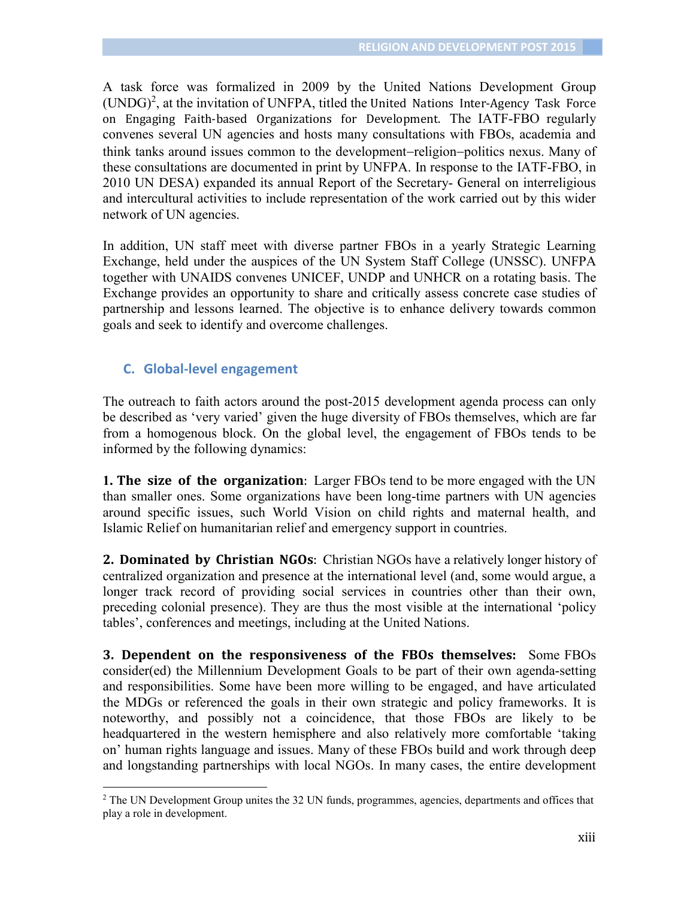A task force was formalized in 2009 by the United Nations Development Group  $(UNDG)<sup>2</sup>$ , at the invitation of UNFPA, titled the United Nations Inter-Agency Task Force on Engaging Faith-based Organizations for Development. The IATF-FBO regularly convenes several UN agencies and hosts many consultations with FBOs, academia and think tanks around issues common to the development-religion-politics nexus. Many of these consultations are documented in print by UNFPA. In response to the IATF-FBO, in 2010 UN DESA) expanded its annual Report of the Secretary- General on interreligious and intercultural activities to include representation of the work carried out by this wider network of UN agencies.

In addition, UN staff meet with diverse partner FBOs in a yearly Strategic Learning Exchange, held under the auspices of the UN System Staff College (UNSSC). UNFPA together with UNAIDS convenes UNICEF, UNDP and UNHCR on a rotating basis. The Exchange provides an opportunity to share and critically assess concrete case studies of partnership and lessons learned. The objective is to enhance delivery towards common goals and seek to identify and overcome challenges.

# **C. Global-level engagement**

The outreach to faith actors around the post-2015 development agenda process can only be described as 'very varied' given the huge diversity of FBOs themselves, which are far from a homogenous block. On the global level, the engagement of FBOs tends to be informed by the following dynamics:

**1. The size of the organization**: Larger FBOs tend to be more engaged with the UN than smaller ones. Some organizations have been long-time partners with UN agencies around specific issues, such World Vision on child rights and maternal health, and Islamic Relief on humanitarian relief and emergency support in countries.

**2. Dominated by Christian NGOs**: Christian NGOs have a relatively longer history of centralized organization and presence at the international level (and, some would argue, a longer track record of providing social services in countries other than their own, preceding colonial presence). They are thus the most visible at the international 'policy tables', conferences and meetings, including at the United Nations.

**3. Dependent on the responsiveness of the FBOs themselves:** Some FBOs consider(ed) the Millennium Development Goals to be part of their own agenda-setting and responsibilities. Some have been more willing to be engaged, and have articulated the MDGs or referenced the goals in their own strategic and policy frameworks. It is noteworthy, and possibly not a coincidence, that those FBOs are likely to be headquartered in the western hemisphere and also relatively more comfortable 'taking on' human rights language and issues. Many of these FBOs build and work through deep and longstanding partnerships with local NGOs. In many cases, the entire development

<sup>2</sup> The UN Development Group unites the 32 UN funds, programmes, agencies, departments and offices that play a role in development.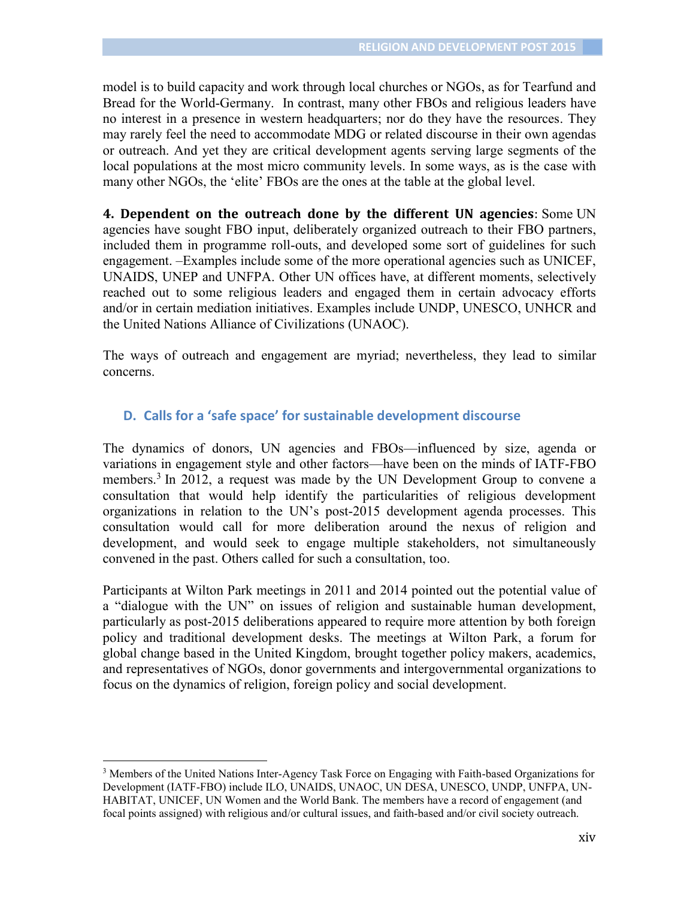model is to build capacity and work through local churches or NGOs, as for Tearfund and Bread for the World-Germany. In contrast, many other FBOs and religious leaders have no interest in a presence in western headquarters; nor do they have the resources. They may rarely feel the need to accommodate MDG or related discourse in their own agendas or outreach. And yet they are critical development agents serving large segments of the local populations at the most micro community levels. In some ways, as is the case with many other NGOs, the 'elite' FBOs are the ones at the table at the global level.

**4. Dependent on the outreach done by the different UN agencies**: Some UN agencies have sought FBO input, deliberately organized outreach to their FBO partners, included them in programme roll-outs, and developed some sort of guidelines for such engagement. –Examples include some of the more operational agencies such as UNICEF, UNAIDS, UNEP and UNFPA. Other UN offices have, at different moments, selectively reached out to some religious leaders and engaged them in certain advocacy efforts and/or in certain mediation initiatives. Examples include UNDP, UNESCO, UNHCR and the United Nations Alliance of Civilizations (UNAOC).

The ways of outreach and engagement are myriad; nevertheless, they lead to similar concerns.

# **D. Calls for a 'safe space' for sustainable development discourse**

The dynamics of donors, UN agencies and FBOs—influenced by size, agenda or variations in engagement style and other factors—have been on the minds of IATF-FBO members. <sup>3</sup> In 2012, a request was made by the UN Development Group to convene a consultation that would help identify the particularities of religious development organizations in relation to the UN's post-2015 development agenda processes. This consultation would call for more deliberation around the nexus of religion and development, and would seek to engage multiple stakeholders, not simultaneously convened in the past. Others called for such a consultation, too.

Participants at Wilton Park meetings in 2011 and 2014 pointed out the potential value of a "dialogue with the UN" on issues of religion and sustainable human development, particularly as post-2015 deliberations appeared to require more attention by both foreign policy and traditional development desks. The meetings at Wilton Park, a forum for global change based in the United Kingdom, brought together policy makers, academics, and representatives of NGOs, donor governments and intergovernmental organizations to focus on the dynamics of religion, foreign policy and social development.

<sup>3</sup> Members of the United Nations Inter-Agency Task Force on Engaging with Faith-based Organizations for Development (IATF-FBO) include ILO, UNAIDS, UNAOC, UN DESA, UNESCO, UNDP, UNFPA, UN-HABITAT, UNICEF, UN Women and the World Bank. The members have a record of engagement (and focal points assigned) with religious and/or cultural issues, and faith-based and/or civil society outreach.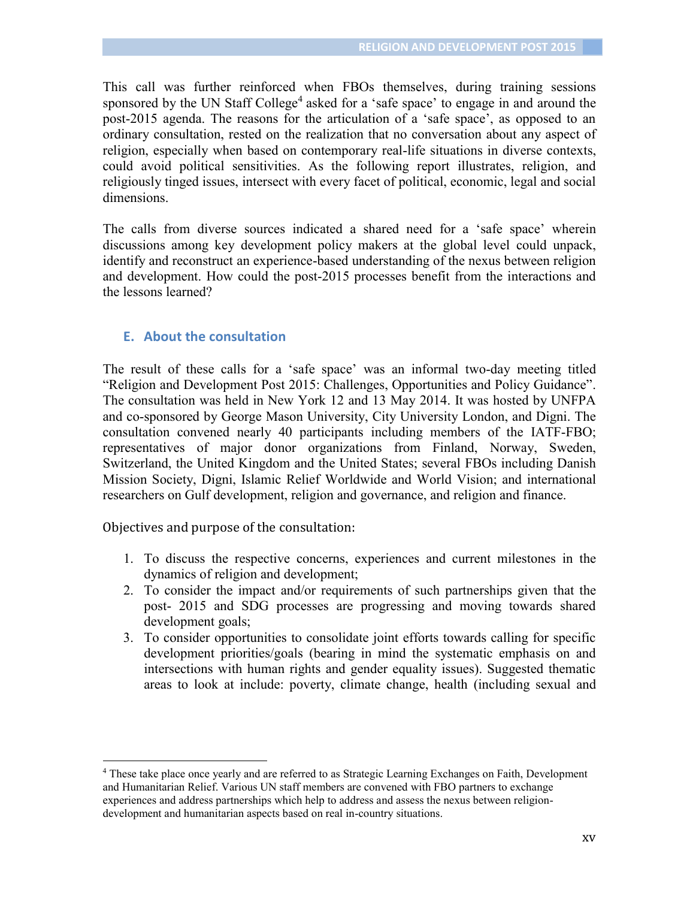This call was further reinforced when FBOs themselves, during training sessions sponsored by the UN Staff College<sup>4</sup> asked for a 'safe space' to engage in and around the post-2015 agenda. The reasons for the articulation of a 'safe space', as opposed to an ordinary consultation, rested on the realization that no conversation about any aspect of religion, especially when based on contemporary real-life situations in diverse contexts, could avoid political sensitivities. As the following report illustrates, religion, and religiously tinged issues, intersect with every facet of political, economic, legal and social dimensions.

The calls from diverse sources indicated a shared need for a 'safe space' wherein discussions among key development policy makers at the global level could unpack, identify and reconstruct an experience-based understanding of the nexus between religion and development. How could the post-2015 processes benefit from the interactions and the lessons learned?

# **E. About the consultation**

The result of these calls for a 'safe space' was an informal two-day meeting titled "Religion and Development Post 2015: Challenges, Opportunities and Policy Guidance". The consultation was held in New York 12 and 13 May 2014. It was hosted by UNFPA and co-sponsored by George Mason University, City University London, and Digni. The consultation convened nearly 40 participants including members of the IATF-FBO; representatives of major donor organizations from Finland, Norway, Sweden, Switzerland, the United Kingdom and the United States; several FBOs including Danish Mission Society, Digni, Islamic Relief Worldwide and World Vision; and international researchers on Gulf development, religion and governance, and religion and finance.

Objectives and purpose of the consultation:

- 1. To discuss the respective concerns, experiences and current milestones in the dynamics of religion and development;
- 2. To consider the impact and/or requirements of such partnerships given that the post- 2015 and SDG processes are progressing and moving towards shared development goals;
- 3. To consider opportunities to consolidate joint efforts towards calling for specific development priorities/goals (bearing in mind the systematic emphasis on and intersections with human rights and gender equality issues). Suggested thematic areas to look at include: poverty, climate change, health (including sexual and

<sup>4</sup> These take place once yearly and are referred to as Strategic Learning Exchanges on Faith, Development and Humanitarian Relief. Various UN staff members are convened with FBO partners to exchange experiences and address partnerships which help to address and assess the nexus between religiondevelopment and humanitarian aspects based on real in-country situations.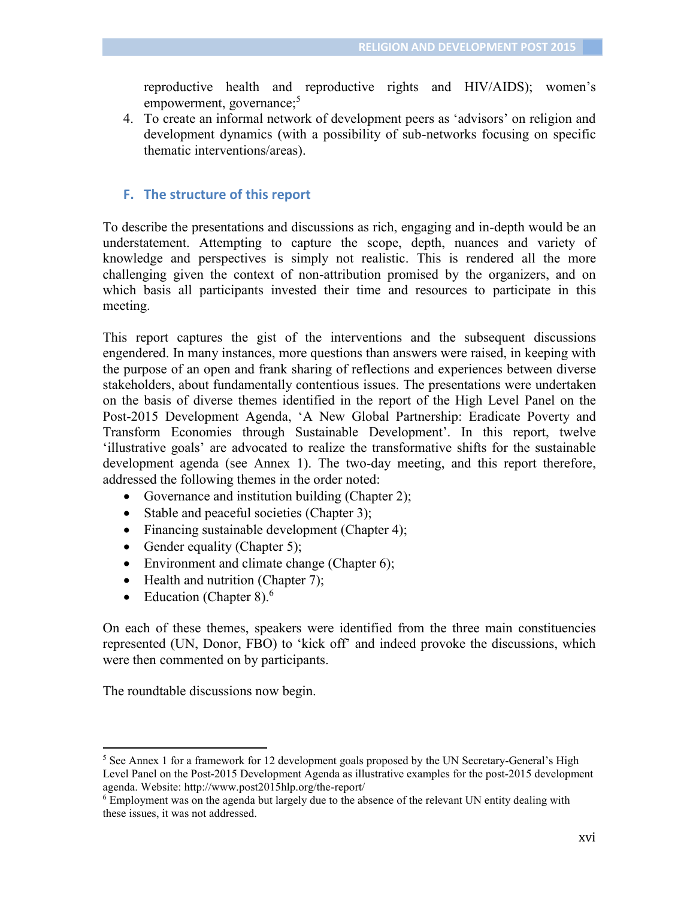reproductive health and reproductive rights and HIV/AIDS); women's empowerment, governance;<sup>5</sup>

4. To create an informal network of development peers as 'advisors' on religion and development dynamics (with a possibility of sub-networks focusing on specific thematic interventions/areas).

## **F. The structure of this report**

To describe the presentations and discussions as rich, engaging and in-depth would be an understatement. Attempting to capture the scope, depth, nuances and variety of knowledge and perspectives is simply not realistic. This is rendered all the more challenging given the context of non-attribution promised by the organizers, and on which basis all participants invested their time and resources to participate in this meeting.

This report captures the gist of the interventions and the subsequent discussions engendered. In many instances, more questions than answers were raised, in keeping with the purpose of an open and frank sharing of reflections and experiences between diverse stakeholders, about fundamentally contentious issues. The presentations were undertaken on the basis of diverse themes identified in the report of the High Level Panel on the Post-2015 Development Agenda, 'A New Global Partnership: Eradicate Poverty and Transform Economies through Sustainable Development'. In this report, twelve 'illustrative goals' are advocated to realize the transformative shifts for the sustainable development agenda (see Annex 1). The two-day meeting, and this report therefore, addressed the following themes in the order noted:

- Governance and institution building (Chapter 2);
- Stable and peaceful societies (Chapter 3);
- Financing sustainable development (Chapter 4);
- Gender equality (Chapter 5);
- Environment and climate change (Chapter 6);
- $\bullet$  Health and nutrition (Chapter 7);
- Education (Chapter 8). $<sup>6</sup>$ </sup>

On each of these themes, speakers were identified from the three main constituencies represented (UN, Donor, FBO) to 'kick off' and indeed provoke the discussions, which were then commented on by participants.

The roundtable discussions now begin.

 $5$  See Annex 1 for a framework for 12 development goals proposed by the UN Secretary-General's High Level Panel on the Post-2015 Development Agenda as illustrative examples for the post-2015 development agenda. Website: http://www.post2015hlp.org/the-report/

 $6$  Employment was on the agenda but largely due to the absence of the relevant UN entity dealing with these issues, it was not addressed.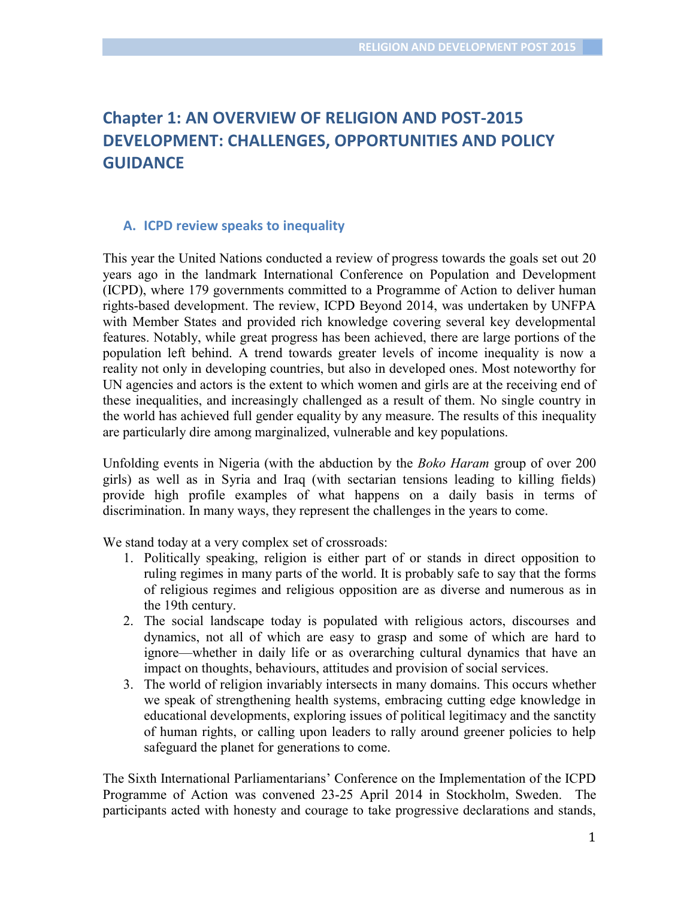# **Chapter 1: AN OVERVIEW OF RELIGION AND POST-2015 DEVELOPMENT: CHALLENGES, OPPORTUNITIES AND POLICY GUIDANCE**

#### **A. ICPD review speaks to inequality**

This year the United Nations conducted a review of progress towards the goals set out 20 years ago in the landmark International Conference on Population and Development (ICPD), where 179 governments committed to a Programme of Action to deliver human rights-based development. The review, ICPD Beyond 2014, was undertaken by UNFPA with Member States and provided rich knowledge covering several key developmental features. Notably, while great progress has been achieved, there are large portions of the population left behind. A trend towards greater levels of income inequality is now a reality not only in developing countries, but also in developed ones. Most noteworthy for UN agencies and actors is the extent to which women and girls are at the receiving end of these inequalities, and increasingly challenged as a result of them. No single country in the world has achieved full gender equality by any measure. The results of this inequality are particularly dire among marginalized, vulnerable and key populations.

Unfolding events in Nigeria (with the abduction by the *Boko Haram* group of over 200 girls) as well as in Syria and Iraq (with sectarian tensions leading to killing fields) provide high profile examples of what happens on a daily basis in terms of discrimination. In many ways, they represent the challenges in the years to come.

We stand today at a very complex set of crossroads:

- 1. Politically speaking, religion is either part of or stands in direct opposition to ruling regimes in many parts of the world. It is probably safe to say that the forms of religious regimes and religious opposition are as diverse and numerous as in the 19th century.
- 2. The social landscape today is populated with religious actors, discourses and dynamics, not all of which are easy to grasp and some of which are hard to ignore—whether in daily life or as overarching cultural dynamics that have an impact on thoughts, behaviours, attitudes and provision of social services.
- 3. The world of religion invariably intersects in many domains. This occurs whether we speak of strengthening health systems, embracing cutting edge knowledge in educational developments, exploring issues of political legitimacy and the sanctity of human rights, or calling upon leaders to rally around greener policies to help safeguard the planet for generations to come.

The Sixth International Parliamentarians' Conference on the Implementation of the ICPD Programme of Action was convened 23-25 April 2014 in Stockholm, Sweden. The participants acted with honesty and courage to take progressive declarations and stands,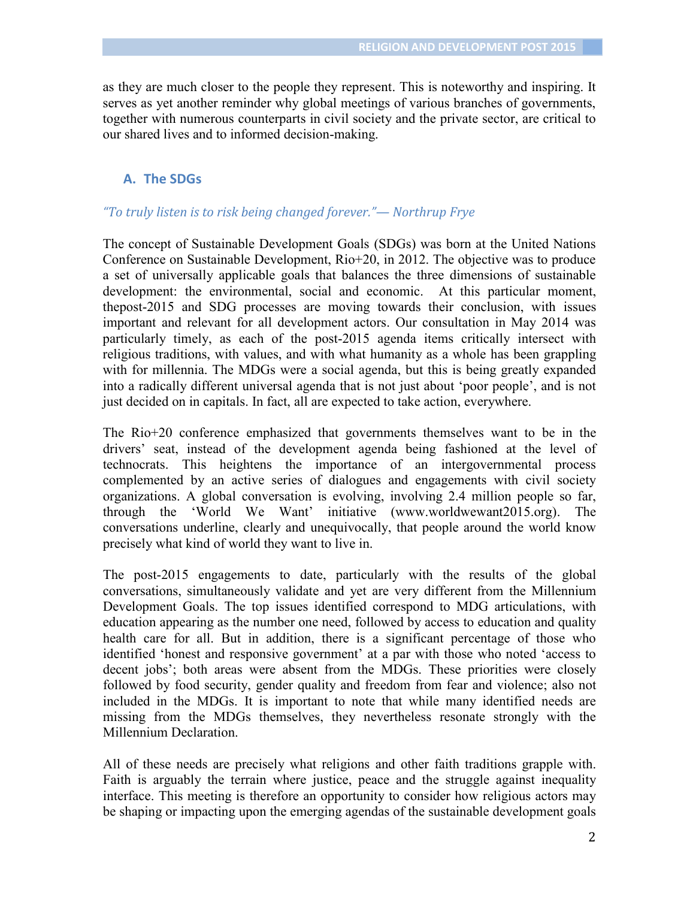as they are much closer to the people they represent. This is noteworthy and inspiring. It serves as yet another reminder why global meetings of various branches of governments, together with numerous counterparts in civil society and the private sector, are critical to our shared lives and to informed decision-making.

## **A. The SDGs**

#### *"To truly listen is to risk being changed forever."— Northrup Frye*

The concept of Sustainable Development Goals (SDGs) was born at the United Nations Conference on Sustainable Development, Rio+20, in 2012. The objective was to produce a set of universally applicable goals that balances the three dimensions of sustainable development: the environmental, social and economic. At this particular moment, thepost-2015 and SDG processes are moving towards their conclusion, with issues important and relevant for all development actors. Our consultation in May 2014 was particularly timely, as each of the post-2015 agenda items critically intersect with religious traditions, with values, and with what humanity as a whole has been grappling with for millennia. The MDGs were a social agenda, but this is being greatly expanded into a radically different universal agenda that is not just about 'poor people', and is not just decided on in capitals. In fact, all are expected to take action, everywhere.

The Rio+20 conference emphasized that governments themselves want to be in the drivers' seat, instead of the development agenda being fashioned at the level of technocrats. This heightens the importance of an intergovernmental process complemented by an active series of dialogues and engagements with civil society organizations. A global conversation is evolving, involving 2.4 million people so far, through the 'World We Want' initiative (www.worldwewant2015.org). The conversations underline, clearly and unequivocally, that people around the world know precisely what kind of world they want to live in.

The post-2015 engagements to date, particularly with the results of the global conversations, simultaneously validate and yet are very different from the Millennium Development Goals. The top issues identified correspond to MDG articulations, with education appearing as the number one need, followed by access to education and quality health care for all. But in addition, there is a significant percentage of those who identified 'honest and responsive government' at a par with those who noted 'access to decent jobs'; both areas were absent from the MDGs. These priorities were closely followed by food security, gender quality and freedom from fear and violence; also not included in the MDGs. It is important to note that while many identified needs are missing from the MDGs themselves, they nevertheless resonate strongly with the Millennium Declaration.

All of these needs are precisely what religions and other faith traditions grapple with. Faith is arguably the terrain where justice, peace and the struggle against inequality interface. This meeting is therefore an opportunity to consider how religious actors may be shaping or impacting upon the emerging agendas of the sustainable development goals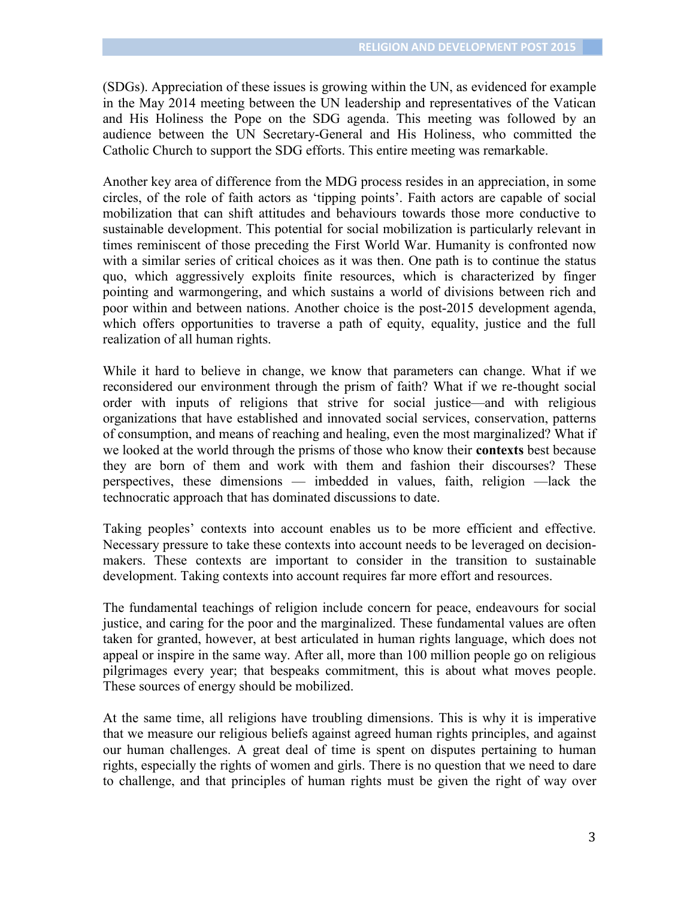(SDGs). Appreciation of these issues is growing within the UN, as evidenced for example in the May 2014 meeting between the UN leadership and representatives of the Vatican and His Holiness the Pope on the SDG agenda. This meeting was followed by an audience between the UN Secretary-General and His Holiness, who committed the Catholic Church to support the SDG efforts. This entire meeting was remarkable.

Another key area of difference from the MDG process resides in an appreciation, in some circles, of the role of faith actors as 'tipping points'. Faith actors are capable of social mobilization that can shift attitudes and behaviours towards those more conductive to sustainable development. This potential for social mobilization is particularly relevant in times reminiscent of those preceding the First World War. Humanity is confronted now with a similar series of critical choices as it was then. One path is to continue the status quo, which aggressively exploits finite resources, which is characterized by finger pointing and warmongering, and which sustains a world of divisions between rich and poor within and between nations. Another choice is the post-2015 development agenda, which offers opportunities to traverse a path of equity, equality, justice and the full realization of all human rights.

While it hard to believe in change, we know that parameters can change. What if we reconsidered our environment through the prism of faith? What if we re-thought social order with inputs of religions that strive for social justice—and with religious organizations that have established and innovated social services, conservation, patterns of consumption, and means of reaching and healing, even the most marginalized? What if we looked at the world through the prisms of those who know their **contexts** best because they are born of them and work with them and fashion their discourses? These perspectives, these dimensions — imbedded in values, faith, religion —lack the technocratic approach that has dominated discussions to date.

Taking peoples' contexts into account enables us to be more efficient and effective. Necessary pressure to take these contexts into account needs to be leveraged on decisionmakers. These contexts are important to consider in the transition to sustainable development. Taking contexts into account requires far more effort and resources.

The fundamental teachings of religion include concern for peace, endeavours for social justice, and caring for the poor and the marginalized. These fundamental values are often taken for granted, however, at best articulated in human rights language, which does not appeal or inspire in the same way. After all, more than 100 million people go on religious pilgrimages every year; that bespeaks commitment, this is about what moves people. These sources of energy should be mobilized.

At the same time, all religions have troubling dimensions. This is why it is imperative that we measure our religious beliefs against agreed human rights principles, and against our human challenges. A great deal of time is spent on disputes pertaining to human rights, especially the rights of women and girls. There is no question that we need to dare to challenge, and that principles of human rights must be given the right of way over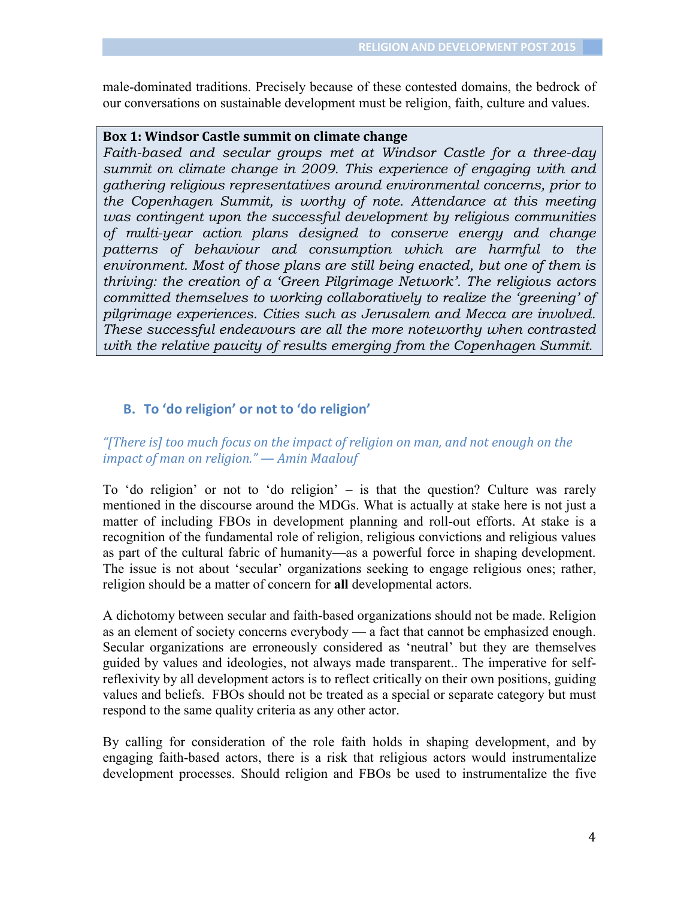male-dominated traditions. Precisely because of these contested domains, the bedrock of our conversations on sustainable development must be religion, faith, culture and values.

#### **Box 1: Windsor Castle summit on climate change**

*Faith-based and secular groups met at Windsor Castle for a three-day summit on climate change in 2009. This experience of engaging with and gathering religious representatives around environmental concerns, prior to the Copenhagen Summit, is worthy of note. Attendance at this meeting was contingent upon the successful development by religious communities of multi-year action plans designed to conserve energy and change patterns of behaviour and consumption which are harmful to the environment. Most of those plans are still being enacted, but one of them is thriving: the creation of a 'Green Pilgrimage Network'. The religious actors committed themselves to working collaboratively to realize the 'greening' of pilgrimage experiences. Cities such as Jerusalem and Mecca are involved. These successful endeavours are all the more noteworthy when contrasted with the relative paucity of results emerging from the Copenhagen Summit*.

# **B. To 'do religion' or not to 'do religion'**

# *"[There is] too much focus on the impact of religion on man, and not enough on the impact of man on religion." — Amin Maalouf*

To 'do religion' or not to 'do religion' – is that the question? Culture was rarely mentioned in the discourse around the MDGs. What is actually at stake here is not just a matter of including FBOs in development planning and roll-out efforts. At stake is a recognition of the fundamental role of religion, religious convictions and religious values as part of the cultural fabric of humanity—as a powerful force in shaping development. The issue is not about 'secular' organizations seeking to engage religious ones; rather, religion should be a matter of concern for **all** developmental actors.

A dichotomy between secular and faith-based organizations should not be made. Religion as an element of society concerns everybody — a fact that cannot be emphasized enough. Secular organizations are erroneously considered as 'neutral' but they are themselves guided by values and ideologies, not always made transparent.. The imperative for selfreflexivity by all development actors is to reflect critically on their own positions, guiding values and beliefs. FBOs should not be treated as a special or separate category but must respond to the same quality criteria as any other actor.

By calling for consideration of the role faith holds in shaping development, and by engaging faith-based actors, there is a risk that religious actors would instrumentalize development processes. Should religion and FBOs be used to instrumentalize the five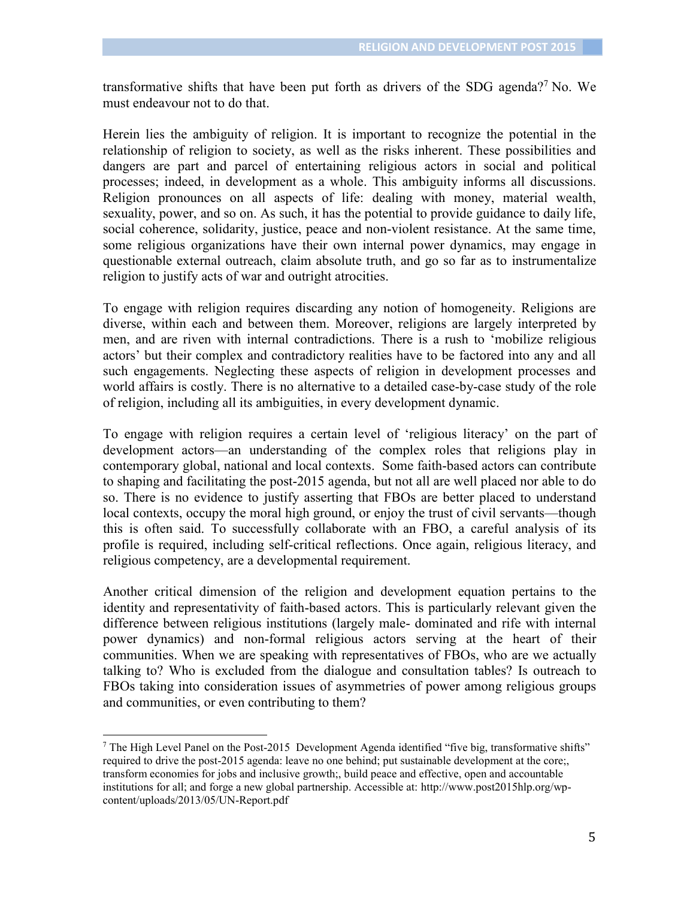transformative shifts that have been put forth as drivers of the SDG agenda?<sup>7</sup> No. We must endeavour not to do that.

Herein lies the ambiguity of religion. It is important to recognize the potential in the relationship of religion to society, as well as the risks inherent. These possibilities and dangers are part and parcel of entertaining religious actors in social and political processes; indeed, in development as a whole. This ambiguity informs all discussions. Religion pronounces on all aspects of life: dealing with money, material wealth, sexuality, power, and so on. As such, it has the potential to provide guidance to daily life, social coherence, solidarity, justice, peace and non-violent resistance. At the same time, some religious organizations have their own internal power dynamics, may engage in questionable external outreach, claim absolute truth, and go so far as to instrumentalize religion to justify acts of war and outright atrocities.

To engage with religion requires discarding any notion of homogeneity. Religions are diverse, within each and between them. Moreover, religions are largely interpreted by men, and are riven with internal contradictions. There is a rush to 'mobilize religious actors' but their complex and contradictory realities have to be factored into any and all such engagements. Neglecting these aspects of religion in development processes and world affairs is costly. There is no alternative to a detailed case-by-case study of the role of religion, including all its ambiguities, in every development dynamic.

To engage with religion requires a certain level of 'religious literacy' on the part of development actors—an understanding of the complex roles that religions play in contemporary global, national and local contexts. Some faith-based actors can contribute to shaping and facilitating the post-2015 agenda, but not all are well placed nor able to do so. There is no evidence to justify asserting that FBOs are better placed to understand local contexts, occupy the moral high ground, or enjoy the trust of civil servants—though this is often said. To successfully collaborate with an FBO, a careful analysis of its profile is required, including self-critical reflections. Once again, religious literacy, and religious competency, are a developmental requirement.

Another critical dimension of the religion and development equation pertains to the identity and representativity of faith-based actors. This is particularly relevant given the difference between religious institutions (largely male- dominated and rife with internal power dynamics) and non-formal religious actors serving at the heart of their communities. When we are speaking with representatives of FBOs, who are we actually talking to? Who is excluded from the dialogue and consultation tables? Is outreach to FBOs taking into consideration issues of asymmetries of power among religious groups and communities, or even contributing to them?

 $<sup>7</sup>$  The High Level Panel on the Post-2015 Development Agenda identified "five big, transformative shifts"</sup> required to drive the post-2015 agenda: leave no one behind; put sustainable development at the core;, transform economies for jobs and inclusive growth;, build peace and effective, open and accountable institutions for all; and forge a new global partnership. Accessible at: http://www.post2015hlp.org/wpcontent/uploads/2013/05/UN-Report.pdf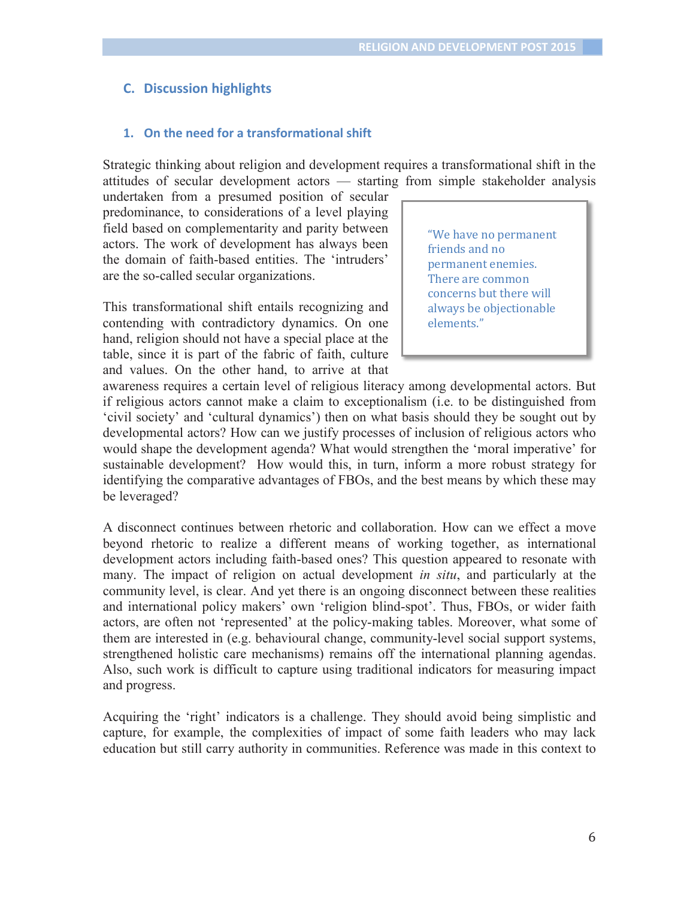## **C. Discussion highlights**

#### **1. On the need for a transformational shift**

Strategic thinking about religion and development requires a transformational shift in the attitudes of secular development actors — starting from simple stakeholder analysis

undertaken from a presumed position of secular predominance, to considerations of a level playing field based on complementarity and parity between actors. The work of development has always been the domain of faith-based entities. The 'intruders' are the so-called secular organizations.

This transformational shift entails recognizing and contending with contradictory dynamics. On one hand, religion should not have a special place at the table, since it is part of the fabric of faith, culture and values. On the other hand, to arrive at that "We have no permanent friends and no permanent enemies. There are common concerns but there will always be objectionable elements."

awareness requires a certain level of religious literacy among developmental actors. But if religious actors cannot make a claim to exceptionalism (i.e. to be distinguished from 'civil society' and 'cultural dynamics') then on what basis should they be sought out by developmental actors? How can we justify processes of inclusion of religious actors who would shape the development agenda? What would strengthen the 'moral imperative' for sustainable development? How would this, in turn, inform a more robust strategy for identifying the comparative advantages of FBOs, and the best means by which these may be leveraged?

A disconnect continues between rhetoric and collaboration. How can we effect a move beyond rhetoric to realize a different means of working together, as international development actors including faith-based ones? This question appeared to resonate with many. The impact of religion on actual development *in situ*, and particularly at the community level, is clear. And yet there is an ongoing disconnect between these realities and international policy makers' own 'religion blind-spot'. Thus, FBOs, or wider faith actors, are often not 'represented' at the policy-making tables. Moreover, what some of them are interested in (e.g. behavioural change, community-level social support systems, strengthened holistic care mechanisms) remains off the international planning agendas. Also, such work is difficult to capture using traditional indicators for measuring impact and progress.

Acquiring the 'right' indicators is a challenge. They should avoid being simplistic and capture, for example, the complexities of impact of some faith leaders who may lack education but still carry authority in communities. Reference was made in this context to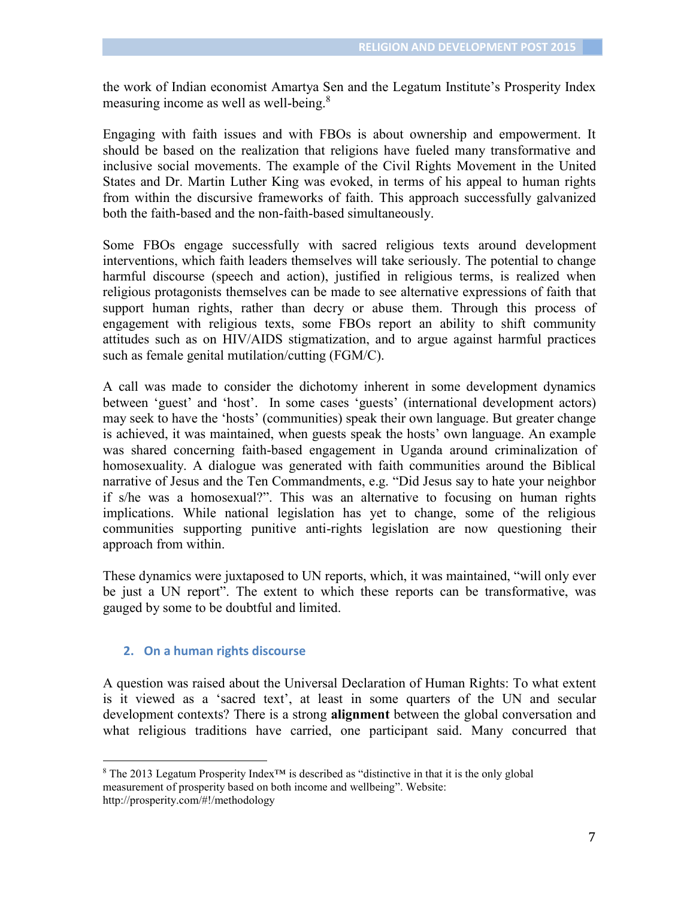the work of Indian economist Amartya Sen and the Legatum Institute's Prosperity Index measuring income as well as well-being.<sup>8</sup>

Engaging with faith issues and with FBOs is about ownership and empowerment. It should be based on the realization that religions have fueled many transformative and inclusive social movements. The example of the Civil Rights Movement in the United States and Dr. Martin Luther King was evoked, in terms of his appeal to human rights from within the discursive frameworks of faith. This approach successfully galvanized both the faith-based and the non-faith-based simultaneously.

Some FBOs engage successfully with sacred religious texts around development interventions, which faith leaders themselves will take seriously. The potential to change harmful discourse (speech and action), justified in religious terms, is realized when religious protagonists themselves can be made to see alternative expressions of faith that support human rights, rather than decry or abuse them. Through this process of engagement with religious texts, some FBOs report an ability to shift community attitudes such as on HIV/AIDS stigmatization, and to argue against harmful practices such as female genital mutilation/cutting (FGM/C).

A call was made to consider the dichotomy inherent in some development dynamics between 'guest' and 'host'. In some cases 'guests' (international development actors) may seek to have the 'hosts' (communities) speak their own language. But greater change is achieved, it was maintained, when guests speak the hosts' own language. An example was shared concerning faith-based engagement in Uganda around criminalization of homosexuality. A dialogue was generated with faith communities around the Biblical narrative of Jesus and the Ten Commandments, e.g. "Did Jesus say to hate your neighbor if s/he was a homosexual?". This was an alternative to focusing on human rights implications. While national legislation has yet to change, some of the religious communities supporting punitive anti-rights legislation are now questioning their approach from within.

These dynamics were juxtaposed to UN reports, which, it was maintained, "will only ever be just a UN report". The extent to which these reports can be transformative, was gauged by some to be doubtful and limited.

#### **2. On a human rights discourse**

A question was raised about the Universal Declaration of Human Rights: To what extent is it viewed as a 'sacred text', at least in some quarters of the UN and secular development contexts? There is a strong **alignment** between the global conversation and what religious traditions have carried, one participant said. Many concurred that

<sup>&</sup>lt;sup>8</sup> The 2013 Legatum Prosperity Index<sup>™</sup> is described as "distinctive in that it is the only global measurement of prosperity based on both income and wellbeing". Website: http://prosperity.com/#!/methodology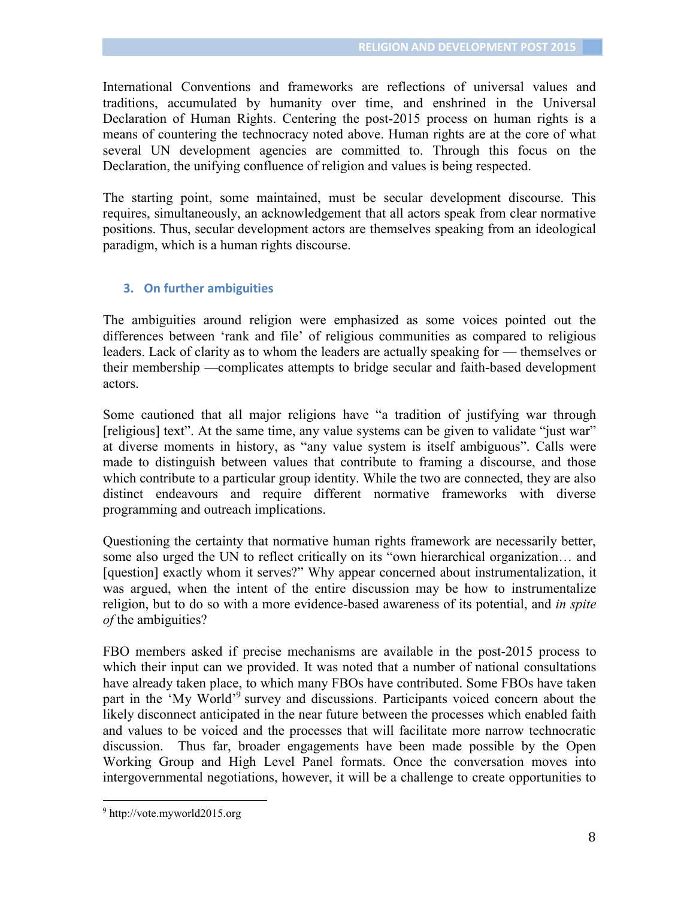International Conventions and frameworks are reflections of universal values and traditions, accumulated by humanity over time, and enshrined in the Universal Declaration of Human Rights. Centering the post-2015 process on human rights is a means of countering the technocracy noted above. Human rights are at the core of what several UN development agencies are committed to. Through this focus on the Declaration, the unifying confluence of religion and values is being respected.

The starting point, some maintained, must be secular development discourse. This requires, simultaneously, an acknowledgement that all actors speak from clear normative positions. Thus, secular development actors are themselves speaking from an ideological paradigm, which is a human rights discourse.

### **3. On further ambiguities**

The ambiguities around religion were emphasized as some voices pointed out the differences between 'rank and file' of religious communities as compared to religious leaders. Lack of clarity as to whom the leaders are actually speaking for — themselves or their membership —complicates attempts to bridge secular and faith-based development actors.

Some cautioned that all major religions have "a tradition of justifying war through [religious] text". At the same time, any value systems can be given to validate "just war" at diverse moments in history, as "any value system is itself ambiguous". Calls were made to distinguish between values that contribute to framing a discourse, and those which contribute to a particular group identity. While the two are connected, they are also distinct endeavours and require different normative frameworks with diverse programming and outreach implications.

Questioning the certainty that normative human rights framework are necessarily better, some also urged the UN to reflect critically on its "own hierarchical organization… and [question] exactly whom it serves?" Why appear concerned about instrumentalization, it was argued, when the intent of the entire discussion may be how to instrumentalize religion, but to do so with a more evidence-based awareness of its potential, and *in spite of* the ambiguities?

FBO members asked if precise mechanisms are available in the post-2015 process to which their input can we provided. It was noted that a number of national consultations have already taken place, to which many FBOs have contributed. Some FBOs have taken part in the 'My World'<sup>9</sup> survey and discussions. Participants voiced concern about the likely disconnect anticipated in the near future between the processes which enabled faith and values to be voiced and the processes that will facilitate more narrow technocratic discussion. Thus far, broader engagements have been made possible by the Open Working Group and High Level Panel formats. Once the conversation moves into intergovernmental negotiations, however, it will be a challenge to create opportunities to

<sup>9</sup> http://vote.myworld2015.org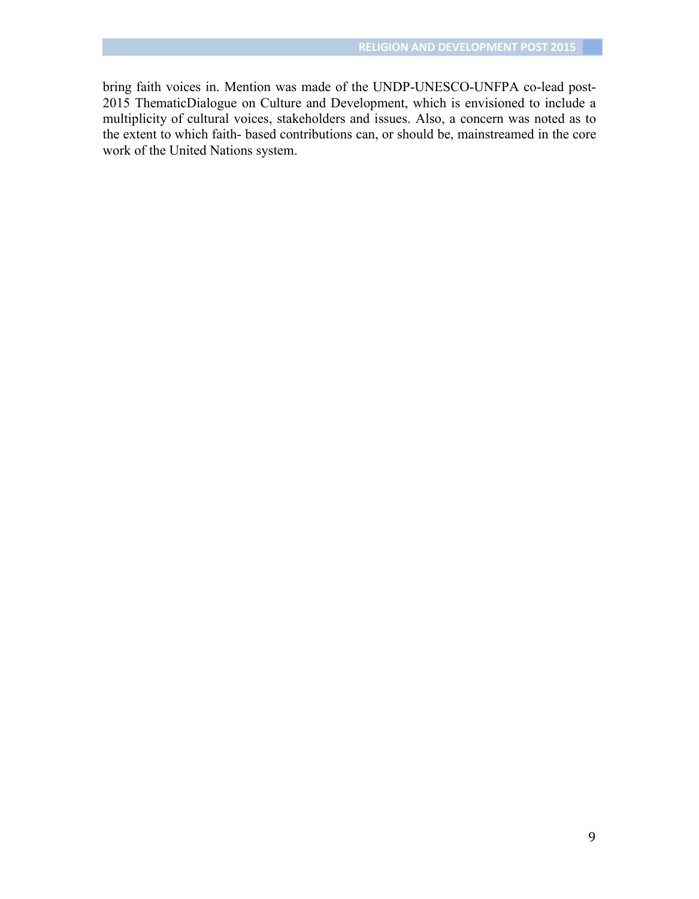bring faith voices in. Mention was made of the UNDP-UNESCO-UNFPA co-lead post-2015 ThematicDialogue on Culture and Development, which is envisioned to include a multiplicity of cultural voices, stakeholders and issues. Also, a concern was noted as to the extent to which faith- based contributions can, or should be, mainstreamed in the core work of the United Nations system.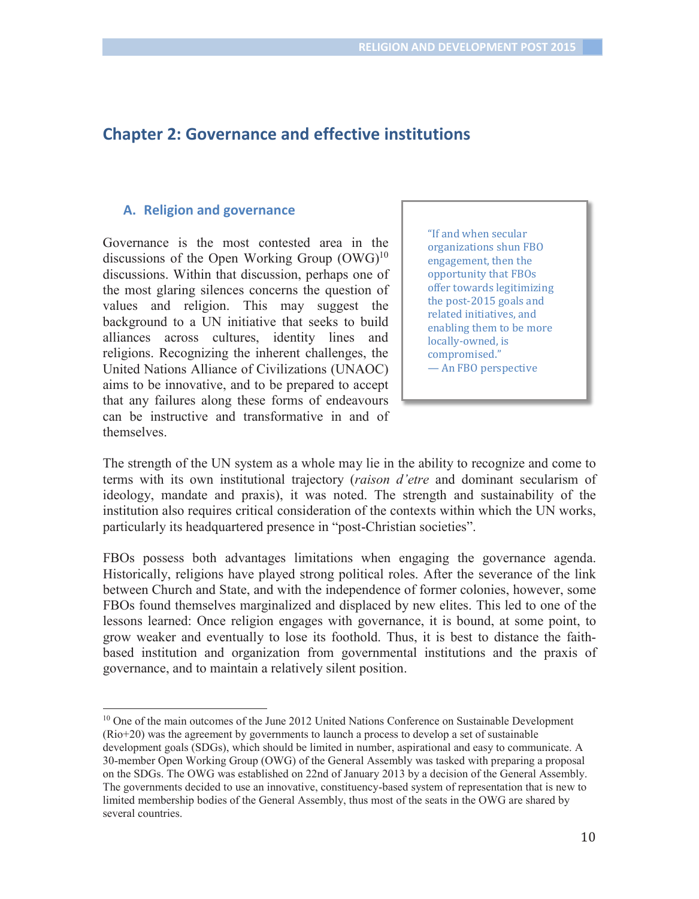# **Chapter 2: Governance and effective institutions**

#### **A. Religion and governance**

Governance is the most contested area in the discussions of the Open Working Group  $(OWG)^{10}$ discussions. Within that discussion, perhaps one of the most glaring silences concerns the question of values and religion. This may suggest the background to a UN initiative that seeks to build alliances across cultures, identity lines and religions. Recognizing the inherent challenges, the United Nations Alliance of Civilizations (UNAOC) aims to be innovative, and to be prepared to accept that any failures along these forms of endeavours can be instructive and transformative in and of themselves.

"If and when secular organizations shun FBO engagement, then the opportunity that FBOs offer towards legitimizing the post-2015 goals and related initiatives, and enabling them to be more locally-owned, is compromised." — An FBO perspective

The strength of the UN system as a whole may lie in the ability to recognize and come to terms with its own institutional trajectory (*raison d'etre* and dominant secularism of ideology, mandate and praxis), it was noted. The strength and sustainability of the institution also requires critical consideration of the contexts within which the UN works, particularly its headquartered presence in "post-Christian societies".

FBOs possess both advantages limitations when engaging the governance agenda. Historically, religions have played strong political roles. After the severance of the link between Church and State, and with the independence of former colonies, however, some FBOs found themselves marginalized and displaced by new elites. This led to one of the lessons learned: Once religion engages with governance, it is bound, at some point, to grow weaker and eventually to lose its foothold. Thus, it is best to distance the faithbased institution and organization from governmental institutions and the praxis of governance, and to maintain a relatively silent position.

<sup>10</sup> One of the main outcomes of the June 2012 United Nations Conference on Sustainable Development (Rio+20) was the agreement by governments to launch a process to develop a set of sustainable development goals (SDGs), which should be limited in number, aspirational and easy to communicate. A

<sup>30-</sup>member Open Working Group (OWG) of the General Assembly was tasked with preparing a proposal on the SDGs. The OWG was established on 22nd of January 2013 by a decision of the General Assembly. The governments decided to use an innovative, constituency-based system of representation that is new to limited membership bodies of the General Assembly, thus most of the seats in the OWG are shared by several countries.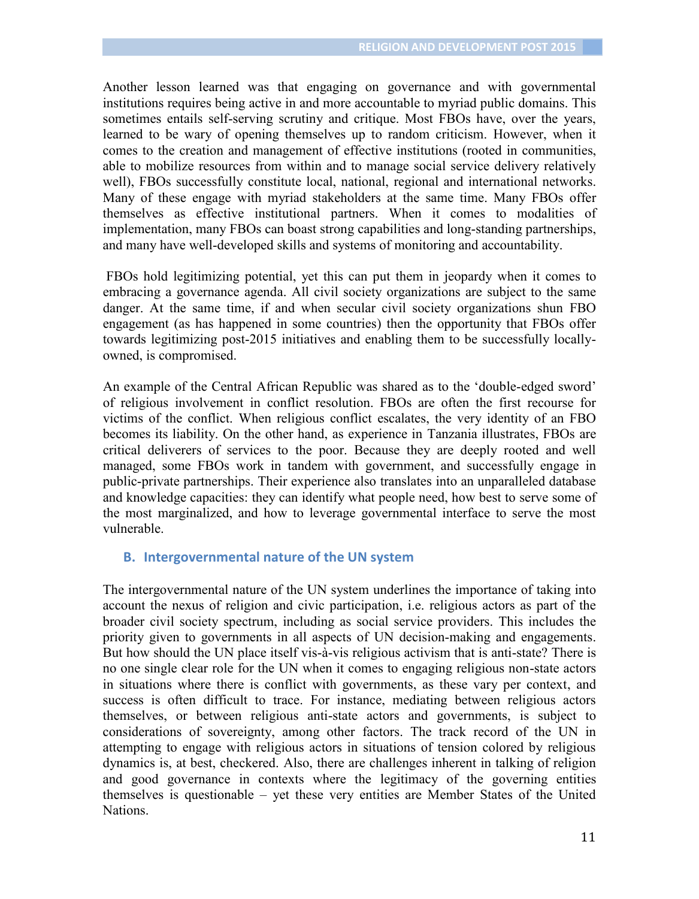Another lesson learned was that engaging on governance and with governmental institutions requires being active in and more accountable to myriad public domains. This sometimes entails self-serving scrutiny and critique. Most FBOs have, over the years, learned to be wary of opening themselves up to random criticism. However, when it comes to the creation and management of effective institutions (rooted in communities, able to mobilize resources from within and to manage social service delivery relatively well), FBOs successfully constitute local, national, regional and international networks. Many of these engage with myriad stakeholders at the same time. Many FBOs offer themselves as effective institutional partners. When it comes to modalities of implementation, many FBOs can boast strong capabilities and long-standing partnerships, and many have well-developed skills and systems of monitoring and accountability.

FBOs hold legitimizing potential, yet this can put them in jeopardy when it comes to embracing a governance agenda. All civil society organizations are subject to the same danger. At the same time, if and when secular civil society organizations shun FBO engagement (as has happened in some countries) then the opportunity that FBOs offer towards legitimizing post-2015 initiatives and enabling them to be successfully locallyowned, is compromised.

An example of the Central African Republic was shared as to the 'double-edged sword' of religious involvement in conflict resolution. FBOs are often the first recourse for victims of the conflict. When religious conflict escalates, the very identity of an FBO becomes its liability. On the other hand, as experience in Tanzania illustrates, FBOs are critical deliverers of services to the poor. Because they are deeply rooted and well managed, some FBOs work in tandem with government, and successfully engage in public-private partnerships. Their experience also translates into an unparalleled database and knowledge capacities: they can identify what people need, how best to serve some of the most marginalized, and how to leverage governmental interface to serve the most vulnerable.

## **B. Intergovernmental nature of the UN system**

The intergovernmental nature of the UN system underlines the importance of taking into account the nexus of religion and civic participation, i.e. religious actors as part of the broader civil society spectrum, including as social service providers. This includes the priority given to governments in all aspects of UN decision-making and engagements. But how should the UN place itself vis-à-vis religious activism that is anti-state? There is no one single clear role for the UN when it comes to engaging religious non-state actors in situations where there is conflict with governments, as these vary per context, and success is often difficult to trace. For instance, mediating between religious actors themselves, or between religious anti-state actors and governments, is subject to considerations of sovereignty, among other factors. The track record of the UN in attempting to engage with religious actors in situations of tension colored by religious dynamics is, at best, checkered. Also, there are challenges inherent in talking of religion and good governance in contexts where the legitimacy of the governing entities themselves is questionable – yet these very entities are Member States of the United Nations.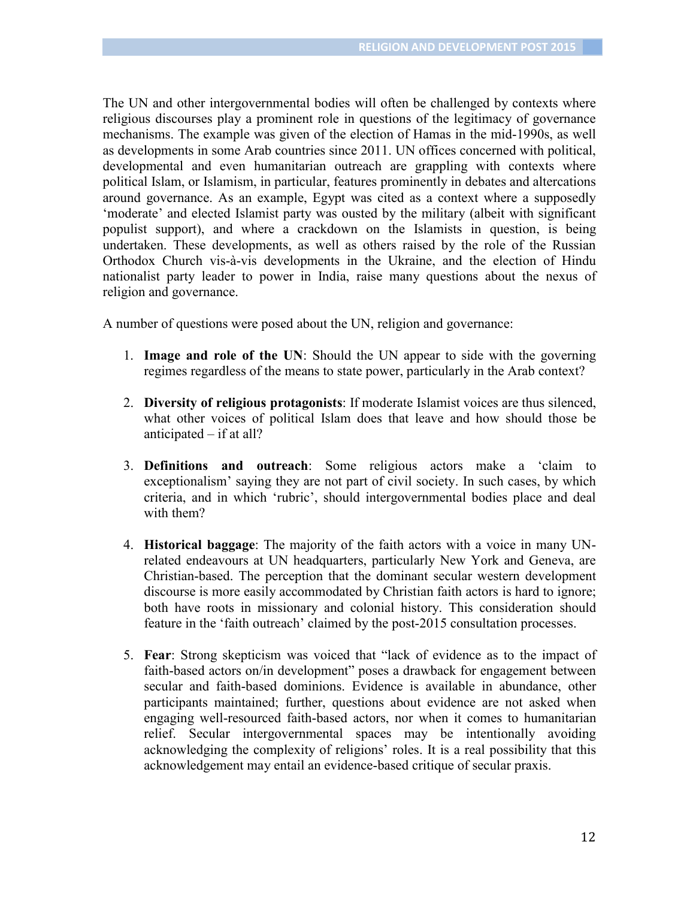The UN and other intergovernmental bodies will often be challenged by contexts where religious discourses play a prominent role in questions of the legitimacy of governance mechanisms. The example was given of the election of Hamas in the mid-1990s, as well as developments in some Arab countries since 2011. UN offices concerned with political, developmental and even humanitarian outreach are grappling with contexts where political Islam, or Islamism, in particular, features prominently in debates and altercations around governance. As an example, Egypt was cited as a context where a supposedly 'moderate' and elected Islamist party was ousted by the military (albeit with significant populist support), and where a crackdown on the Islamists in question, is being undertaken. These developments, as well as others raised by the role of the Russian Orthodox Church vis-à-vis developments in the Ukraine, and the election of Hindu nationalist party leader to power in India, raise many questions about the nexus of religion and governance.

A number of questions were posed about the UN, religion and governance:

- 1. **Image and role of the UN**: Should the UN appear to side with the governing regimes regardless of the means to state power, particularly in the Arab context?
- 2. **Diversity of religious protagonists**: If moderate Islamist voices are thus silenced, what other voices of political Islam does that leave and how should those be anticipated – if at all?
- 3. **Definitions and outreach**: Some religious actors make a 'claim to exceptionalism' saying they are not part of civil society. In such cases, by which criteria, and in which 'rubric', should intergovernmental bodies place and deal with them?
- 4. **Historical baggage**: The majority of the faith actors with a voice in many UNrelated endeavours at UN headquarters, particularly New York and Geneva, are Christian-based. The perception that the dominant secular western development discourse is more easily accommodated by Christian faith actors is hard to ignore; both have roots in missionary and colonial history. This consideration should feature in the 'faith outreach' claimed by the post-2015 consultation processes.
- 5. **Fear**: Strong skepticism was voiced that "lack of evidence as to the impact of faith-based actors on/in development" poses a drawback for engagement between secular and faith-based dominions. Evidence is available in abundance, other participants maintained; further, questions about evidence are not asked when engaging well-resourced faith-based actors, nor when it comes to humanitarian relief. Secular intergovernmental spaces may be intentionally avoiding acknowledging the complexity of religions' roles. It is a real possibility that this acknowledgement may entail an evidence-based critique of secular praxis.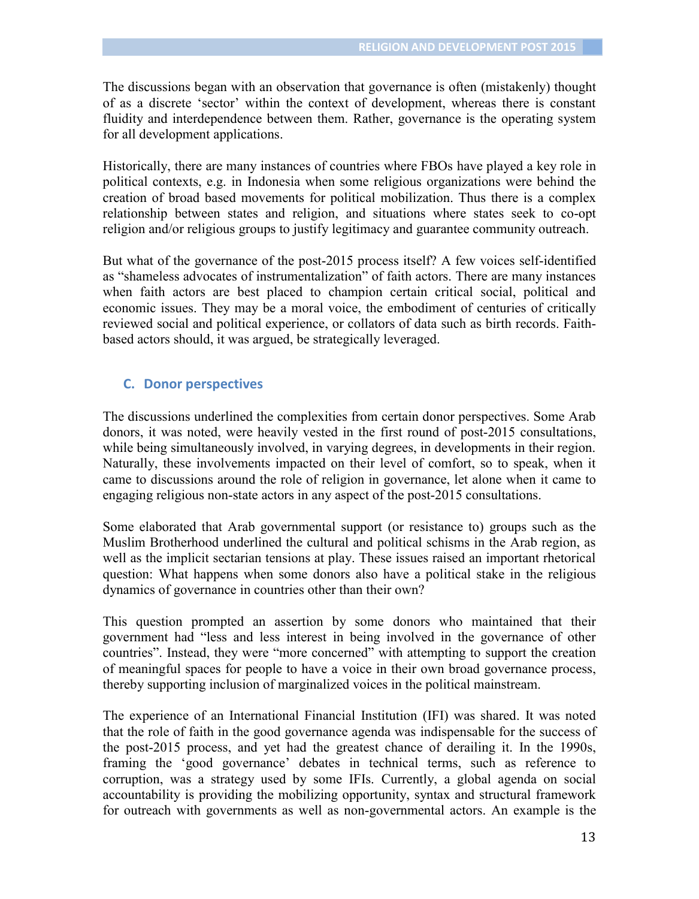The discussions began with an observation that governance is often (mistakenly) thought of as a discrete 'sector' within the context of development, whereas there is constant fluidity and interdependence between them. Rather, governance is the operating system for all development applications.

Historically, there are many instances of countries where FBOs have played a key role in political contexts, e.g. in Indonesia when some religious organizations were behind the creation of broad based movements for political mobilization. Thus there is a complex relationship between states and religion, and situations where states seek to co-opt religion and/or religious groups to justify legitimacy and guarantee community outreach.

But what of the governance of the post-2015 process itself? A few voices self-identified as "shameless advocates of instrumentalization" of faith actors. There are many instances when faith actors are best placed to champion certain critical social, political and economic issues. They may be a moral voice, the embodiment of centuries of critically reviewed social and political experience, or collators of data such as birth records. Faithbased actors should, it was argued, be strategically leveraged.

# **C. Donor perspectives**

The discussions underlined the complexities from certain donor perspectives. Some Arab donors, it was noted, were heavily vested in the first round of post-2015 consultations, while being simultaneously involved, in varying degrees, in developments in their region. Naturally, these involvements impacted on their level of comfort, so to speak, when it came to discussions around the role of religion in governance, let alone when it came to engaging religious non-state actors in any aspect of the post-2015 consultations.

Some elaborated that Arab governmental support (or resistance to) groups such as the Muslim Brotherhood underlined the cultural and political schisms in the Arab region, as well as the implicit sectarian tensions at play. These issues raised an important rhetorical question: What happens when some donors also have a political stake in the religious dynamics of governance in countries other than their own?

This question prompted an assertion by some donors who maintained that their government had "less and less interest in being involved in the governance of other countries". Instead, they were "more concerned" with attempting to support the creation of meaningful spaces for people to have a voice in their own broad governance process, thereby supporting inclusion of marginalized voices in the political mainstream.

The experience of an International Financial Institution (IFI) was shared. It was noted that the role of faith in the good governance agenda was indispensable for the success of the post-2015 process, and yet had the greatest chance of derailing it. In the 1990s, framing the 'good governance' debates in technical terms, such as reference to corruption, was a strategy used by some IFIs. Currently, a global agenda on social accountability is providing the mobilizing opportunity, syntax and structural framework for outreach with governments as well as non-governmental actors. An example is the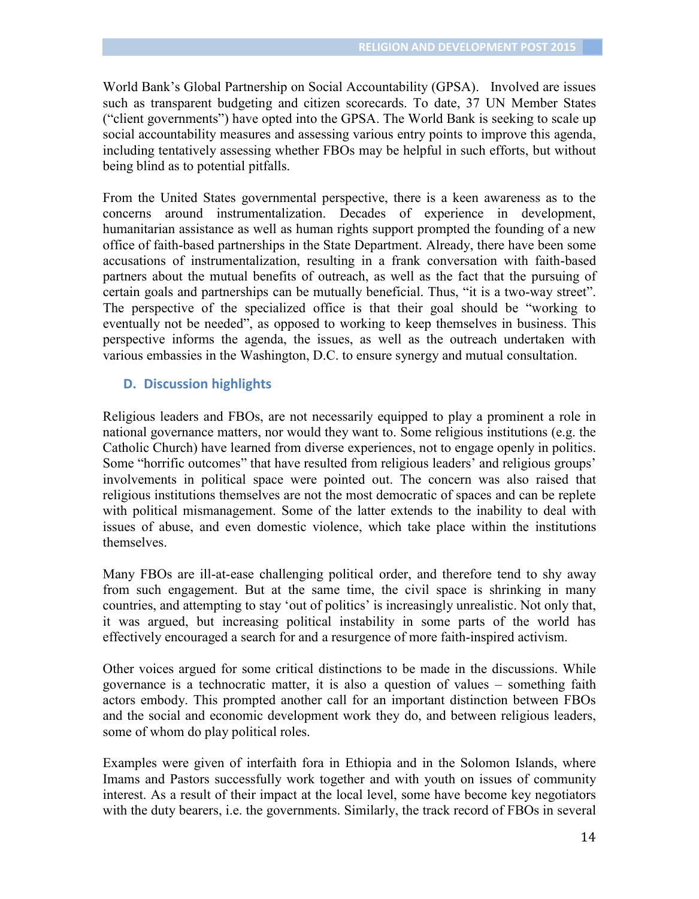World Bank's Global Partnership on Social Accountability (GPSA). Involved are issues such as transparent budgeting and citizen scorecards. To date, 37 UN Member States ("client governments") have opted into the GPSA. The World Bank is seeking to scale up social accountability measures and assessing various entry points to improve this agenda, including tentatively assessing whether FBOs may be helpful in such efforts, but without being blind as to potential pitfalls.

From the United States governmental perspective, there is a keen awareness as to the concerns around instrumentalization. Decades of experience in development, humanitarian assistance as well as human rights support prompted the founding of a new office of faith-based partnerships in the State Department. Already, there have been some accusations of instrumentalization, resulting in a frank conversation with faith-based partners about the mutual benefits of outreach, as well as the fact that the pursuing of certain goals and partnerships can be mutually beneficial. Thus, "it is a two-way street". The perspective of the specialized office is that their goal should be "working to eventually not be needed", as opposed to working to keep themselves in business. This perspective informs the agenda, the issues, as well as the outreach undertaken with various embassies in the Washington, D.C. to ensure synergy and mutual consultation.

# **D. Discussion highlights**

Religious leaders and FBOs, are not necessarily equipped to play a prominent a role in national governance matters, nor would they want to. Some religious institutions (e.g. the Catholic Church) have learned from diverse experiences, not to engage openly in politics. Some "horrific outcomes" that have resulted from religious leaders' and religious groups' involvements in political space were pointed out. The concern was also raised that religious institutions themselves are not the most democratic of spaces and can be replete with political mismanagement. Some of the latter extends to the inability to deal with issues of abuse, and even domestic violence, which take place within the institutions themselves.

Many FBOs are ill-at-ease challenging political order, and therefore tend to shy away from such engagement. But at the same time, the civil space is shrinking in many countries, and attempting to stay 'out of politics' is increasingly unrealistic. Not only that, it was argued, but increasing political instability in some parts of the world has effectively encouraged a search for and a resurgence of more faith-inspired activism.

Other voices argued for some critical distinctions to be made in the discussions. While governance is a technocratic matter, it is also a question of values – something faith actors embody. This prompted another call for an important distinction between FBOs and the social and economic development work they do, and between religious leaders, some of whom do play political roles.

Examples were given of interfaith fora in Ethiopia and in the Solomon Islands, where Imams and Pastors successfully work together and with youth on issues of community interest. As a result of their impact at the local level, some have become key negotiators with the duty bearers, i.e. the governments. Similarly, the track record of FBOs in several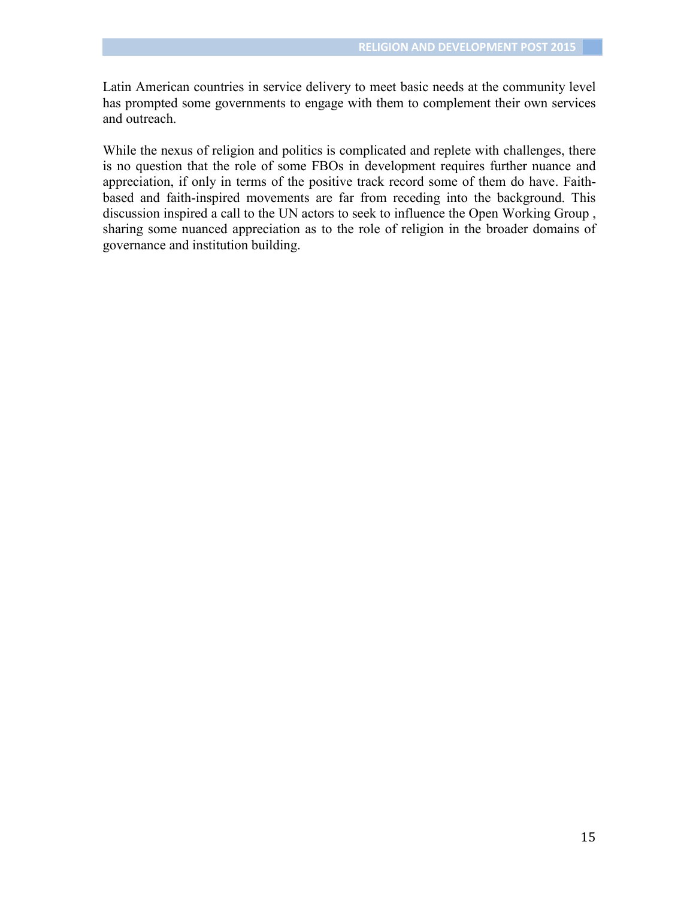Latin American countries in service delivery to meet basic needs at the community level has prompted some governments to engage with them to complement their own services and outreach.

While the nexus of religion and politics is complicated and replete with challenges, there is no question that the role of some FBOs in development requires further nuance and appreciation, if only in terms of the positive track record some of them do have. Faithbased and faith-inspired movements are far from receding into the background. This discussion inspired a call to the UN actors to seek to influence the Open Working Group , sharing some nuanced appreciation as to the role of religion in the broader domains of governance and institution building.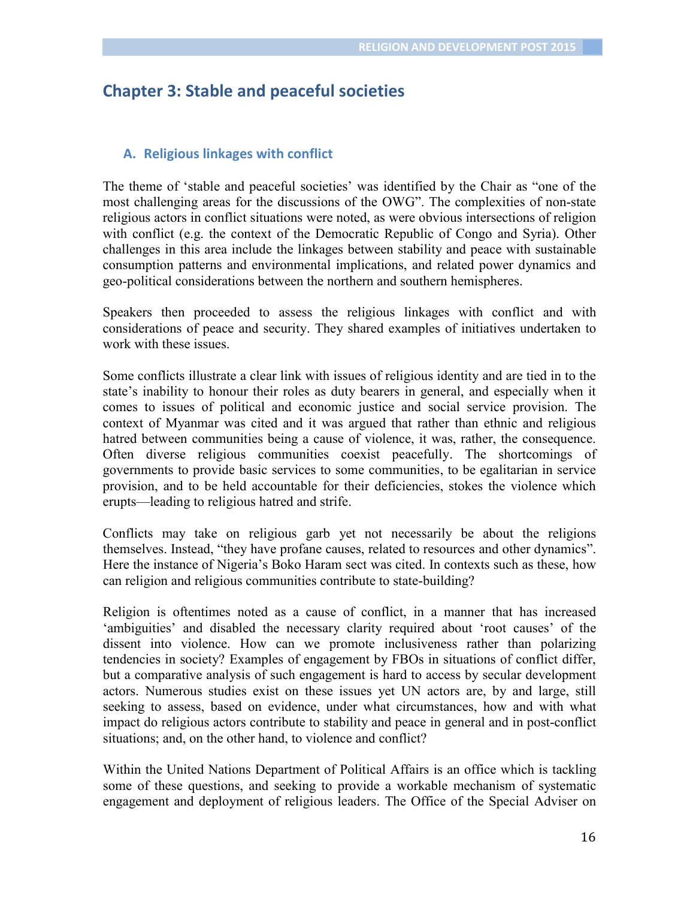# **Chapter 3: Stable and peaceful societies**

## **A. Religious linkages with conflict**

The theme of 'stable and peaceful societies' was identified by the Chair as "one of the most challenging areas for the discussions of the OWG". The complexities of non-state religious actors in conflict situations were noted, as were obvious intersections of religion with conflict (e.g. the context of the Democratic Republic of Congo and Syria). Other challenges in this area include the linkages between stability and peace with sustainable consumption patterns and environmental implications, and related power dynamics and geo-political considerations between the northern and southern hemispheres.

Speakers then proceeded to assess the religious linkages with conflict and with considerations of peace and security. They shared examples of initiatives undertaken to work with these issues.

Some conflicts illustrate a clear link with issues of religious identity and are tied in to the state's inability to honour their roles as duty bearers in general, and especially when it comes to issues of political and economic justice and social service provision. The context of Myanmar was cited and it was argued that rather than ethnic and religious hatred between communities being a cause of violence, it was, rather, the consequence. Often diverse religious communities coexist peacefully. The shortcomings of governments to provide basic services to some communities, to be egalitarian in service provision, and to be held accountable for their deficiencies, stokes the violence which erupts—leading to religious hatred and strife.

Conflicts may take on religious garb yet not necessarily be about the religions themselves. Instead, "they have profane causes, related to resources and other dynamics". Here the instance of Nigeria's Boko Haram sect was cited. In contexts such as these, how can religion and religious communities contribute to state-building?

Religion is oftentimes noted as a cause of conflict, in a manner that has increased 'ambiguities' and disabled the necessary clarity required about 'root causes' of the dissent into violence. How can we promote inclusiveness rather than polarizing tendencies in society? Examples of engagement by FBOs in situations of conflict differ, but a comparative analysis of such engagement is hard to access by secular development actors. Numerous studies exist on these issues yet UN actors are, by and large, still seeking to assess, based on evidence, under what circumstances, how and with what impact do religious actors contribute to stability and peace in general and in post-conflict situations; and, on the other hand, to violence and conflict?

Within the United Nations Department of Political Affairs is an office which is tackling some of these questions, and seeking to provide a workable mechanism of systematic engagement and deployment of religious leaders. The Office of the Special Adviser on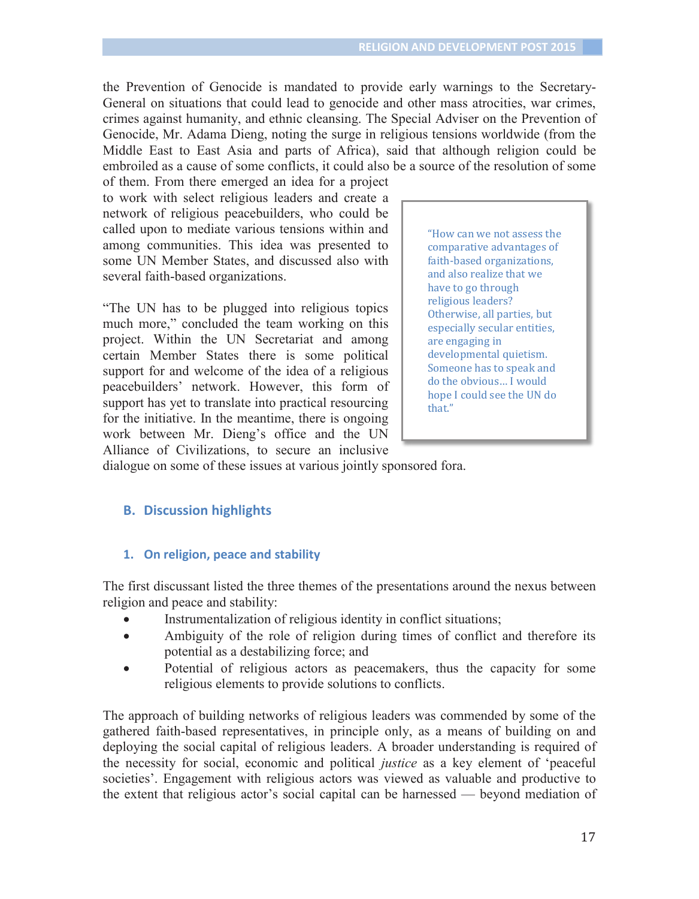the Prevention of Genocide is mandated to provide early warnings to the Secretary-General on situations that could lead to genocide and other mass atrocities, war crimes, crimes against humanity, and ethnic cleansing. The Special Adviser on the Prevention of Genocide, Mr. Adama Dieng, noting the surge in religious tensions worldwide (from the Middle East to East Asia and parts of Africa), said that although religion could be embroiled as a cause of some conflicts, it could also be a source of the resolution of some

of them. From there emerged an idea for a project to work with select religious leaders and create a network of religious peacebuilders, who could be called upon to mediate various tensions within and among communities. This idea was presented to some UN Member States, and discussed also with several faith-based organizations.

"The UN has to be plugged into religious topics much more," concluded the team working on this project. Within the UN Secretariat and among certain Member States there is some political support for and welcome of the idea of a religious peacebuilders' network. However, this form of support has yet to translate into practical resourcing for the initiative. In the meantime, there is ongoing work between Mr. Dieng's office and the UN Alliance of Civilizations, to secure an inclusive "How can we not assess the comparative advantages of faith-based organizations, and also realize that we have to go through religious leaders? Otherwise, all parties, but especially secular entities, are engaging in developmental quietism. Someone has to speak and do the obvious… I would hope I could see the UN do that."

dialogue on some of these issues at various jointly sponsored fora.

#### **B. Discussion highlights**

#### **1. On religion, peace and stability**

The first discussant listed the three themes of the presentations around the nexus between religion and peace and stability:

- Instrumentalization of religious identity in conflict situations;
- Ambiguity of the role of religion during times of conflict and therefore its potential as a destabilizing force; and
- Potential of religious actors as peacemakers, thus the capacity for some religious elements to provide solutions to conflicts.

The approach of building networks of religious leaders was commended by some of the gathered faith-based representatives, in principle only, as a means of building on and deploying the social capital of religious leaders. A broader understanding is required of the necessity for social, economic and political *justice* as a key element of 'peaceful societies'. Engagement with religious actors was viewed as valuable and productive to the extent that religious actor's social capital can be harnessed — beyond mediation of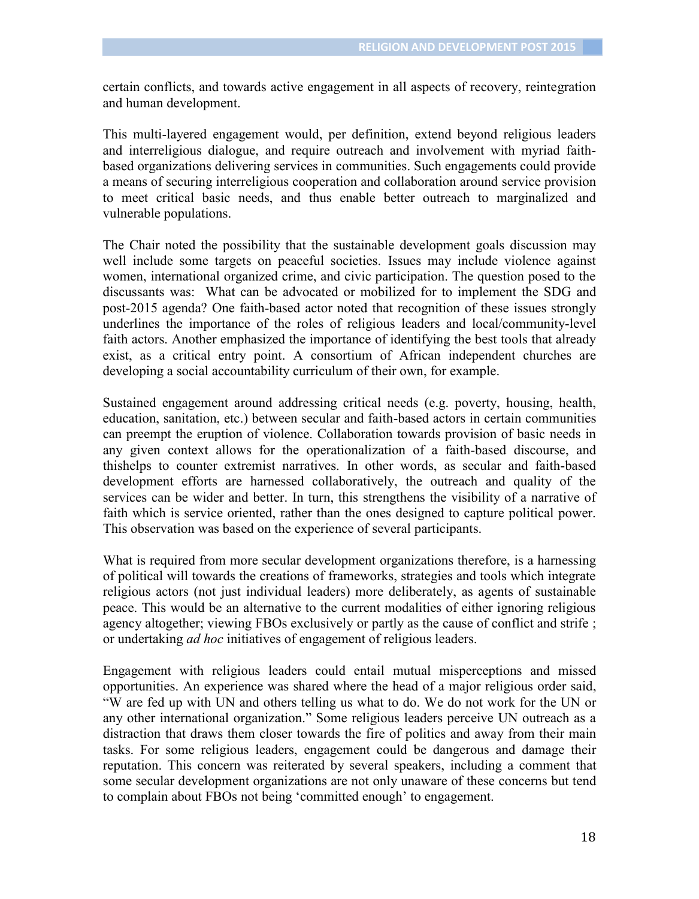certain conflicts, and towards active engagement in all aspects of recovery, reintegration and human development.

This multi-layered engagement would, per definition, extend beyond religious leaders and interreligious dialogue, and require outreach and involvement with myriad faithbased organizations delivering services in communities. Such engagements could provide a means of securing interreligious cooperation and collaboration around service provision to meet critical basic needs, and thus enable better outreach to marginalized and vulnerable populations.

The Chair noted the possibility that the sustainable development goals discussion may well include some targets on peaceful societies. Issues may include violence against women, international organized crime, and civic participation. The question posed to the discussants was: What can be advocated or mobilized for to implement the SDG and post-2015 agenda? One faith-based actor noted that recognition of these issues strongly underlines the importance of the roles of religious leaders and local/community-level faith actors. Another emphasized the importance of identifying the best tools that already exist, as a critical entry point. A consortium of African independent churches are developing a social accountability curriculum of their own, for example.

Sustained engagement around addressing critical needs (e.g. poverty, housing, health, education, sanitation, etc.) between secular and faith-based actors in certain communities can preempt the eruption of violence. Collaboration towards provision of basic needs in any given context allows for the operationalization of a faith-based discourse, and thishelps to counter extremist narratives. In other words, as secular and faith-based development efforts are harnessed collaboratively, the outreach and quality of the services can be wider and better. In turn, this strengthens the visibility of a narrative of faith which is service oriented, rather than the ones designed to capture political power. This observation was based on the experience of several participants.

What is required from more secular development organizations therefore, is a harnessing of political will towards the creations of frameworks, strategies and tools which integrate religious actors (not just individual leaders) more deliberately, as agents of sustainable peace. This would be an alternative to the current modalities of either ignoring religious agency altogether; viewing FBOs exclusively or partly as the cause of conflict and strife ; or undertaking *ad hoc* initiatives of engagement of religious leaders.

Engagement with religious leaders could entail mutual misperceptions and missed opportunities. An experience was shared where the head of a major religious order said, "W are fed up with UN and others telling us what to do. We do not work for the UN or any other international organization." Some religious leaders perceive UN outreach as a distraction that draws them closer towards the fire of politics and away from their main tasks. For some religious leaders, engagement could be dangerous and damage their reputation. This concern was reiterated by several speakers, including a comment that some secular development organizations are not only unaware of these concerns but tend to complain about FBOs not being 'committed enough' to engagement.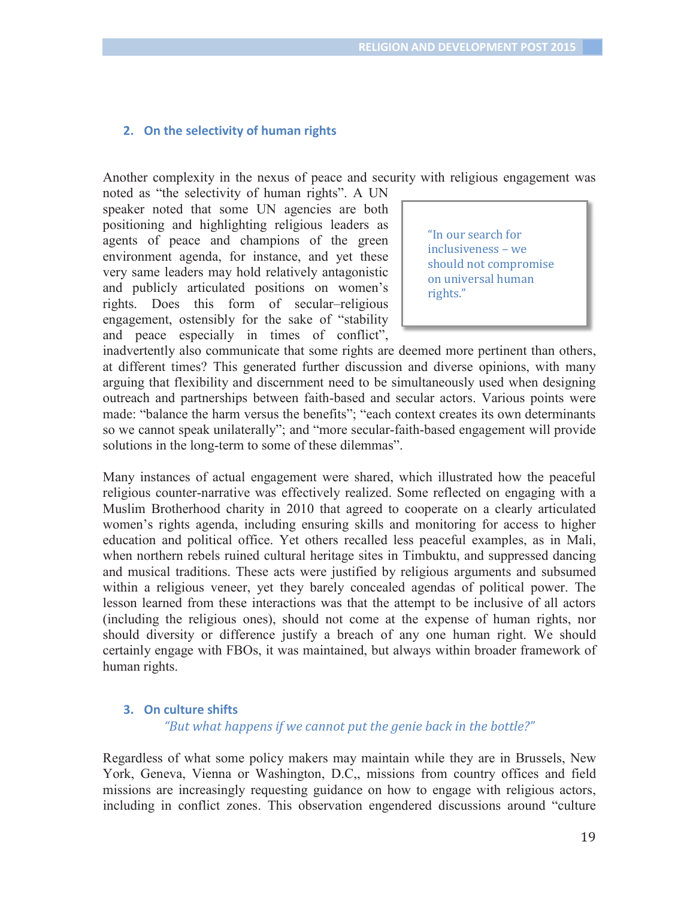#### **2. On the selectivity of human rights**

Another complexity in the nexus of peace and security with religious engagement was

noted as "the selectivity of human rights". A UN speaker noted that some UN agencies are both positioning and highlighting religious leaders as agents of peace and champions of the green environment agenda, for instance, and yet these very same leaders may hold relatively antagonistic and publicly articulated positions on women's rights. Does this form of secular–religious engagement, ostensibly for the sake of "stability and peace especially in times of conflict",

"In our search for inclusiveness – we should not compromise on universal human rights."

inadvertently also communicate that some rights are deemed more pertinent than others, at different times? This generated further discussion and diverse opinions, with many arguing that flexibility and discernment need to be simultaneously used when designing outreach and partnerships between faith-based and secular actors. Various points were made: "balance the harm versus the benefits"; "each context creates its own determinants so we cannot speak unilaterally"; and "more secular-faith-based engagement will provide solutions in the long-term to some of these dilemmas".

Many instances of actual engagement were shared, which illustrated how the peaceful religious counter-narrative was effectively realized. Some reflected on engaging with a Muslim Brotherhood charity in 2010 that agreed to cooperate on a clearly articulated women's rights agenda, including ensuring skills and monitoring for access to higher education and political office. Yet others recalled less peaceful examples, as in Mali, when northern rebels ruined cultural heritage sites in Timbuktu, and suppressed dancing and musical traditions. These acts were justified by religious arguments and subsumed within a religious veneer, yet they barely concealed agendas of political power. The lesson learned from these interactions was that the attempt to be inclusive of all actors (including the religious ones), should not come at the expense of human rights, nor should diversity or difference justify a breach of any one human right. We should certainly engage with FBOs, it was maintained, but always within broader framework of human rights.

## **3. On culture shifts** *"But what happens if we cannot put the genie back in the bottle?"*

Regardless of what some policy makers may maintain while they are in Brussels, New York, Geneva, Vienna or Washington, D.C,, missions from country offices and field missions are increasingly requesting guidance on how to engage with religious actors, including in conflict zones. This observation engendered discussions around "culture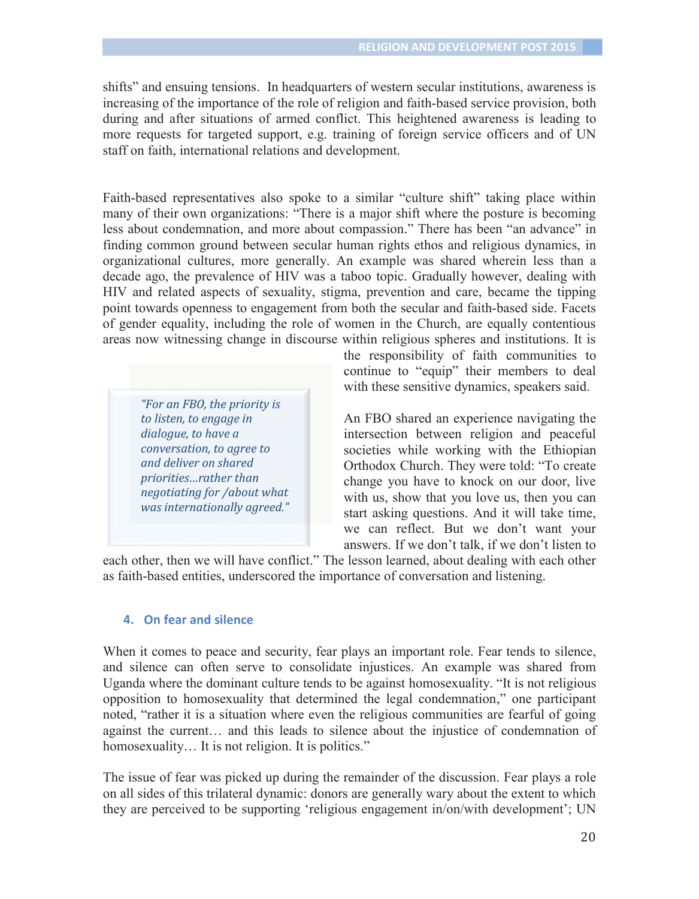shifts" and ensuing tensions. In headquarters of western secular institutions, awareness is increasing of the importance of the role of religion and faith-based service provision, both during and after situations of armed conflict. This heightened awareness is leading to more requests for targeted support, e.g. training of foreign service officers and of UN staff on faith, international relations and development.

Faith-based representatives also spoke to a similar "culture shift" taking place within many of their own organizations: "There is a major shift where the posture is becoming less about condemnation, and more about compassion." There has been "an advance" in finding common ground between secular human rights ethos and religious dynamics, in organizational cultures, more generally. An example was shared wherein less than a decade ago, the prevalence of HIV was a taboo topic. Gradually however, dealing with HIV and related aspects of sexuality, stigma, prevention and care, became the tipping point towards openness to engagement from both the secular and faith-based side. Facets of gender equality, including the role of women in the Church, are equally contentious areas now witnessing change in discourse within religious spheres and institutions. It is

*"For an FBO, the priority is to listen, to engage in dialogue, to have a conversation, to agree to and deliver on shared priorities…rather than negotiating for /about what was internationally agreed."*  the responsibility of faith communities to continue to "equip" their members to deal with these sensitive dynamics, speakers said.

An FBO shared an experience navigating the intersection between religion and peaceful societies while working with the Ethiopian Orthodox Church. They were told: "To create change you have to knock on our door, live with us, show that you love us, then you can start asking questions. And it will take time, we can reflect. But we don't want your answers. If we don't talk, if we don't listen to

each other, then we will have conflict." The lesson learned, about dealing with each other as faith-based entities, underscored the importance of conversation and listening.

#### **4. On fear and silence**

When it comes to peace and security, fear plays an important role. Fear tends to silence, and silence can often serve to consolidate injustices. An example was shared from Uganda where the dominant culture tends to be against homosexuality. "It is not religious opposition to homosexuality that determined the legal condemnation," one participant noted, "rather it is a situation where even the religious communities are fearful of going against the current… and this leads to silence about the injustice of condemnation of homosexuality... It is not religion. It is politics."

The issue of fear was picked up during the remainder of the discussion. Fear plays a role on all sides of this trilateral dynamic: donors are generally wary about the extent to which they are perceived to be supporting 'religious engagement in/on/with development'; UN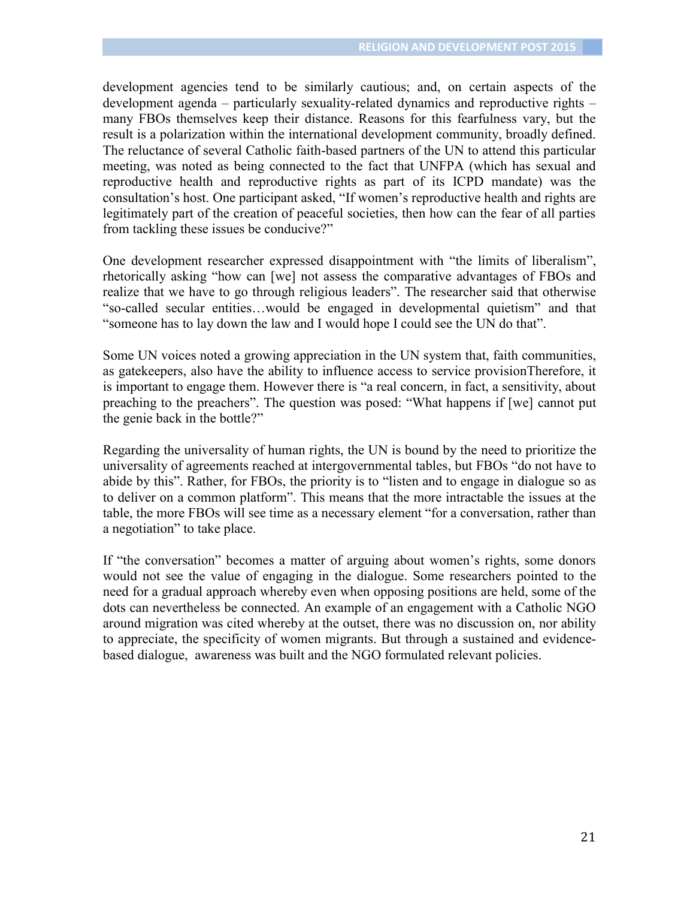development agencies tend to be similarly cautious; and, on certain aspects of the development agenda – particularly sexuality-related dynamics and reproductive rights – many FBOs themselves keep their distance. Reasons for this fearfulness vary, but the result is a polarization within the international development community, broadly defined. The reluctance of several Catholic faith-based partners of the UN to attend this particular meeting, was noted as being connected to the fact that UNFPA (which has sexual and reproductive health and reproductive rights as part of its ICPD mandate) was the consultation's host. One participant asked, "If women's reproductive health and rights are legitimately part of the creation of peaceful societies, then how can the fear of all parties from tackling these issues be conducive?"

One development researcher expressed disappointment with "the limits of liberalism", rhetorically asking "how can [we] not assess the comparative advantages of FBOs and realize that we have to go through religious leaders". The researcher said that otherwise "so-called secular entities…would be engaged in developmental quietism" and that "someone has to lay down the law and I would hope I could see the UN do that".

Some UN voices noted a growing appreciation in the UN system that, faith communities, as gatekeepers, also have the ability to influence access to service provisionTherefore, it is important to engage them. However there is "a real concern, in fact, a sensitivity, about preaching to the preachers". The question was posed: "What happens if [we] cannot put the genie back in the bottle?"

Regarding the universality of human rights, the UN is bound by the need to prioritize the universality of agreements reached at intergovernmental tables, but FBOs "do not have to abide by this". Rather, for FBOs, the priority is to "listen and to engage in dialogue so as to deliver on a common platform". This means that the more intractable the issues at the table, the more FBOs will see time as a necessary element "for a conversation, rather than a negotiation" to take place.

If "the conversation" becomes a matter of arguing about women's rights, some donors would not see the value of engaging in the dialogue. Some researchers pointed to the need for a gradual approach whereby even when opposing positions are held, some of the dots can nevertheless be connected. An example of an engagement with a Catholic NGO around migration was cited whereby at the outset, there was no discussion on, nor ability to appreciate, the specificity of women migrants. But through a sustained and evidencebased dialogue, awareness was built and the NGO formulated relevant policies.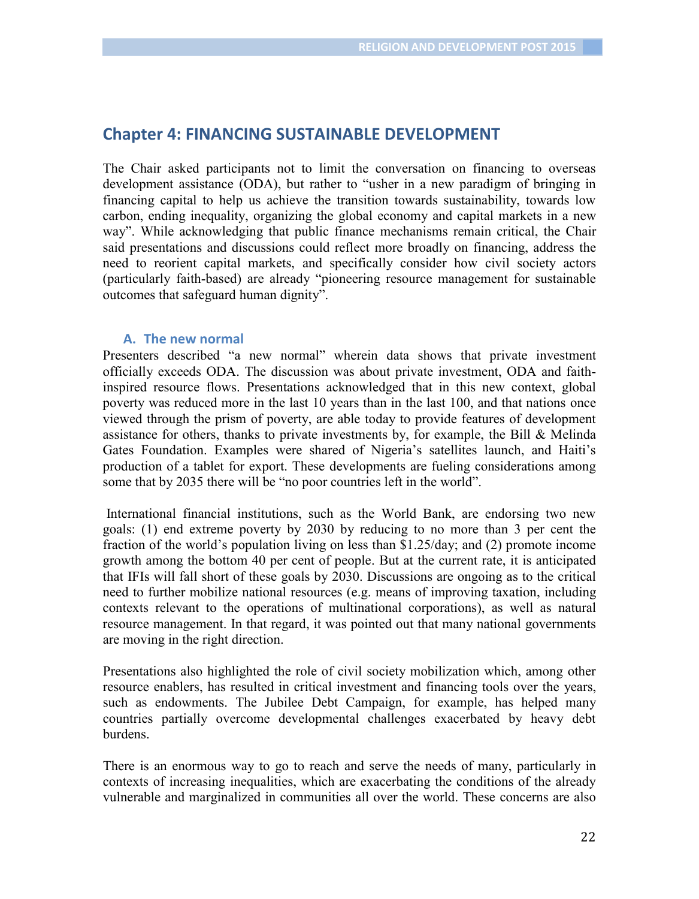# **Chapter 4: FINANCING SUSTAINABLE DEVELOPMENT**

The Chair asked participants not to limit the conversation on financing to overseas development assistance (ODA), but rather to "usher in a new paradigm of bringing in financing capital to help us achieve the transition towards sustainability, towards low carbon, ending inequality, organizing the global economy and capital markets in a new way". While acknowledging that public finance mechanisms remain critical, the Chair said presentations and discussions could reflect more broadly on financing, address the need to reorient capital markets, and specifically consider how civil society actors (particularly faith-based) are already "pioneering resource management for sustainable outcomes that safeguard human dignity".

#### **A. The new normal**

Presenters described "a new normal" wherein data shows that private investment officially exceeds ODA. The discussion was about private investment, ODA and faithinspired resource flows. Presentations acknowledged that in this new context, global poverty was reduced more in the last 10 years than in the last 100, and that nations once viewed through the prism of poverty, are able today to provide features of development assistance for others, thanks to private investments by, for example, the Bill & Melinda Gates Foundation. Examples were shared of Nigeria's satellites launch, and Haiti's production of a tablet for export. These developments are fueling considerations among some that by 2035 there will be "no poor countries left in the world".

International financial institutions, such as the World Bank, are endorsing two new goals: (1) end extreme poverty by 2030 by reducing to no more than 3 per cent the fraction of the world's population living on less than \$1.25/day; and (2) promote income growth among the bottom 40 per cent of people. But at the current rate, it is anticipated that IFIs will fall short of these goals by 2030. Discussions are ongoing as to the critical need to further mobilize national resources (e.g. means of improving taxation, including contexts relevant to the operations of multinational corporations), as well as natural resource management. In that regard, it was pointed out that many national governments are moving in the right direction.

Presentations also highlighted the role of civil society mobilization which, among other resource enablers, has resulted in critical investment and financing tools over the years, such as endowments. The Jubilee Debt Campaign, for example, has helped many countries partially overcome developmental challenges exacerbated by heavy debt burdens.

There is an enormous way to go to reach and serve the needs of many, particularly in contexts of increasing inequalities, which are exacerbating the conditions of the already vulnerable and marginalized in communities all over the world. These concerns are also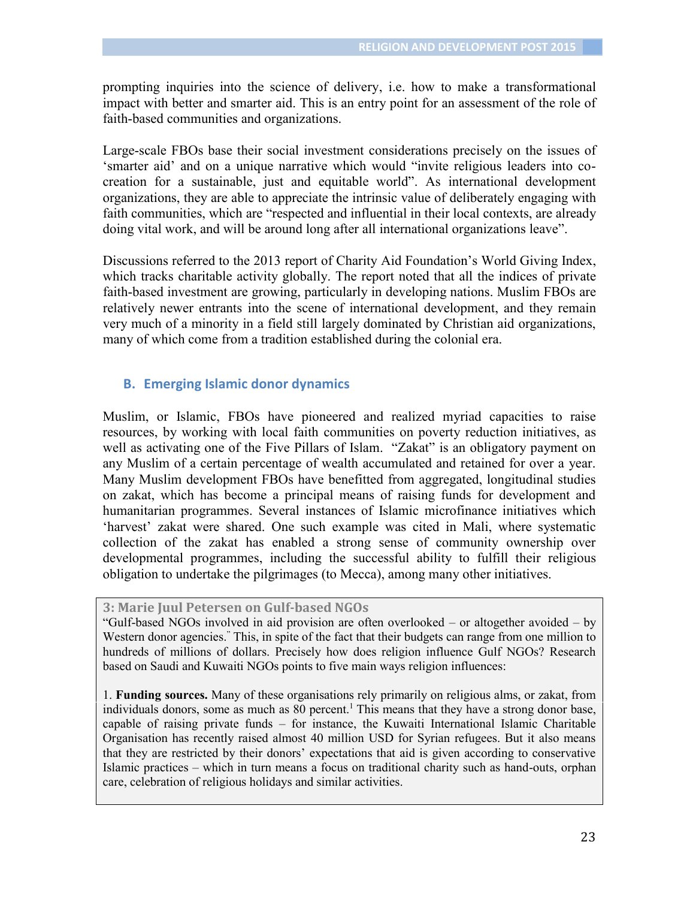prompting inquiries into the science of delivery, i.e. how to make a transformational impact with better and smarter aid. This is an entry point for an assessment of the role of faith-based communities and organizations.

Large-scale FBOs base their social investment considerations precisely on the issues of 'smarter aid' and on a unique narrative which would "invite religious leaders into cocreation for a sustainable, just and equitable world". As international development organizations, they are able to appreciate the intrinsic value of deliberately engaging with faith communities, which are "respected and influential in their local contexts, are already doing vital work, and will be around long after all international organizations leave".

Discussions referred to the 2013 report of Charity Aid Foundation's World Giving Index, which tracks charitable activity globally. The report noted that all the indices of private faith-based investment are growing, particularly in developing nations. Muslim FBOs are relatively newer entrants into the scene of international development, and they remain very much of a minority in a field still largely dominated by Christian aid organizations, many of which come from a tradition established during the colonial era.

### **B. Emerging Islamic donor dynamics**

Muslim, or Islamic, FBOs have pioneered and realized myriad capacities to raise resources, by working with local faith communities on poverty reduction initiatives, as well as activating one of the Five Pillars of Islam. "Zakat" is an obligatory payment on any Muslim of a certain percentage of wealth accumulated and retained for over a year. Many Muslim development FBOs have benefitted from aggregated, longitudinal studies on zakat, which has become a principal means of raising funds for development and humanitarian programmes. Several instances of Islamic microfinance initiatives which 'harvest' zakat were shared. One such example was cited in Mali, where systematic collection of the zakat has enabled a strong sense of community ownership over developmental programmes, including the successful ability to fulfill their religious obligation to undertake the pilgrimages (to Mecca), among many other initiatives.

#### **3: Marie Juul Petersen on Gulf-based NGOs**

"Gulf-based NGOs involved in aid provision are often overlooked – or altogether avoided – by Western donor agencies." This, in spite of the fact that their budgets can range from one million to hundreds of millions of dollars. Precisely how does religion influence Gulf NGOs? Research based on Saudi and Kuwaiti NGOs points to five main ways religion influences:

1. **Funding sources.** Many of these organisations rely primarily on religious alms, or zakat, from individuals donors, some as much as 80 percent.<sup>1</sup> This means that they have a strong donor base, capable of raising private funds – for instance, the Kuwaiti International Islamic Charitable Organisation has recently raised almost 40 million USD for Syrian refugees. But it also means that they are restricted by their donors' expectations that aid is given according to conservative Islamic practices – which in turn means a focus on traditional charity such as hand-outs, orphan care, celebration of religious holidays and similar activities.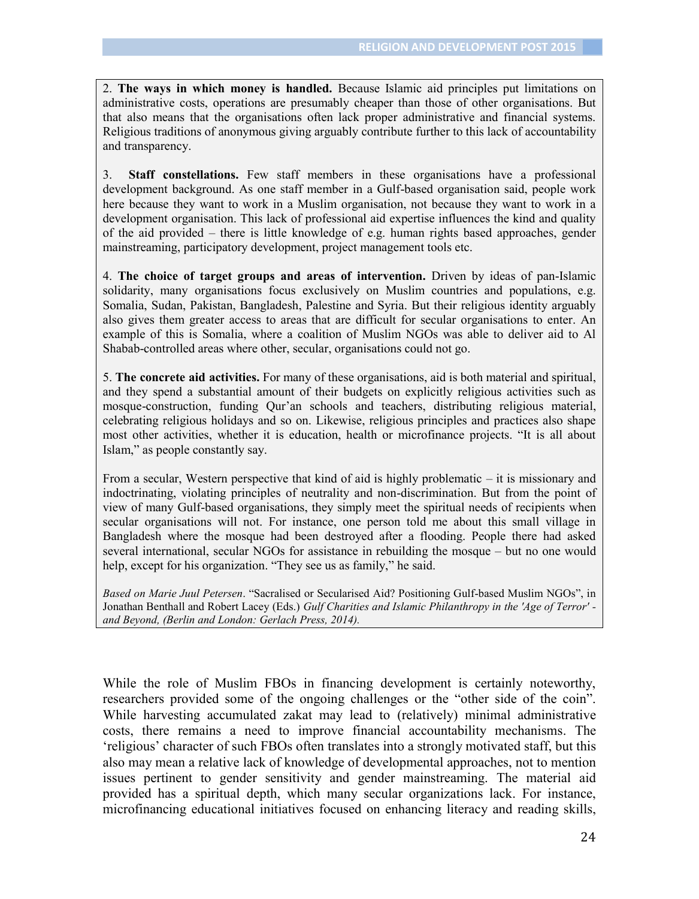2. **The ways in which money is handled.** Because Islamic aid principles put limitations on administrative costs, operations are presumably cheaper than those of other organisations. But that also means that the organisations often lack proper administrative and financial systems. Religious traditions of anonymous giving arguably contribute further to this lack of accountability and transparency.

3. **Staff constellations.** Few staff members in these organisations have a professional development background. As one staff member in a Gulf-based organisation said, people work here because they want to work in a Muslim organisation, not because they want to work in a development organisation. This lack of professional aid expertise influences the kind and quality of the aid provided – there is little knowledge of e.g. human rights based approaches, gender mainstreaming, participatory development, project management tools etc.

4. **The choice of target groups and areas of intervention.** Driven by ideas of pan-Islamic solidarity, many organisations focus exclusively on Muslim countries and populations, e.g. Somalia, Sudan, Pakistan, Bangladesh, Palestine and Syria. But their religious identity arguably also gives them greater access to areas that are difficult for secular organisations to enter. An example of this is Somalia, where a coalition of Muslim NGOs was able to deliver aid to Al Shabab-controlled areas where other, secular, organisations could not go.

5. **The concrete aid activities.** For many of these organisations, aid is both material and spiritual, and they spend a substantial amount of their budgets on explicitly religious activities such as mosque-construction, funding Qur'an schools and teachers, distributing religious material, celebrating religious holidays and so on. Likewise, religious principles and practices also shape most other activities, whether it is education, health or microfinance projects. "It is all about Islam," as people constantly say.

From a secular, Western perspective that kind of aid is highly problematic – it is missionary and indoctrinating, violating principles of neutrality and non-discrimination. But from the point of view of many Gulf-based organisations, they simply meet the spiritual needs of recipients when secular organisations will not. For instance, one person told me about this small village in Bangladesh where the mosque had been destroyed after a flooding. People there had asked several international, secular NGOs for assistance in rebuilding the mosque – but no one would help, except for his organization. "They see us as family," he said.

*Based on Marie Juul Petersen*. "Sacralised or Secularised Aid? Positioning Gulf-based Muslim NGOs", in Jonathan Benthall and Robert Lacey (Eds.) *Gulf Charities and Islamic Philanthropy in the 'Age of Terror' and Beyond, (Berlin and London: Gerlach Press, 2014).*

While the role of Muslim FBOs in financing development is certainly noteworthy, researchers provided some of the ongoing challenges or the "other side of the coin". While harvesting accumulated zakat may lead to (relatively) minimal administrative costs, there remains a need to improve financial accountability mechanisms. The 'religious' character of such FBOs often translates into a strongly motivated staff, but this also may mean a relative lack of knowledge of developmental approaches, not to mention issues pertinent to gender sensitivity and gender mainstreaming. The material aid provided has a spiritual depth, which many secular organizations lack. For instance, microfinancing educational initiatives focused on enhancing literacy and reading skills,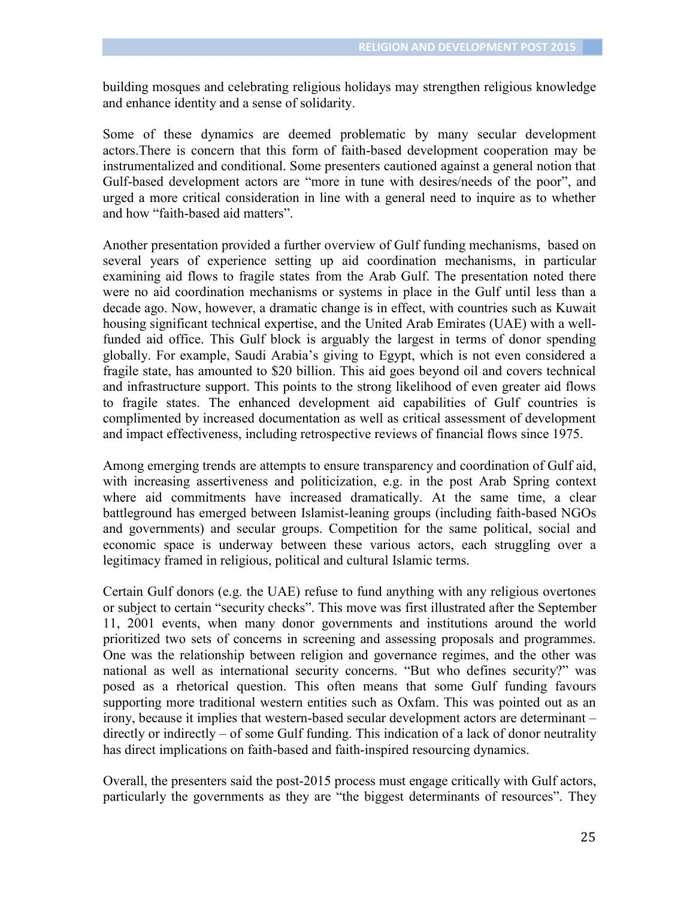building mosques and celebrating religious holidays may strengthen religious knowledge and enhance identity and a sense of solidarity.

Some of these dynamics are deemed problematic by many secular development actors.There is concern that this form of faith-based development cooperation may be instrumentalized and conditional. Some presenters cautioned against a general notion that Gulf-based development actors are "more in tune with desires/needs of the poor", and urged a more critical consideration in line with a general need to inquire as to whether and how "faith-based aid matters".

Another presentation provided a further overview of Gulf funding mechanisms, based on several years of experience setting up aid coordination mechanisms, in particular examining aid flows to fragile states from the Arab Gulf. The presentation noted there were no aid coordination mechanisms or systems in place in the Gulf until less than a decade ago. Now, however, a dramatic change is in effect, with countries such as Kuwait housing significant technical expertise, and the United Arab Emirates (UAE) with a wellfunded aid office. This Gulf block is arguably the largest in terms of donor spending globally. For example, Saudi Arabia's giving to Egypt, which is not even considered a fragile state, has amounted to \$20 billion. This aid goes beyond oil and covers technical and infrastructure support. This points to the strong likelihood of even greater aid flows to fragile states. The enhanced development aid capabilities of Gulf countries is complimented by increased documentation as well as critical assessment of development and impact effectiveness, including retrospective reviews of financial flows since 1975.

Among emerging trends are attempts to ensure transparency and coordination of Gulf aid, with increasing assertiveness and politicization, e.g. in the post Arab Spring context where aid commitments have increased dramatically. At the same time, a clear battleground has emerged between Islamist-leaning groups (including faith-based NGOs and governments) and secular groups. Competition for the same political, social and economic space is underway between these various actors, each struggling over a legitimacy framed in religious, political and cultural Islamic terms.

Certain Gulf donors (e.g. the UAE) refuse to fund anything with any religious overtones or subject to certain "security checks". This move was first illustrated after the September 11, 2001 events, when many donor governments and institutions around the world prioritized two sets of concerns in screening and assessing proposals and programmes. One was the relationship between religion and governance regimes, and the other was national as well as international security concerns. "But who defines security?" was posed as a rhetorical question. This often means that some Gulf funding favours supporting more traditional western entities such as Oxfam. This was pointed out as an irony, because it implies that western-based secular development actors are determinant – directly or indirectly – of some Gulf funding. This indication of a lack of donor neutrality has direct implications on faith-based and faith-inspired resourcing dynamics.

Overall, the presenters said the post-2015 process must engage critically with Gulf actors, particularly the governments as they are "the biggest determinants of resources". They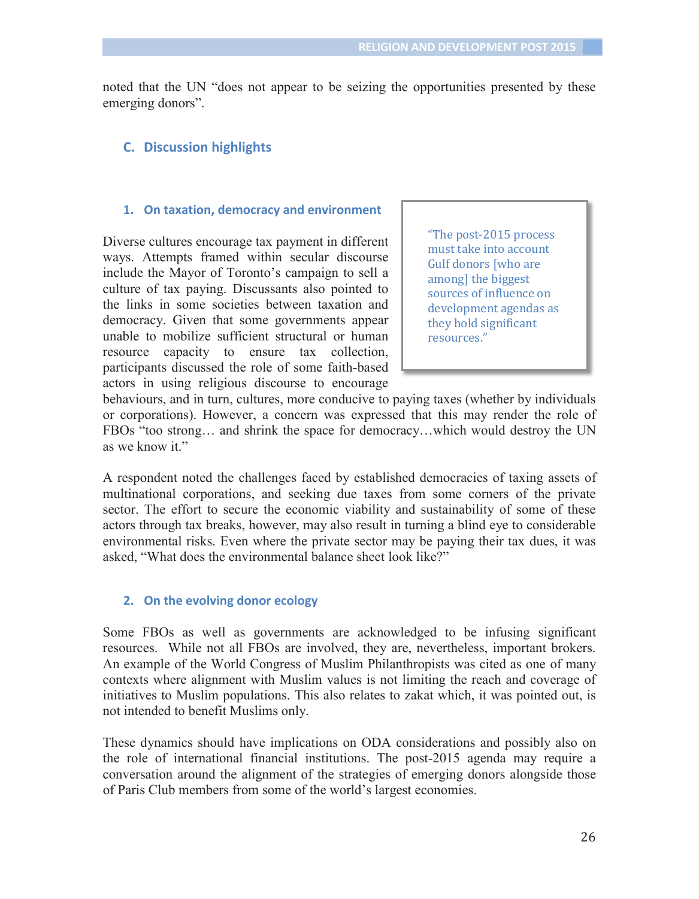noted that the UN "does not appear to be seizing the opportunities presented by these emerging donors".

#### **C. Discussion highlights**

#### **1. On taxation, democracy and environment**

Diverse cultures encourage tax payment in different ways. Attempts framed within secular discourse include the Mayor of Toronto's campaign to sell a culture of tax paying. Discussants also pointed to the links in some societies between taxation and democracy. Given that some governments appear unable to mobilize sufficient structural or human resource capacity to ensure tax collection, participants discussed the role of some faith-based actors in using religious discourse to encourage "The post-2015 process must take into account Gulf donors [who are among] the biggest sources of influence on development agendas as they hold significant resources."

behaviours, and in turn, cultures, more conducive to paying taxes (whether by individuals or corporations). However, a concern was expressed that this may render the role of FBOs "too strong… and shrink the space for democracy…which would destroy the UN as we know it."

A respondent noted the challenges faced by established democracies of taxing assets of multinational corporations, and seeking due taxes from some corners of the private sector. The effort to secure the economic viability and sustainability of some of these actors through tax breaks, however, may also result in turning a blind eye to considerable environmental risks. Even where the private sector may be paying their tax dues, it was asked, "What does the environmental balance sheet look like?"

#### **2. On the evolving donor ecology**

Some FBOs as well as governments are acknowledged to be infusing significant resources. While not all FBOs are involved, they are, nevertheless, important brokers. An example of the World Congress of Muslim Philanthropists was cited as one of many contexts where alignment with Muslim values is not limiting the reach and coverage of initiatives to Muslim populations. This also relates to zakat which, it was pointed out, is not intended to benefit Muslims only.

These dynamics should have implications on ODA considerations and possibly also on the role of international financial institutions. The post-2015 agenda may require a conversation around the alignment of the strategies of emerging donors alongside those of Paris Club members from some of the world's largest economies.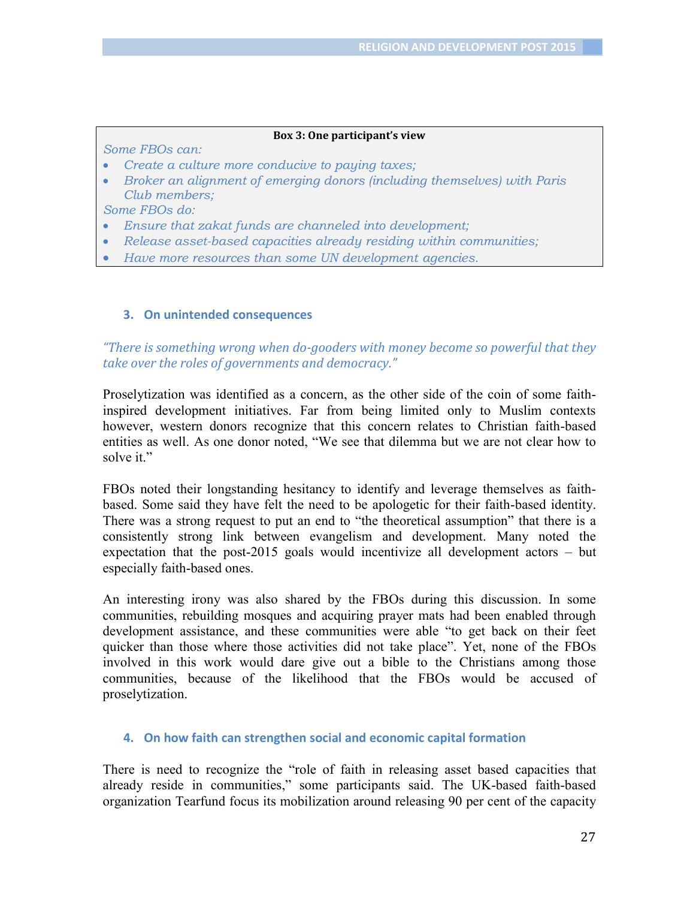#### **Box 3: One participant's view**

*Some FBOs can:*

- *Create a culture more conducive to paying taxes;*
- *Broker an alignment of emerging donors (including themselves) with Paris Club members;*

*Some FBOs do:*

- *Ensure that zakat funds are channeled into development;*
- *Release asset-based capacities already residing within communities;*
- *Have more resources than some UN development agencies.*

#### **3. On unintended consequences**

*"There is something wrong when do-gooders with money become so powerful that they take over the roles of governments and democracy."*

Proselytization was identified as a concern, as the other side of the coin of some faithinspired development initiatives. Far from being limited only to Muslim contexts however, western donors recognize that this concern relates to Christian faith-based entities as well. As one donor noted, "We see that dilemma but we are not clear how to solve it."

FBOs noted their longstanding hesitancy to identify and leverage themselves as faithbased. Some said they have felt the need to be apologetic for their faith-based identity. There was a strong request to put an end to "the theoretical assumption" that there is a consistently strong link between evangelism and development. Many noted the expectation that the post-2015 goals would incentivize all development actors – but especially faith-based ones.

An interesting irony was also shared by the FBOs during this discussion. In some communities, rebuilding mosques and acquiring prayer mats had been enabled through development assistance, and these communities were able "to get back on their feet quicker than those where those activities did not take place". Yet, none of the FBOs involved in this work would dare give out a bible to the Christians among those communities, because of the likelihood that the FBOs would be accused of proselytization.

#### **4. On how faith can strengthen social and economic capital formation**

There is need to recognize the "role of faith in releasing asset based capacities that already reside in communities," some participants said. The UK-based faith-based organization Tearfund focus its mobilization around releasing 90 per cent of the capacity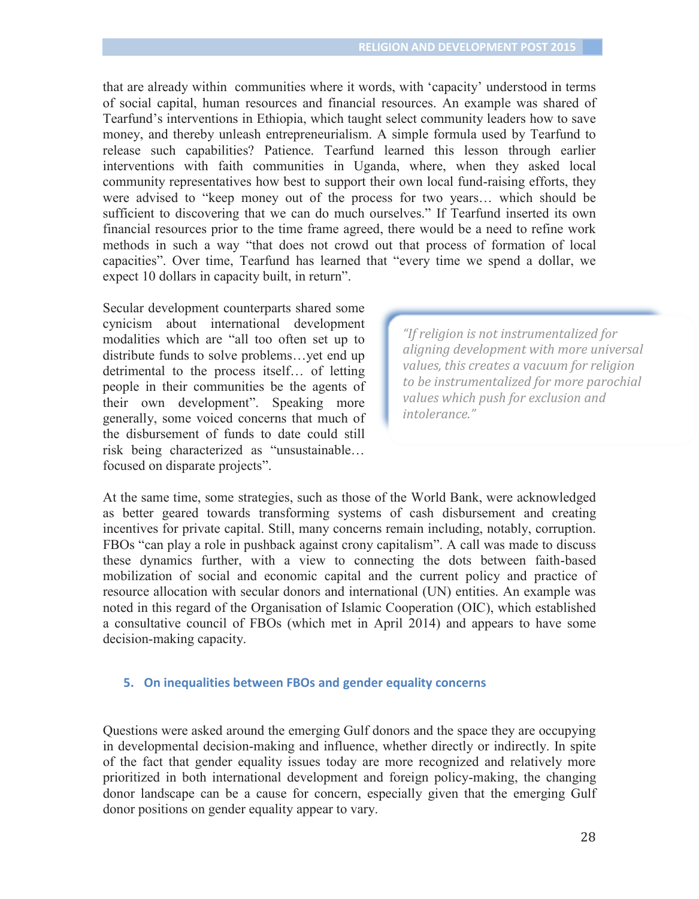that are already within communities where it words, with 'capacity' understood in terms of social capital, human resources and financial resources. An example was shared of Tearfund's interventions in Ethiopia, which taught select community leaders how to save money, and thereby unleash entrepreneurialism. A simple formula used by Tearfund to release such capabilities? Patience. Tearfund learned this lesson through earlier interventions with faith communities in Uganda, where, when they asked local community representatives how best to support their own local fund-raising efforts, they were advised to "keep money out of the process for two years… which should be sufficient to discovering that we can do much ourselves." If Tearfund inserted its own financial resources prior to the time frame agreed, there would be a need to refine work methods in such a way "that does not crowd out that process of formation of local capacities". Over time, Tearfund has learned that "every time we spend a dollar, we expect 10 dollars in capacity built, in return".

Secular development counterparts shared some cynicism about international development modalities which are "all too often set up to distribute funds to solve problems…yet end up detrimental to the process itself… of letting people in their communities be the agents of their own development". Speaking more generally, some voiced concerns that much of the disbursement of funds to date could still risk being characterized as "unsustainable… focused on disparate projects".

*"If religion is not instrumentalized for aligning development with more universal values, this creates a vacuum for religion to be instrumentalized for more parochial values which push for exclusion and intolerance."*

At the same time, some strategies, such as those of the World Bank, were acknowledged as better geared towards transforming systems of cash disbursement and creating incentives for private capital. Still, many concerns remain including, notably, corruption. FBOs "can play a role in pushback against crony capitalism". A call was made to discuss these dynamics further, with a view to connecting the dots between faith-based mobilization of social and economic capital and the current policy and practice of resource allocation with secular donors and international (UN) entities. An example was noted in this regard of the Organisation of Islamic Cooperation (OIC), which established a consultative council of FBOs (which met in April 2014) and appears to have some decision-making capacity.

#### **5. On inequalities between FBOs and gender equality concerns**

Questions were asked around the emerging Gulf donors and the space they are occupying in developmental decision-making and influence, whether directly or indirectly. In spite of the fact that gender equality issues today are more recognized and relatively more prioritized in both international development and foreign policy-making, the changing donor landscape can be a cause for concern, especially given that the emerging Gulf donor positions on gender equality appear to vary.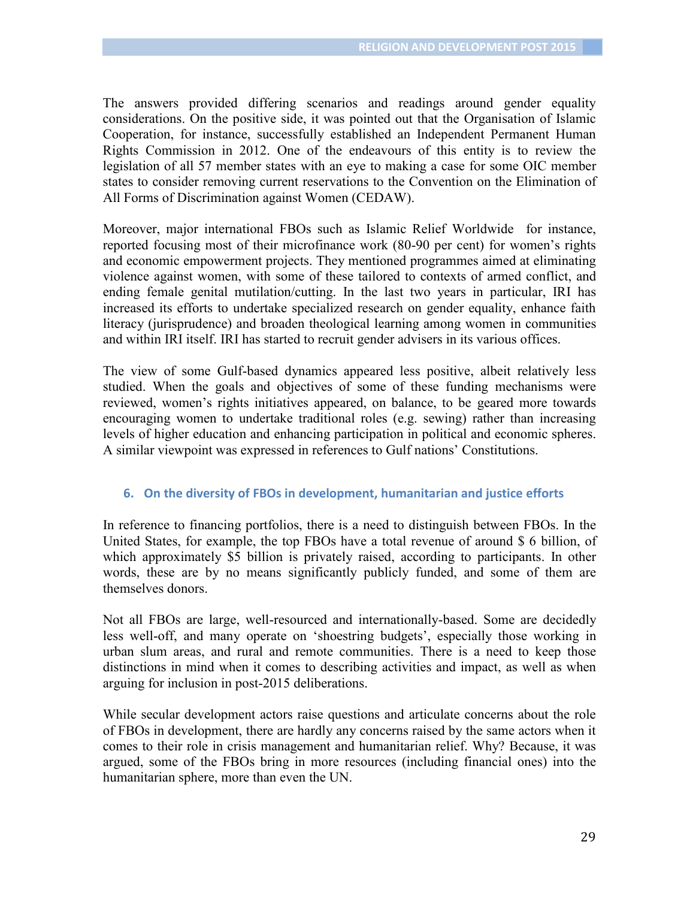The answers provided differing scenarios and readings around gender equality considerations. On the positive side, it was pointed out that the Organisation of Islamic Cooperation, for instance, successfully established an Independent Permanent Human Rights Commission in 2012. One of the endeavours of this entity is to review the legislation of all 57 member states with an eye to making a case for some OIC member states to consider removing current reservations to the Convention on the Elimination of All Forms of Discrimination against Women (CEDAW).

Moreover, major international FBOs such as Islamic Relief Worldwide for instance, reported focusing most of their microfinance work (80-90 per cent) for women's rights and economic empowerment projects. They mentioned programmes aimed at eliminating violence against women, with some of these tailored to contexts of armed conflict, and ending female genital mutilation/cutting. In the last two years in particular, IRI has increased its efforts to undertake specialized research on gender equality, enhance faith literacy (jurisprudence) and broaden theological learning among women in communities and within IRI itself. IRI has started to recruit gender advisers in its various offices.

The view of some Gulf-based dynamics appeared less positive, albeit relatively less studied. When the goals and objectives of some of these funding mechanisms were reviewed, women's rights initiatives appeared, on balance, to be geared more towards encouraging women to undertake traditional roles (e.g. sewing) rather than increasing levels of higher education and enhancing participation in political and economic spheres. A similar viewpoint was expressed in references to Gulf nations' Constitutions.

#### **6. On the diversity of FBOs in development, humanitarian and justice efforts**

In reference to financing portfolios, there is a need to distinguish between FBOs. In the United States, for example, the top FBOs have a total revenue of around \$ 6 billion, of which approximately \$5 billion is privately raised, according to participants. In other words, these are by no means significantly publicly funded, and some of them are themselves donors.

Not all FBOs are large, well-resourced and internationally-based. Some are decidedly less well-off, and many operate on 'shoestring budgets', especially those working in urban slum areas, and rural and remote communities. There is a need to keep those distinctions in mind when it comes to describing activities and impact, as well as when arguing for inclusion in post-2015 deliberations.

While secular development actors raise questions and articulate concerns about the role of FBOs in development, there are hardly any concerns raised by the same actors when it comes to their role in crisis management and humanitarian relief. Why? Because, it was argued, some of the FBOs bring in more resources (including financial ones) into the humanitarian sphere, more than even the UN.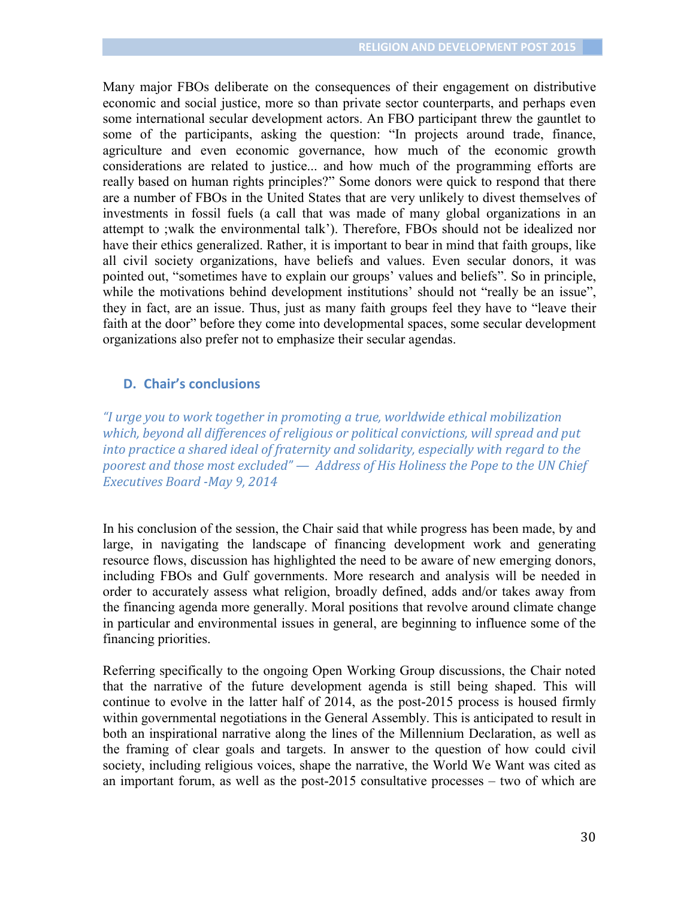Many major FBOs deliberate on the consequences of their engagement on distributive economic and social justice, more so than private sector counterparts, and perhaps even some international secular development actors. An FBO participant threw the gauntlet to some of the participants, asking the question: "In projects around trade, finance, agriculture and even economic governance, how much of the economic growth considerations are related to justice... and how much of the programming efforts are really based on human rights principles?" Some donors were quick to respond that there are a number of FBOs in the United States that are very unlikely to divest themselves of investments in fossil fuels (a call that was made of many global organizations in an attempt to ;walk the environmental talk'). Therefore, FBOs should not be idealized nor have their ethics generalized. Rather, it is important to bear in mind that faith groups, like all civil society organizations, have beliefs and values. Even secular donors, it was pointed out, "sometimes have to explain our groups' values and beliefs". So in principle, while the motivations behind development institutions' should not "really be an issue", they in fact, are an issue. Thus, just as many faith groups feel they have to "leave their faith at the door" before they come into developmental spaces, some secular development organizations also prefer not to emphasize their secular agendas.

#### **D. Chair's conclusions**

*"I urge you to work together in promoting a true, worldwide ethical mobilization which, beyond all differences of religious or political convictions, will spread and put into practice a shared ideal of fraternity and solidarity, especially with regard to the poorest and those most excluded" — Address of His Holiness the Pope to the UN Chief Executives Board -May 9, 2014*

In his conclusion of the session, the Chair said that while progress has been made, by and large, in navigating the landscape of financing development work and generating resource flows, discussion has highlighted the need to be aware of new emerging donors, including FBOs and Gulf governments. More research and analysis will be needed in order to accurately assess what religion, broadly defined, adds and/or takes away from the financing agenda more generally. Moral positions that revolve around climate change in particular and environmental issues in general, are beginning to influence some of the financing priorities.

Referring specifically to the ongoing Open Working Group discussions, the Chair noted that the narrative of the future development agenda is still being shaped. This will continue to evolve in the latter half of 2014, as the post-2015 process is housed firmly within governmental negotiations in the General Assembly. This is anticipated to result in both an inspirational narrative along the lines of the Millennium Declaration, as well as the framing of clear goals and targets. In answer to the question of how could civil society, including religious voices, shape the narrative, the World We Want was cited as an important forum, as well as the post-2015 consultative processes – two of which are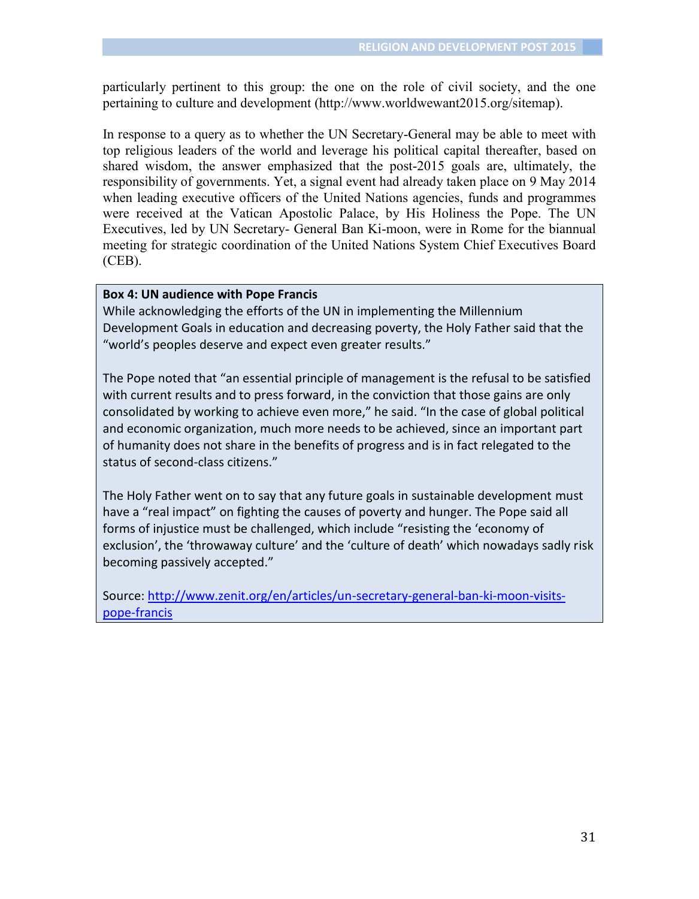particularly pertinent to this group: the one on the role of civil society, and the one pertaining to culture and development (http://www.worldwewant2015.org/sitemap).

In response to a query as to whether the UN Secretary-General may be able to meet with top religious leaders of the world and leverage his political capital thereafter, based on shared wisdom, the answer emphasized that the post-2015 goals are, ultimately, the responsibility of governments. Yet, a signal event had already taken place on 9 May 2014 when leading executive officers of the United Nations agencies, funds and programmes were received at the Vatican Apostolic Palace, by His Holiness the Pope. The UN Executives, led by UN Secretary- General Ban Ki-moon, were in Rome for the biannual meeting for strategic coordination of the United Nations System Chief Executives Board (CEB).

#### **Box 4: UN audience with Pope Francis**

While acknowledging the efforts of the UN in implementing the Millennium Development Goals in education and decreasing poverty, the Holy Father said that the "world's peoples deserve and expect even greater results."

The Pope noted that "an essential principle of management is the refusal to be satisfied with current results and to press forward, in the conviction that those gains are only consolidated by working to achieve even more," he said. "In the case of global political and economic organization, much more needs to be achieved, since an important part of humanity does not share in the benefits of progress and is in fact relegated to the status of second-class citizens."

The Holy Father went on to say that any future goals in sustainable development must have a "real impact" on fighting the causes of poverty and hunger. The Pope said all forms of injustice must be challenged, which include "resisting the 'economy of exclusion', the 'throwaway culture' and the 'culture of death' which nowadays sadly risk becoming passively accepted."

Source: http://www.zenit.org/en/articles/un-secretary-general-ban-ki-moon-visitspope-francis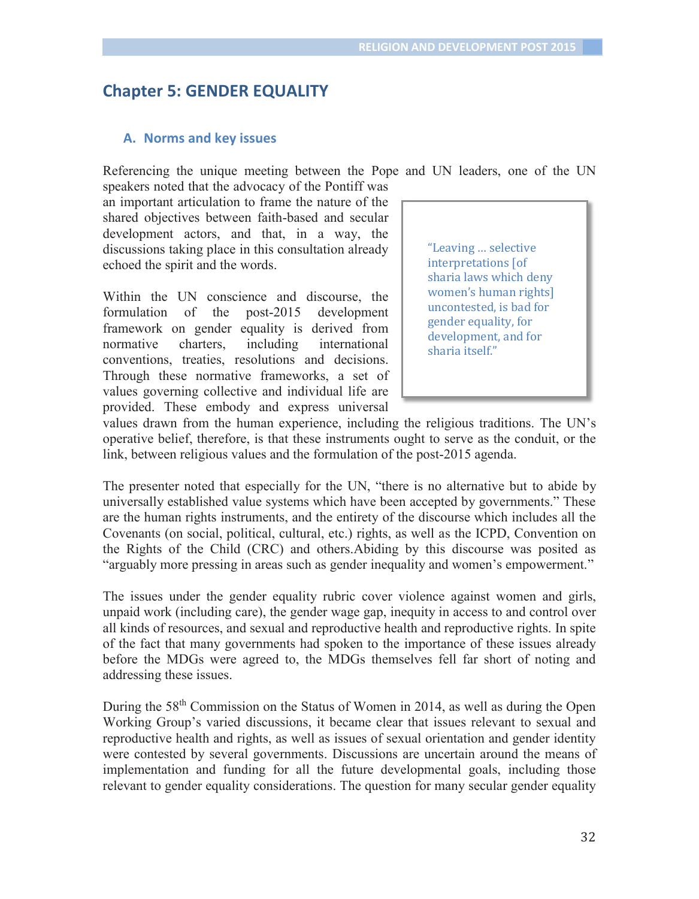# **Chapter 5: GENDER EQUALITY**

#### **A. Norms and key issues**

Referencing the unique meeting between the Pope and UN leaders, one of the UN

speakers noted that the advocacy of the Pontiff was an important articulation to frame the nature of the shared objectives between faith-based and secular development actors, and that, in a way, the discussions taking place in this consultation already echoed the spirit and the words.

Within the UN conscience and discourse, the formulation of the post-2015 development framework on gender equality is derived from normative charters, including international conventions, treaties, resolutions and decisions. Through these normative frameworks, a set of values governing collective and individual life are provided. These embody and express universal "Leaving … selective interpretations [of sharia laws which deny women's human rights] uncontested, is bad for gender equality, for development, and for sharia itself."

values drawn from the human experience, including the religious traditions. The UN's operative belief, therefore, is that these instruments ought to serve as the conduit, or the link, between religious values and the formulation of the post-2015 agenda.

The presenter noted that especially for the UN, "there is no alternative but to abide by universally established value systems which have been accepted by governments." These are the human rights instruments, and the entirety of the discourse which includes all the Covenants (on social, political, cultural, etc.) rights, as well as the ICPD, Convention on the Rights of the Child (CRC) and others.Abiding by this discourse was posited as "arguably more pressing in areas such as gender inequality and women's empowerment."

The issues under the gender equality rubric cover violence against women and girls, unpaid work (including care), the gender wage gap, inequity in access to and control over all kinds of resources, and sexual and reproductive health and reproductive rights. In spite of the fact that many governments had spoken to the importance of these issues already before the MDGs were agreed to, the MDGs themselves fell far short of noting and addressing these issues.

During the 58th Commission on the Status of Women in 2014, as well as during the Open Working Group's varied discussions, it became clear that issues relevant to sexual and reproductive health and rights, as well as issues of sexual orientation and gender identity were contested by several governments. Discussions are uncertain around the means of implementation and funding for all the future developmental goals, including those relevant to gender equality considerations. The question for many secular gender equality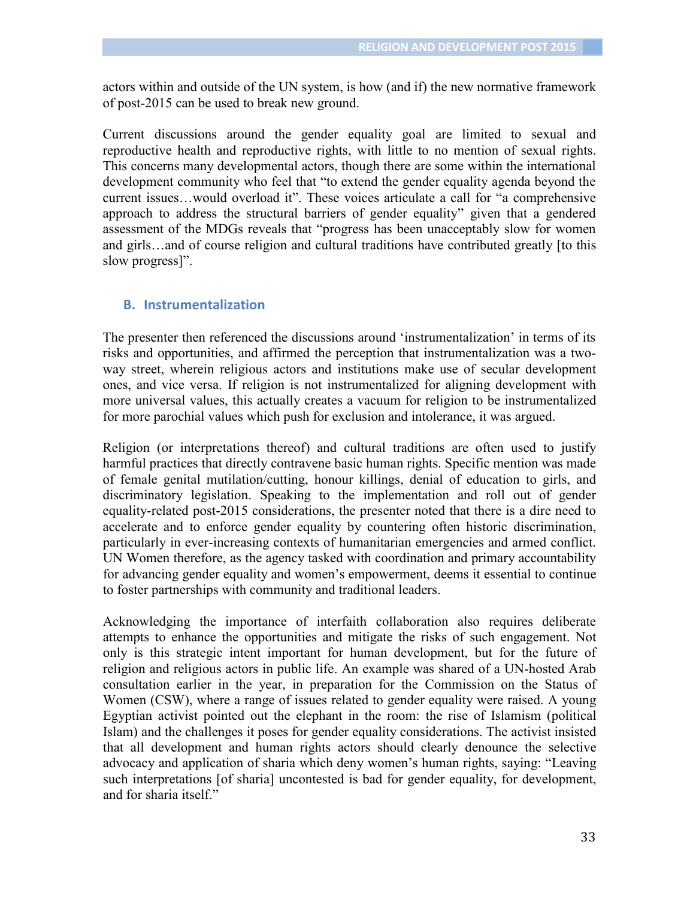actors within and outside of the UN system, is how (and if) the new normative framework of post-2015 can be used to break new ground.

Current discussions around the gender equality goal are limited to sexual and reproductive health and reproductive rights, with little to no mention of sexual rights. This concerns many developmental actors, though there are some within the international development community who feel that "to extend the gender equality agenda beyond the current issues…would overload it". These voices articulate a call for "a comprehensive approach to address the structural barriers of gender equality" given that a gendered assessment of the MDGs reveals that "progress has been unacceptably slow for women and girls…and of course religion and cultural traditions have contributed greatly [to this slow progress]".

#### **B. Instrumentalization**

The presenter then referenced the discussions around 'instrumentalization' in terms of its risks and opportunities, and affirmed the perception that instrumentalization was a twoway street, wherein religious actors and institutions make use of secular development ones, and vice versa. If religion is not instrumentalized for aligning development with more universal values, this actually creates a vacuum for religion to be instrumentalized for more parochial values which push for exclusion and intolerance, it was argued.

Religion (or interpretations thereof) and cultural traditions are often used to justify harmful practices that directly contravene basic human rights. Specific mention was made of female genital mutilation/cutting, honour killings, denial of education to girls, and discriminatory legislation. Speaking to the implementation and roll out of gender equality-related post-2015 considerations, the presenter noted that there is a dire need to accelerate and to enforce gender equality by countering often historic discrimination, particularly in ever-increasing contexts of humanitarian emergencies and armed conflict. UN Women therefore, as the agency tasked with coordination and primary accountability for advancing gender equality and women's empowerment, deems it essential to continue to foster partnerships with community and traditional leaders.

Acknowledging the importance of interfaith collaboration also requires deliberate attempts to enhance the opportunities and mitigate the risks of such engagement. Not only is this strategic intent important for human development, but for the future of religion and religious actors in public life. An example was shared of a UN-hosted Arab consultation earlier in the year, in preparation for the Commission on the Status of Women (CSW), where a range of issues related to gender equality were raised. A young Egyptian activist pointed out the elephant in the room: the rise of Islamism (political Islam) and the challenges it poses for gender equality considerations. The activist insisted that all development and human rights actors should clearly denounce the selective advocacy and application of sharia which deny women's human rights, saying: "Leaving such interpretations [of sharia] uncontested is bad for gender equality, for development, and for sharia itself"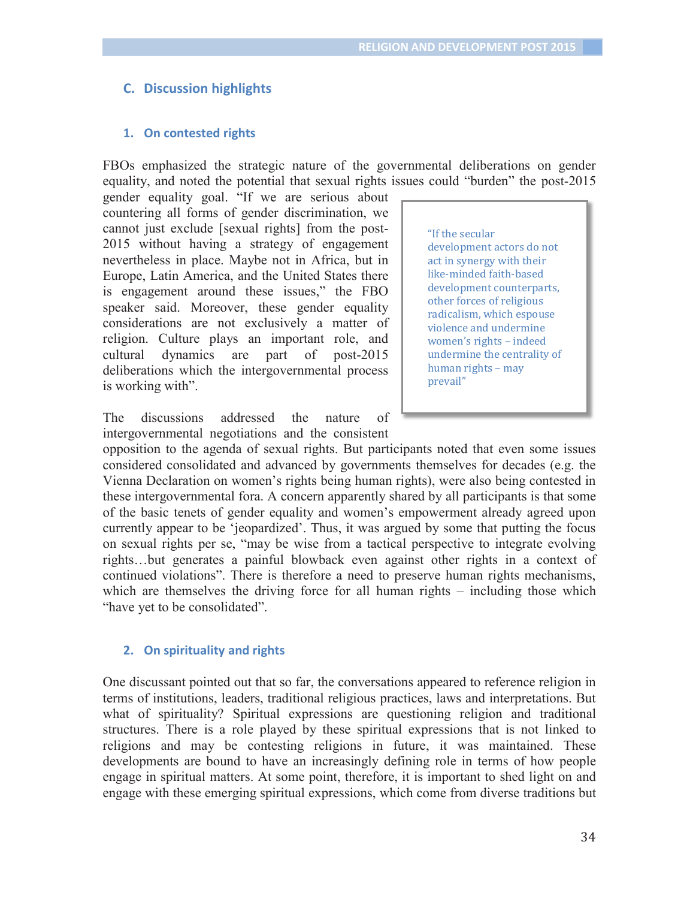### **C. Discussion highlights**

#### **1. On contested rights**

FBOs emphasized the strategic nature of the governmental deliberations on gender equality, and noted the potential that sexual rights issues could "burden" the post-2015

gender equality goal. "If we are serious about countering all forms of gender discrimination, we cannot just exclude [sexual rights] from the post-2015 without having a strategy of engagement nevertheless in place. Maybe not in Africa, but in Europe, Latin America, and the United States there is engagement around these issues," the FBO speaker said. Moreover, these gender equality considerations are not exclusively a matter of religion. Culture plays an important role, and cultural dynamics are part of post-2015 deliberations which the intergovernmental process is working with".

"If the secular development actors do not act in synergy with their like-minded faith-based development counterparts, other forces of religious radicalism, which espouse violence and undermine women's rights – indeed undermine the centrality of human rights – may prevail"

The discussions addressed the nature of intergovernmental negotiations and the consistent

opposition to the agenda of sexual rights. But participants noted that even some issues considered consolidated and advanced by governments themselves for decades (e.g. the Vienna Declaration on women's rights being human rights), were also being contested in these intergovernmental fora. A concern apparently shared by all participants is that some of the basic tenets of gender equality and women's empowerment already agreed upon currently appear to be 'jeopardized'. Thus, it was argued by some that putting the focus on sexual rights per se, "may be wise from a tactical perspective to integrate evolving rights…but generates a painful blowback even against other rights in a context of continued violations". There is therefore a need to preserve human rights mechanisms, which are themselves the driving force for all human rights – including those which "have yet to be consolidated".

#### **2. On spirituality and rights**

One discussant pointed out that so far, the conversations appeared to reference religion in terms of institutions, leaders, traditional religious practices, laws and interpretations. But what of spirituality? Spiritual expressions are questioning religion and traditional structures. There is a role played by these spiritual expressions that is not linked to religions and may be contesting religions in future, it was maintained. These developments are bound to have an increasingly defining role in terms of how people engage in spiritual matters. At some point, therefore, it is important to shed light on and engage with these emerging spiritual expressions, which come from diverse traditions but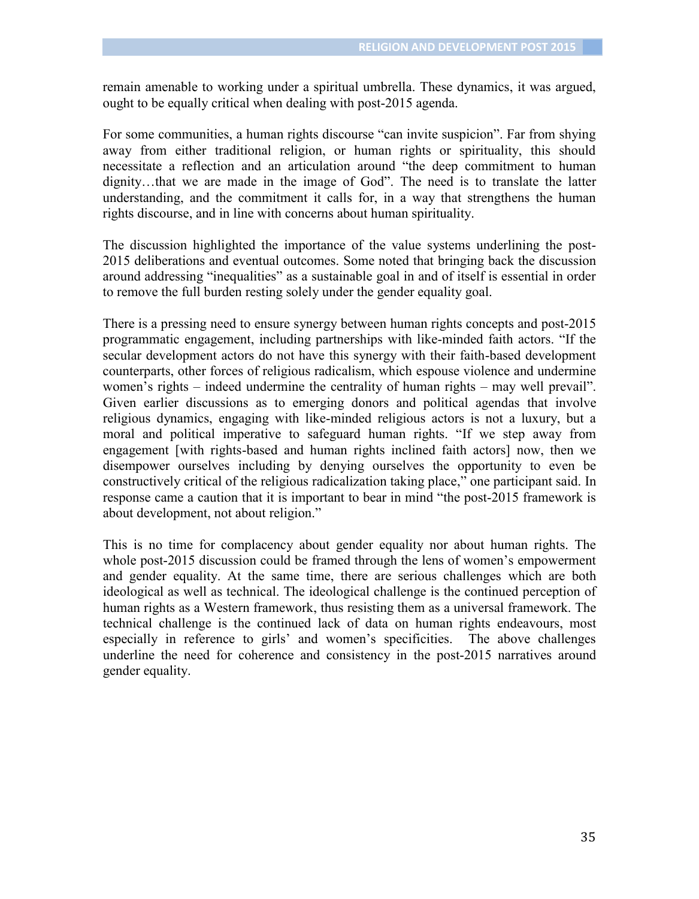remain amenable to working under a spiritual umbrella. These dynamics, it was argued, ought to be equally critical when dealing with post-2015 agenda.

For some communities, a human rights discourse "can invite suspicion". Far from shying away from either traditional religion, or human rights or spirituality, this should necessitate a reflection and an articulation around "the deep commitment to human dignity…that we are made in the image of God". The need is to translate the latter understanding, and the commitment it calls for, in a way that strengthens the human rights discourse, and in line with concerns about human spirituality.

The discussion highlighted the importance of the value systems underlining the post-2015 deliberations and eventual outcomes. Some noted that bringing back the discussion around addressing "inequalities" as a sustainable goal in and of itself is essential in order to remove the full burden resting solely under the gender equality goal.

There is a pressing need to ensure synergy between human rights concepts and post-2015 programmatic engagement, including partnerships with like-minded faith actors. "If the secular development actors do not have this synergy with their faith-based development counterparts, other forces of religious radicalism, which espouse violence and undermine women's rights – indeed undermine the centrality of human rights – may well prevail". Given earlier discussions as to emerging donors and political agendas that involve religious dynamics, engaging with like-minded religious actors is not a luxury, but a moral and political imperative to safeguard human rights. "If we step away from engagement [with rights-based and human rights inclined faith actors] now, then we disempower ourselves including by denying ourselves the opportunity to even be constructively critical of the religious radicalization taking place," one participant said. In response came a caution that it is important to bear in mind "the post-2015 framework is about development, not about religion."

This is no time for complacency about gender equality nor about human rights. The whole post-2015 discussion could be framed through the lens of women's empowerment and gender equality. At the same time, there are serious challenges which are both ideological as well as technical. The ideological challenge is the continued perception of human rights as a Western framework, thus resisting them as a universal framework. The technical challenge is the continued lack of data on human rights endeavours, most especially in reference to girls' and women's specificities. The above challenges underline the need for coherence and consistency in the post-2015 narratives around gender equality.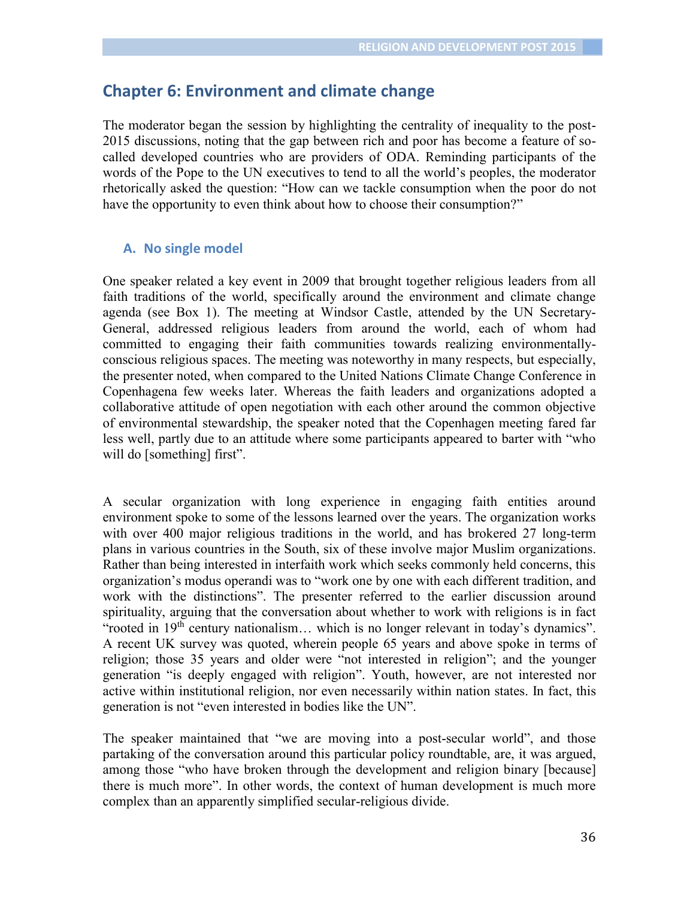# **Chapter 6: Environment and climate change**

The moderator began the session by highlighting the centrality of inequality to the post-2015 discussions, noting that the gap between rich and poor has become a feature of socalled developed countries who are providers of ODA. Reminding participants of the words of the Pope to the UN executives to tend to all the world's peoples, the moderator rhetorically asked the question: "How can we tackle consumption when the poor do not have the opportunity to even think about how to choose their consumption?"

### **A. No single model**

One speaker related a key event in 2009 that brought together religious leaders from all faith traditions of the world, specifically around the environment and climate change agenda (see Box 1). The meeting at Windsor Castle, attended by the UN Secretary-General, addressed religious leaders from around the world, each of whom had committed to engaging their faith communities towards realizing environmentallyconscious religious spaces. The meeting was noteworthy in many respects, but especially, the presenter noted, when compared to the United Nations Climate Change Conference in Copenhagena few weeks later. Whereas the faith leaders and organizations adopted a collaborative attitude of open negotiation with each other around the common objective of environmental stewardship, the speaker noted that the Copenhagen meeting fared far less well, partly due to an attitude where some participants appeared to barter with "who will do [something] first".

A secular organization with long experience in engaging faith entities around environment spoke to some of the lessons learned over the years. The organization works with over 400 major religious traditions in the world, and has brokered 27 long-term plans in various countries in the South, six of these involve major Muslim organizations. Rather than being interested in interfaith work which seeks commonly held concerns, this organization's modus operandi was to "work one by one with each different tradition, and work with the distinctions". The presenter referred to the earlier discussion around spirituality, arguing that the conversation about whether to work with religions is in fact "rooted in  $19<sup>th</sup>$  century nationalism... which is no longer relevant in today's dynamics". A recent UK survey was quoted, wherein people 65 years and above spoke in terms of religion; those 35 years and older were "not interested in religion"; and the younger generation "is deeply engaged with religion". Youth, however, are not interested nor active within institutional religion, nor even necessarily within nation states. In fact, this generation is not "even interested in bodies like the UN".

The speaker maintained that "we are moving into a post-secular world", and those partaking of the conversation around this particular policy roundtable, are, it was argued, among those "who have broken through the development and religion binary [because] there is much more". In other words, the context of human development is much more complex than an apparently simplified secular-religious divide.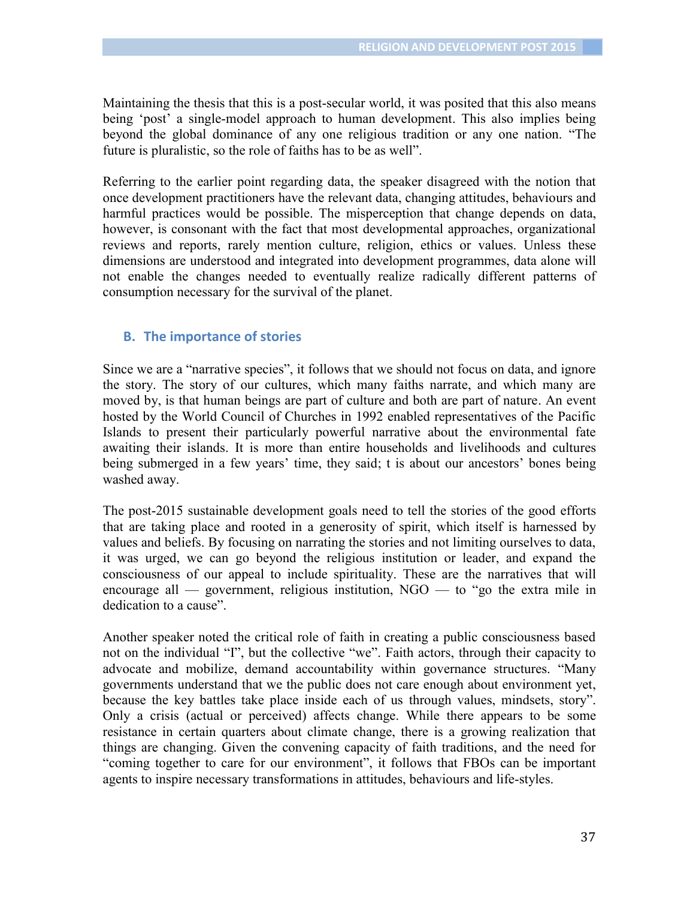Maintaining the thesis that this is a post-secular world, it was posited that this also means being 'post' a single-model approach to human development. This also implies being beyond the global dominance of any one religious tradition or any one nation. "The future is pluralistic, so the role of faiths has to be as well".

Referring to the earlier point regarding data, the speaker disagreed with the notion that once development practitioners have the relevant data, changing attitudes, behaviours and harmful practices would be possible. The misperception that change depends on data, however, is consonant with the fact that most developmental approaches, organizational reviews and reports, rarely mention culture, religion, ethics or values. Unless these dimensions are understood and integrated into development programmes, data alone will not enable the changes needed to eventually realize radically different patterns of consumption necessary for the survival of the planet.

### **B. The importance of stories**

Since we are a "narrative species", it follows that we should not focus on data, and ignore the story. The story of our cultures, which many faiths narrate, and which many are moved by, is that human beings are part of culture and both are part of nature. An event hosted by the World Council of Churches in 1992 enabled representatives of the Pacific Islands to present their particularly powerful narrative about the environmental fate awaiting their islands. It is more than entire households and livelihoods and cultures being submerged in a few years' time, they said; t is about our ancestors' bones being washed away.

The post-2015 sustainable development goals need to tell the stories of the good efforts that are taking place and rooted in a generosity of spirit, which itself is harnessed by values and beliefs. By focusing on narrating the stories and not limiting ourselves to data, it was urged, we can go beyond the religious institution or leader, and expand the consciousness of our appeal to include spirituality. These are the narratives that will encourage all — government, religious institution, NGO — to "go the extra mile in dedication to a cause".

Another speaker noted the critical role of faith in creating a public consciousness based not on the individual "I", but the collective "we". Faith actors, through their capacity to advocate and mobilize, demand accountability within governance structures. "Many governments understand that we the public does not care enough about environment yet, because the key battles take place inside each of us through values, mindsets, story". Only a crisis (actual or perceived) affects change. While there appears to be some resistance in certain quarters about climate change, there is a growing realization that things are changing. Given the convening capacity of faith traditions, and the need for "coming together to care for our environment", it follows that FBOs can be important agents to inspire necessary transformations in attitudes, behaviours and life-styles.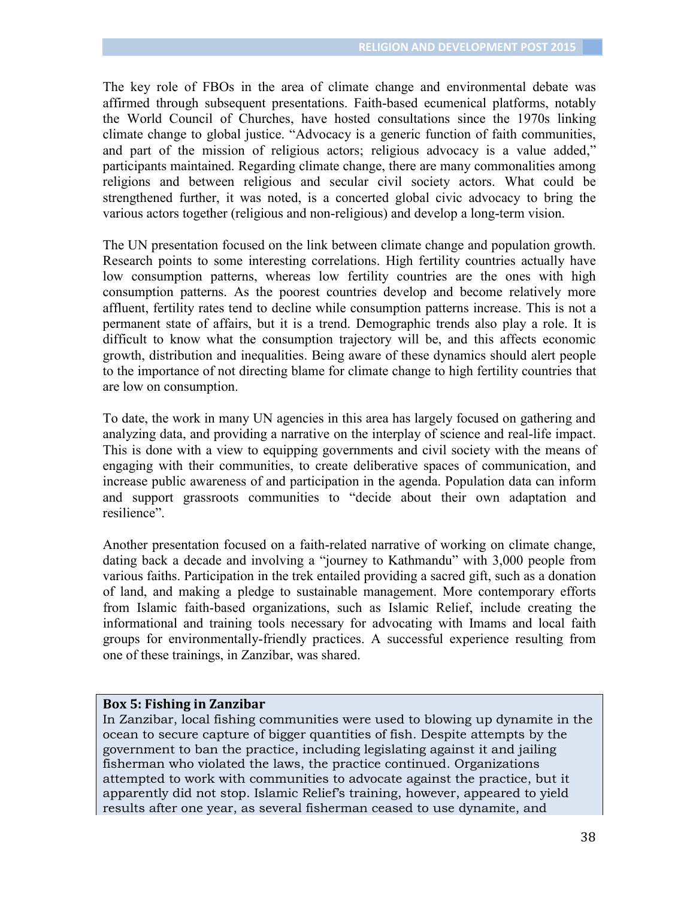The key role of FBOs in the area of climate change and environmental debate was affirmed through subsequent presentations. Faith-based ecumenical platforms, notably the World Council of Churches, have hosted consultations since the 1970s linking climate change to global justice. "Advocacy is a generic function of faith communities, and part of the mission of religious actors; religious advocacy is a value added," participants maintained. Regarding climate change, there are many commonalities among religions and between religious and secular civil society actors. What could be strengthened further, it was noted, is a concerted global civic advocacy to bring the various actors together (religious and non-religious) and develop a long-term vision.

The UN presentation focused on the link between climate change and population growth. Research points to some interesting correlations. High fertility countries actually have low consumption patterns, whereas low fertility countries are the ones with high consumption patterns. As the poorest countries develop and become relatively more affluent, fertility rates tend to decline while consumption patterns increase. This is not a permanent state of affairs, but it is a trend. Demographic trends also play a role. It is difficult to know what the consumption trajectory will be, and this affects economic growth, distribution and inequalities. Being aware of these dynamics should alert people to the importance of not directing blame for climate change to high fertility countries that are low on consumption.

To date, the work in many UN agencies in this area has largely focused on gathering and analyzing data, and providing a narrative on the interplay of science and real-life impact. This is done with a view to equipping governments and civil society with the means of engaging with their communities, to create deliberative spaces of communication, and increase public awareness of and participation in the agenda. Population data can inform and support grassroots communities to "decide about their own adaptation and resilience".

Another presentation focused on a faith-related narrative of working on climate change, dating back a decade and involving a "journey to Kathmandu" with 3,000 people from various faiths. Participation in the trek entailed providing a sacred gift, such as a donation of land, and making a pledge to sustainable management. More contemporary efforts from Islamic faith-based organizations, such as Islamic Relief, include creating the informational and training tools necessary for advocating with Imams and local faith groups for environmentally-friendly practices. A successful experience resulting from one of these trainings, in Zanzibar, was shared.

#### **Box 5: Fishing in Zanzibar**

In Zanzibar, local fishing communities were used to blowing up dynamite in the ocean to secure capture of bigger quantities of fish. Despite attempts by the government to ban the practice, including legislating against it and jailing fisherman who violated the laws, the practice continued. Organizations attempted to work with communities to advocate against the practice, but it apparently did not stop. Islamic Relief's training, however, appeared to yield results after one year, as several fisherman ceased to use dynamite, and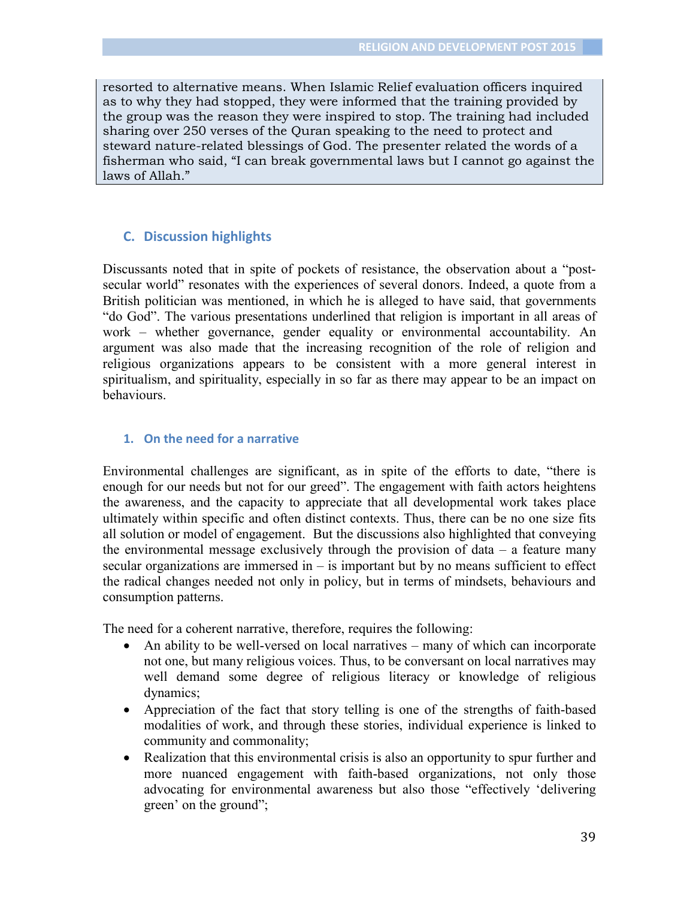resorted to alternative means. When Islamic Relief evaluation officers inquired as to why they had stopped, they were informed that the training provided by the group was the reason they were inspired to stop. The training had included sharing over 250 verses of the Quran speaking to the need to protect and steward nature-related blessings of God. The presenter related the words of a fisherman who said, "I can break governmental laws but I cannot go against the laws of Allah."

# **C. Discussion highlights**

Discussants noted that in spite of pockets of resistance, the observation about a "postsecular world" resonates with the experiences of several donors. Indeed, a quote from a British politician was mentioned, in which he is alleged to have said, that governments "do God". The various presentations underlined that religion is important in all areas of work – whether governance, gender equality or environmental accountability. An argument was also made that the increasing recognition of the role of religion and religious organizations appears to be consistent with a more general interest in spiritualism, and spirituality, especially in so far as there may appear to be an impact on behaviours.

#### **1. On the need for a narrative**

Environmental challenges are significant, as in spite of the efforts to date, "there is enough for our needs but not for our greed". The engagement with faith actors heightens the awareness, and the capacity to appreciate that all developmental work takes place ultimately within specific and often distinct contexts. Thus, there can be no one size fits all solution or model of engagement. But the discussions also highlighted that conveying the environmental message exclusively through the provision of data – a feature many secular organizations are immersed in  $-$  is important but by no means sufficient to effect the radical changes needed not only in policy, but in terms of mindsets, behaviours and consumption patterns.

The need for a coherent narrative, therefore, requires the following:

- An ability to be well-versed on local narratives many of which can incorporate not one, but many religious voices. Thus, to be conversant on local narratives may well demand some degree of religious literacy or knowledge of religious dynamics;
- Appreciation of the fact that story telling is one of the strengths of faith-based modalities of work, and through these stories, individual experience is linked to community and commonality;
- Realization that this environmental crisis is also an opportunity to spur further and more nuanced engagement with faith-based organizations, not only those advocating for environmental awareness but also those "effectively 'delivering green' on the ground";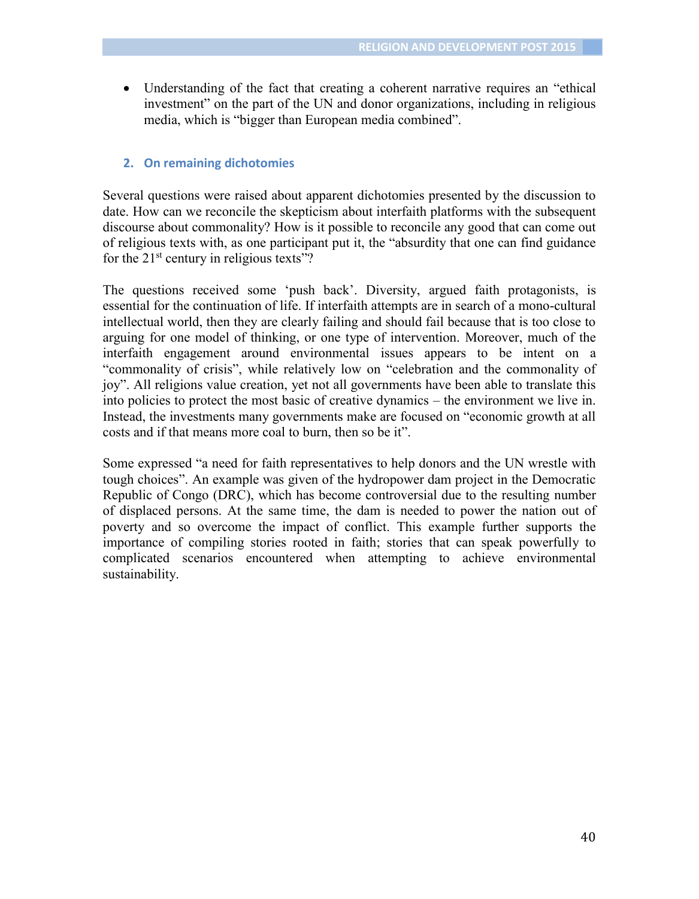Understanding of the fact that creating a coherent narrative requires an "ethical investment" on the part of the UN and donor organizations, including in religious media, which is "bigger than European media combined".

#### **2. On remaining dichotomies**

Several questions were raised about apparent dichotomies presented by the discussion to date. How can we reconcile the skepticism about interfaith platforms with the subsequent discourse about commonality? How is it possible to reconcile any good that can come out of religious texts with, as one participant put it, the "absurdity that one can find guidance for the  $21<sup>st</sup>$  century in religious texts"?

The questions received some 'push back'. Diversity, argued faith protagonists, is essential for the continuation of life. If interfaith attempts are in search of a mono-cultural intellectual world, then they are clearly failing and should fail because that is too close to arguing for one model of thinking, or one type of intervention. Moreover, much of the interfaith engagement around environmental issues appears to be intent on a "commonality of crisis", while relatively low on "celebration and the commonality of joy". All religions value creation, yet not all governments have been able to translate this into policies to protect the most basic of creative dynamics – the environment we live in. Instead, the investments many governments make are focused on "economic growth at all costs and if that means more coal to burn, then so be it".

Some expressed "a need for faith representatives to help donors and the UN wrestle with tough choices". An example was given of the hydropower dam project in the Democratic Republic of Congo (DRC), which has become controversial due to the resulting number of displaced persons. At the same time, the dam is needed to power the nation out of poverty and so overcome the impact of conflict. This example further supports the importance of compiling stories rooted in faith; stories that can speak powerfully to complicated scenarios encountered when attempting to achieve environmental sustainability.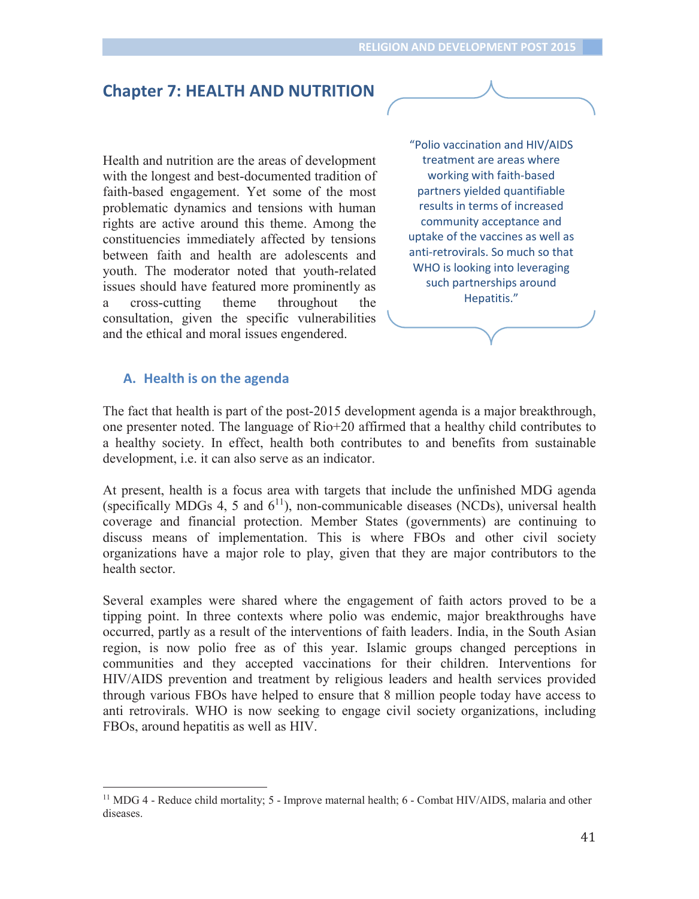# **Chapter 7: HEALTH AND NUTRITION**

Health and nutrition are the areas of development with the longest and best-documented tradition of faith-based engagement. Yet some of the most problematic dynamics and tensions with human rights are active around this theme. Among the constituencies immediately affected by tensions between faith and health are adolescents and youth. The moderator noted that youth-related issues should have featured more prominently as a cross-cutting theme throughout the consultation, given the specific vulnerabilities and the ethical and moral issues engendered.

"Polio vaccination and HIV/AIDS treatment are areas where working with faith-based partners yielded quantifiable results in terms of increased community acceptance and uptake of the vaccines as well as anti-retrovirals. So much so that WHO is looking into leveraging such partnerships around Hepatitis."

#### **A. Health is on the agenda**

The fact that health is part of the post-2015 development agenda is a major breakthrough, one presenter noted. The language of Rio+20 affirmed that a healthy child contributes to a healthy society. In effect, health both contributes to and benefits from sustainable development, i.e. it can also serve as an indicator.

At present, health is a focus area with targets that include the unfinished MDG agenda (specifically MDGs 4, 5 and  $6<sup>11</sup>$ ), non-communicable diseases (NCDs), universal health coverage and financial protection. Member States (governments) are continuing to discuss means of implementation. This is where FBOs and other civil society organizations have a major role to play, given that they are major contributors to the health sector.

Several examples were shared where the engagement of faith actors proved to be a tipping point. In three contexts where polio was endemic, major breakthroughs have occurred, partly as a result of the interventions of faith leaders. India, in the South Asian region, is now polio free as of this year. Islamic groups changed perceptions in communities and they accepted vaccinations for their children. Interventions for HIV/AIDS prevention and treatment by religious leaders and health services provided through various FBOs have helped to ensure that 8 million people today have access to anti retrovirals. WHO is now seeking to engage civil society organizations, including FBOs, around hepatitis as well as HIV.

 $11$  MDG 4 - Reduce child mortality; 5 - Improve maternal health; 6 - Combat HIV/AIDS, malaria and other diseases.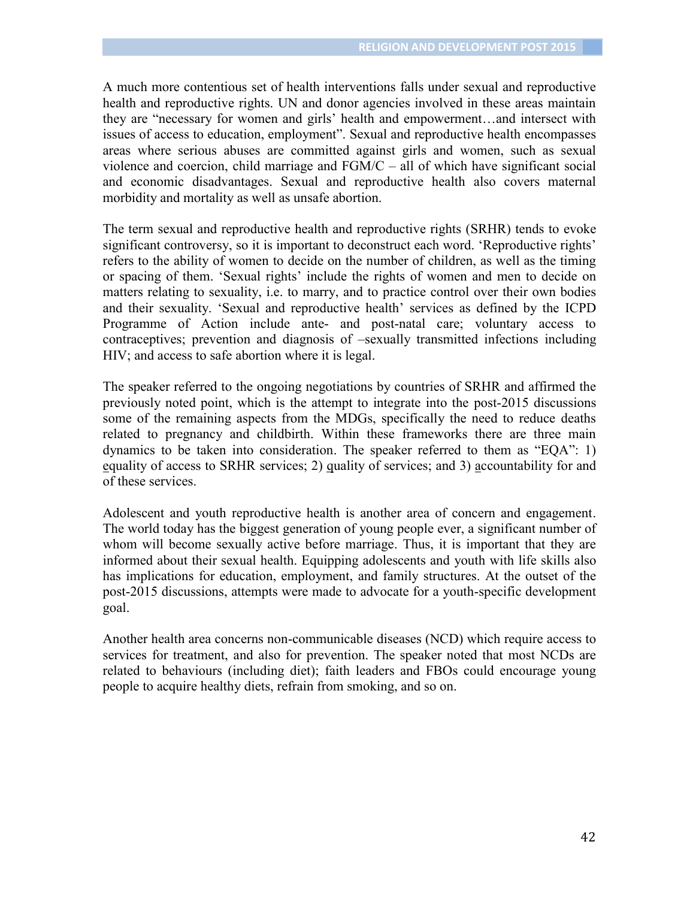A much more contentious set of health interventions falls under sexual and reproductive health and reproductive rights. UN and donor agencies involved in these areas maintain they are "necessary for women and girls' health and empowerment…and intersect with issues of access to education, employment". Sexual and reproductive health encompasses areas where serious abuses are committed against girls and women, such as sexual violence and coercion, child marriage and  $FGM/C - all$  of which have significant social and economic disadvantages. Sexual and reproductive health also covers maternal morbidity and mortality as well as unsafe abortion.

The term sexual and reproductive health and reproductive rights (SRHR) tends to evoke significant controversy, so it is important to deconstruct each word. 'Reproductive rights' refers to the ability of women to decide on the number of children, as well as the timing or spacing of them. 'Sexual rights' include the rights of women and men to decide on matters relating to sexuality, i.e. to marry, and to practice control over their own bodies and their sexuality. 'Sexual and reproductive health' services as defined by the ICPD Programme of Action include ante- and post-natal care; voluntary access to contraceptives; prevention and diagnosis of –sexually transmitted infections including HIV; and access to safe abortion where it is legal.

The speaker referred to the ongoing negotiations by countries of SRHR and affirmed the previously noted point, which is the attempt to integrate into the post-2015 discussions some of the remaining aspects from the MDGs, specifically the need to reduce deaths related to pregnancy and childbirth. Within these frameworks there are three main dynamics to be taken into consideration. The speaker referred to them as "EQA": 1) equality of access to SRHR services; 2) quality of services; and 3) accountability for and of these services.

Adolescent and youth reproductive health is another area of concern and engagement. The world today has the biggest generation of young people ever, a significant number of whom will become sexually active before marriage. Thus, it is important that they are informed about their sexual health. Equipping adolescents and youth with life skills also has implications for education, employment, and family structures. At the outset of the post-2015 discussions, attempts were made to advocate for a youth-specific development goal.

Another health area concerns non-communicable diseases (NCD) which require access to services for treatment, and also for prevention. The speaker noted that most NCDs are related to behaviours (including diet); faith leaders and FBOs could encourage young people to acquire healthy diets, refrain from smoking, and so on.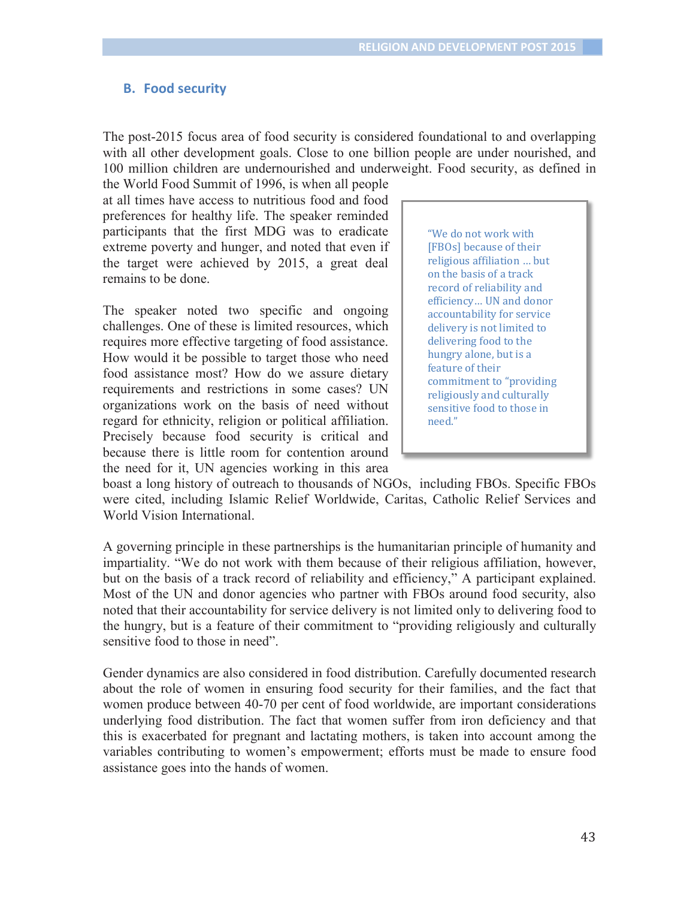### **B. Food security**

The post-2015 focus area of food security is considered foundational to and overlapping with all other development goals. Close to one billion people are under nourished, and 100 million children are undernourished and underweight. Food security, as defined in

the World Food Summit of 1996, is when all people at all times have access to nutritious food and food preferences for healthy life. The speaker reminded participants that the first MDG was to eradicate extreme poverty and hunger, and noted that even if the target were achieved by 2015, a great deal remains to be done.

The speaker noted two specific and ongoing challenges. One of these is limited resources, which requires more effective targeting of food assistance. How would it be possible to target those who need food assistance most? How do we assure dietary requirements and restrictions in some cases? UN organizations work on the basis of need without regard for ethnicity, religion or political affiliation. Precisely because food security is critical and because there is little room for contention around the need for it, UN agencies working in this area

"We do not work with [FBOs] because of their religious affiliation … but on the basis of a track record of reliability and efficiency… UN and donor accountability for service delivery is not limited to delivering food to the hungry alone, but is a feature of their commitment to "providing religiously and culturally sensitive food to those in need."

boast a long history of outreach to thousands of NGOs, including FBOs. Specific FBOs were cited, including Islamic Relief Worldwide, Caritas, Catholic Relief Services and World Vision International.

A governing principle in these partnerships is the humanitarian principle of humanity and impartiality. "We do not work with them because of their religious affiliation, however, but on the basis of a track record of reliability and efficiency," A participant explained. Most of the UN and donor agencies who partner with FBOs around food security, also noted that their accountability for service delivery is not limited only to delivering food to the hungry, but is a feature of their commitment to "providing religiously and culturally sensitive food to those in need".

Gender dynamics are also considered in food distribution. Carefully documented research about the role of women in ensuring food security for their families, and the fact that women produce between 40-70 per cent of food worldwide, are important considerations underlying food distribution. The fact that women suffer from iron deficiency and that this is exacerbated for pregnant and lactating mothers, is taken into account among the variables contributing to women's empowerment; efforts must be made to ensure food assistance goes into the hands of women.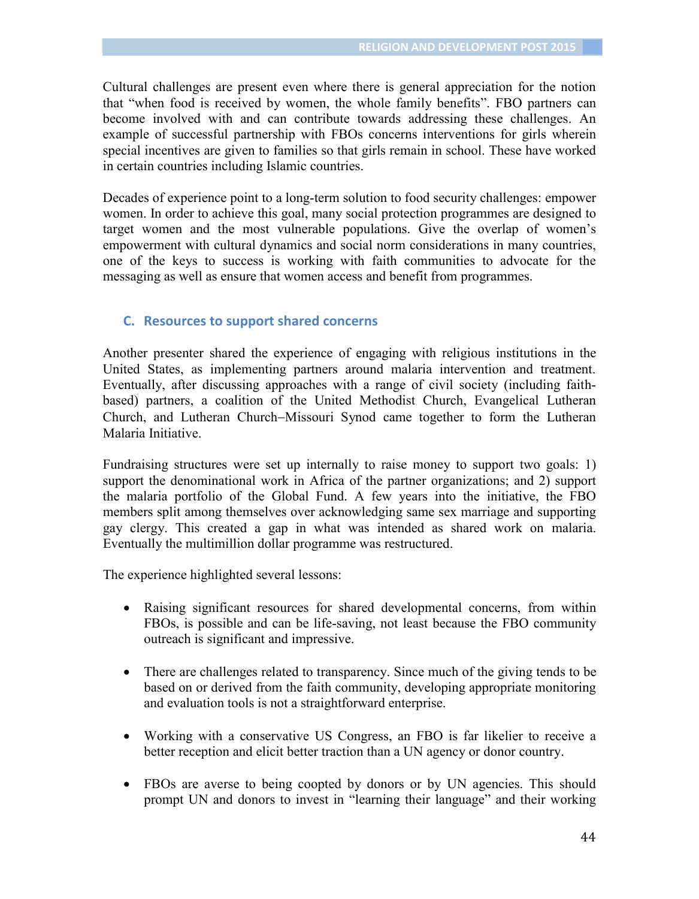Cultural challenges are present even where there is general appreciation for the notion that "when food is received by women, the whole family benefits". FBO partners can become involved with and can contribute towards addressing these challenges. An example of successful partnership with FBOs concerns interventions for girls wherein special incentives are given to families so that girls remain in school. These have worked in certain countries including Islamic countries.

Decades of experience point to a long-term solution to food security challenges: empower women. In order to achieve this goal, many social protection programmes are designed to target women and the most vulnerable populations. Give the overlap of women's empowerment with cultural dynamics and social norm considerations in many countries, one of the keys to success is working with faith communities to advocate for the messaging as well as ensure that women access and benefit from programmes.

#### **C. Resources to support shared concerns**

Another presenter shared the experience of engaging with religious institutions in the United States, as implementing partners around malaria intervention and treatment. Eventually, after discussing approaches with a range of civil society (including faithbased) partners, a coalition of the United Methodist Church, Evangelical Lutheran Church, and Lutheran Church–Missouri Synod came together to form the Lutheran Malaria Initiative.

Fundraising structures were set up internally to raise money to support two goals: 1) support the denominational work in Africa of the partner organizations; and 2) support the malaria portfolio of the Global Fund. A few years into the initiative, the FBO members split among themselves over acknowledging same sex marriage and supporting gay clergy. This created a gap in what was intended as shared work on malaria. Eventually the multimillion dollar programme was restructured.

The experience highlighted several lessons:

- Raising significant resources for shared developmental concerns, from within FBOs, is possible and can be life-saving, not least because the FBO community outreach is significant and impressive.
- There are challenges related to transparency. Since much of the giving tends to be based on or derived from the faith community, developing appropriate monitoring and evaluation tools is not a straightforward enterprise.
- Working with a conservative US Congress, an FBO is far likelier to receive a better reception and elicit better traction than a UN agency or donor country.
- FBOs are averse to being coopted by donors or by UN agencies. This should prompt UN and donors to invest in "learning their language" and their working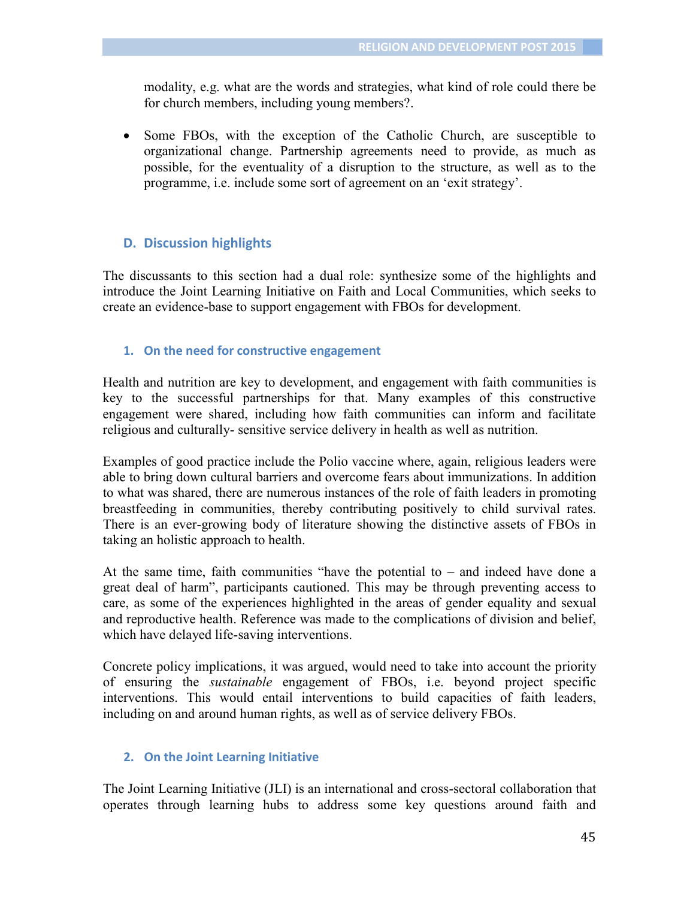modality, e.g. what are the words and strategies, what kind of role could there be for church members, including young members?.

 Some FBOs, with the exception of the Catholic Church, are susceptible to organizational change. Partnership agreements need to provide, as much as possible, for the eventuality of a disruption to the structure, as well as to the programme, i.e. include some sort of agreement on an 'exit strategy'.

# **D. Discussion highlights**

The discussants to this section had a dual role: synthesize some of the highlights and introduce the Joint Learning Initiative on Faith and Local Communities, which seeks to create an evidence-base to support engagement with FBOs for development.

# **1. On the need for constructive engagement**

Health and nutrition are key to development, and engagement with faith communities is key to the successful partnerships for that. Many examples of this constructive engagement were shared, including how faith communities can inform and facilitate religious and culturally- sensitive service delivery in health as well as nutrition.

Examples of good practice include the Polio vaccine where, again, religious leaders were able to bring down cultural barriers and overcome fears about immunizations. In addition to what was shared, there are numerous instances of the role of faith leaders in promoting breastfeeding in communities, thereby contributing positively to child survival rates. There is an ever-growing body of literature showing the distinctive assets of FBOs in taking an holistic approach to health.

At the same time, faith communities "have the potential to – and indeed have done a great deal of harm", participants cautioned. This may be through preventing access to care, as some of the experiences highlighted in the areas of gender equality and sexual and reproductive health. Reference was made to the complications of division and belief, which have delayed life-saving interventions.

Concrete policy implications, it was argued, would need to take into account the priority of ensuring the *sustainable* engagement of FBOs, i.e. beyond project specific interventions. This would entail interventions to build capacities of faith leaders, including on and around human rights, as well as of service delivery FBOs.

# **2. On the Joint Learning Initiative**

The Joint Learning Initiative (JLI) is an international and cross-sectoral collaboration that operates through learning hubs to address some key questions around faith and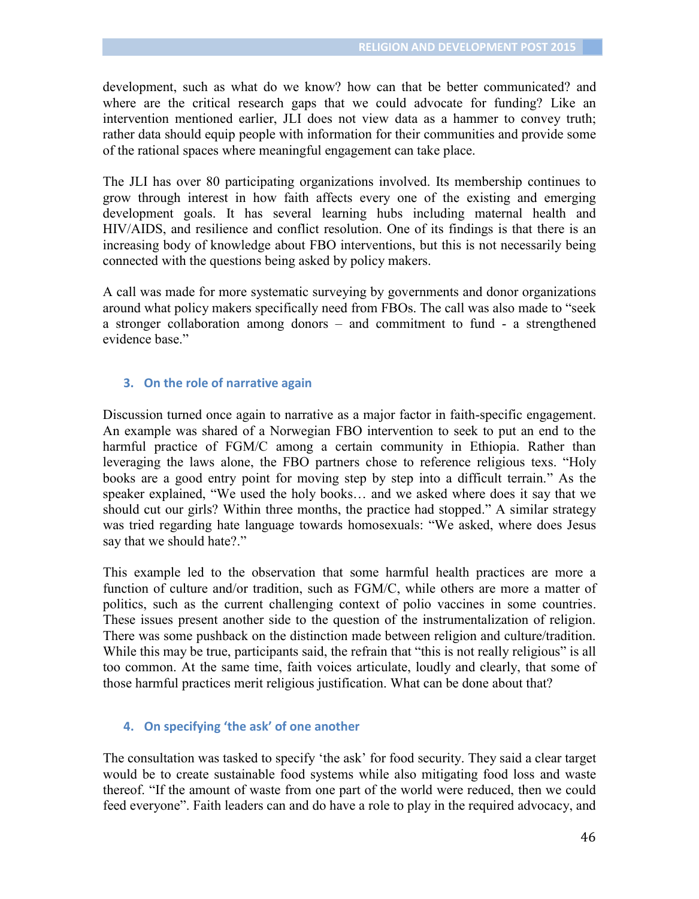development, such as what do we know? how can that be better communicated? and where are the critical research gaps that we could advocate for funding? Like an intervention mentioned earlier, JLI does not view data as a hammer to convey truth; rather data should equip people with information for their communities and provide some of the rational spaces where meaningful engagement can take place.

The JLI has over 80 participating organizations involved. Its membership continues to grow through interest in how faith affects every one of the existing and emerging development goals. It has several learning hubs including maternal health and HIV/AIDS, and resilience and conflict resolution. One of its findings is that there is an increasing body of knowledge about FBO interventions, but this is not necessarily being connected with the questions being asked by policy makers.

A call was made for more systematic surveying by governments and donor organizations around what policy makers specifically need from FBOs. The call was also made to "seek a stronger collaboration among donors – and commitment to fund - a strengthened evidence base."

#### **3. On the role of narrative again**

Discussion turned once again to narrative as a major factor in faith-specific engagement. An example was shared of a Norwegian FBO intervention to seek to put an end to the harmful practice of FGM/C among a certain community in Ethiopia. Rather than leveraging the laws alone, the FBO partners chose to reference religious texs. "Holy books are a good entry point for moving step by step into a difficult terrain." As the speaker explained, "We used the holy books… and we asked where does it say that we should cut our girls? Within three months, the practice had stopped." A similar strategy was tried regarding hate language towards homosexuals: "We asked, where does Jesus say that we should hate?."

This example led to the observation that some harmful health practices are more a function of culture and/or tradition, such as FGM/C, while others are more a matter of politics, such as the current challenging context of polio vaccines in some countries. These issues present another side to the question of the instrumentalization of religion. There was some pushback on the distinction made between religion and culture/tradition. While this may be true, participants said, the refrain that "this is not really religious" is all too common. At the same time, faith voices articulate, loudly and clearly, that some of those harmful practices merit religious justification. What can be done about that?

#### **4. On specifying 'the ask' of one another**

The consultation was tasked to specify 'the ask' for food security. They said a clear target would be to create sustainable food systems while also mitigating food loss and waste thereof. "If the amount of waste from one part of the world were reduced, then we could feed everyone". Faith leaders can and do have a role to play in the required advocacy, and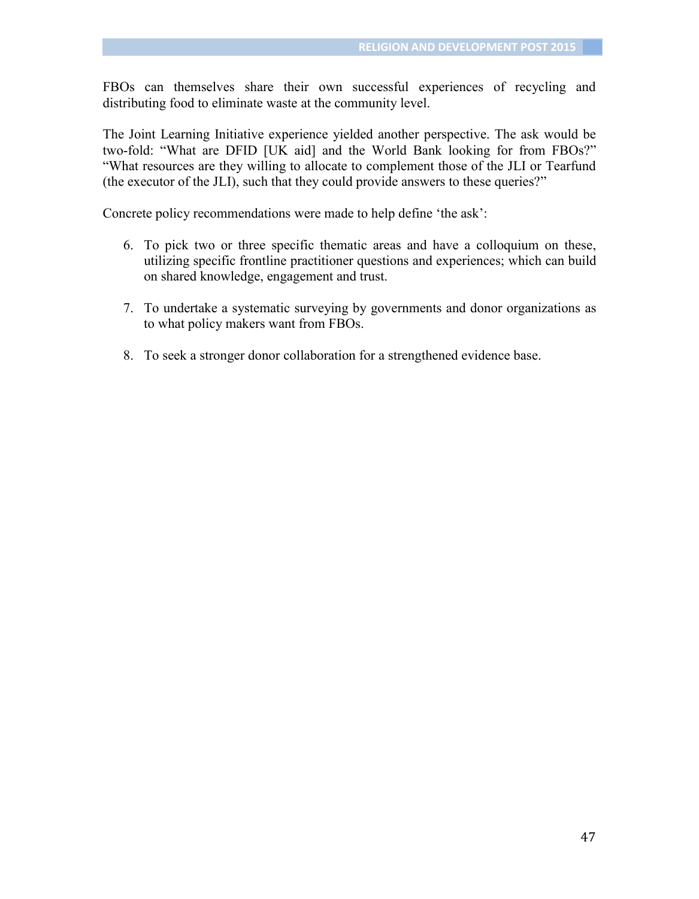FBOs can themselves share their own successful experiences of recycling and distributing food to eliminate waste at the community level.

The Joint Learning Initiative experience yielded another perspective. The ask would be two-fold: "What are DFID [UK aid] and the World Bank looking for from FBOs?" "What resources are they willing to allocate to complement those of the JLI or Tearfund (the executor of the JLI), such that they could provide answers to these queries?"

Concrete policy recommendations were made to help define 'the ask':

- 6. To pick two or three specific thematic areas and have a colloquium on these, utilizing specific frontline practitioner questions and experiences; which can build on shared knowledge, engagement and trust.
- 7. To undertake a systematic surveying by governments and donor organizations as to what policy makers want from FBOs.
- 8. To seek a stronger donor collaboration for a strengthened evidence base.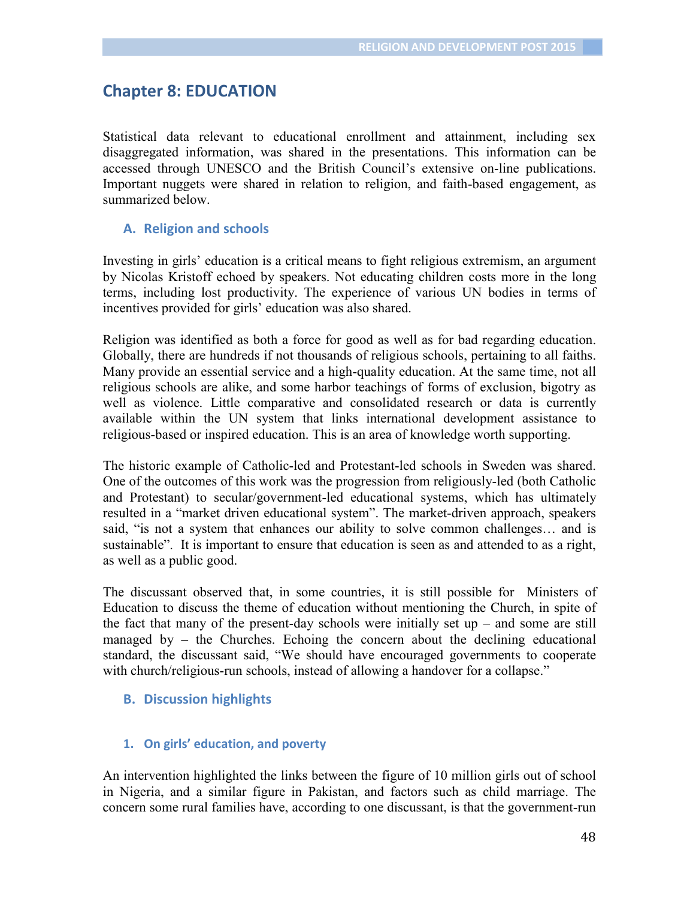# **Chapter 8: EDUCATION**

Statistical data relevant to educational enrollment and attainment, including sex disaggregated information, was shared in the presentations. This information can be accessed through UNESCO and the British Council's extensive on-line publications. Important nuggets were shared in relation to religion, and faith-based engagement, as summarized below.

### **A. Religion and schools**

Investing in girls' education is a critical means to fight religious extremism, an argument by Nicolas Kristoff echoed by speakers. Not educating children costs more in the long terms, including lost productivity. The experience of various UN bodies in terms of incentives provided for girls' education was also shared.

Religion was identified as both a force for good as well as for bad regarding education. Globally, there are hundreds if not thousands of religious schools, pertaining to all faiths. Many provide an essential service and a high-quality education. At the same time, not all religious schools are alike, and some harbor teachings of forms of exclusion, bigotry as well as violence. Little comparative and consolidated research or data is currently available within the UN system that links international development assistance to religious-based or inspired education. This is an area of knowledge worth supporting.

The historic example of Catholic-led and Protestant-led schools in Sweden was shared. One of the outcomes of this work was the progression from religiously-led (both Catholic and Protestant) to secular/government-led educational systems, which has ultimately resulted in a "market driven educational system". The market-driven approach, speakers said, "is not a system that enhances our ability to solve common challenges… and is sustainable". It is important to ensure that education is seen as and attended to as a right, as well as a public good.

The discussant observed that, in some countries, it is still possible for Ministers of Education to discuss the theme of education without mentioning the Church, in spite of the fact that many of the present-day schools were initially set  $up$  – and some are still managed by – the Churches. Echoing the concern about the declining educational standard, the discussant said, "We should have encouraged governments to cooperate with church/religious-run schools, instead of allowing a handover for a collapse."

# **B. Discussion highlights**

#### **1. On girls' education, and poverty**

An intervention highlighted the links between the figure of 10 million girls out of school in Nigeria, and a similar figure in Pakistan, and factors such as child marriage. The concern some rural families have, according to one discussant, is that the government-run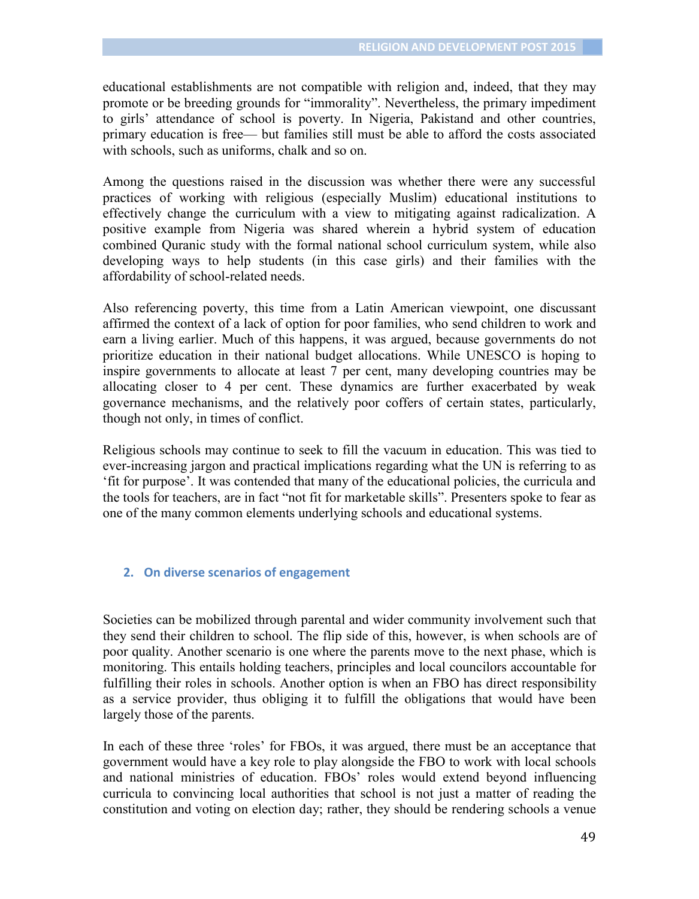educational establishments are not compatible with religion and, indeed, that they may promote or be breeding grounds for "immorality". Nevertheless, the primary impediment to girls' attendance of school is poverty. In Nigeria, Pakistand and other countries, primary education is free— but families still must be able to afford the costs associated with schools, such as uniforms, chalk and so on.

Among the questions raised in the discussion was whether there were any successful practices of working with religious (especially Muslim) educational institutions to effectively change the curriculum with a view to mitigating against radicalization. A positive example from Nigeria was shared wherein a hybrid system of education combined Quranic study with the formal national school curriculum system, while also developing ways to help students (in this case girls) and their families with the affordability of school-related needs.

Also referencing poverty, this time from a Latin American viewpoint, one discussant affirmed the context of a lack of option for poor families, who send children to work and earn a living earlier. Much of this happens, it was argued, because governments do not prioritize education in their national budget allocations. While UNESCO is hoping to inspire governments to allocate at least 7 per cent, many developing countries may be allocating closer to 4 per cent. These dynamics are further exacerbated by weak governance mechanisms, and the relatively poor coffers of certain states, particularly, though not only, in times of conflict.

Religious schools may continue to seek to fill the vacuum in education. This was tied to ever-increasing jargon and practical implications regarding what the UN is referring to as 'fit for purpose'. It was contended that many of the educational policies, the curricula and the tools for teachers, are in fact "not fit for marketable skills". Presenters spoke to fear as one of the many common elements underlying schools and educational systems.

#### **2. On diverse scenarios of engagement**

Societies can be mobilized through parental and wider community involvement such that they send their children to school. The flip side of this, however, is when schools are of poor quality. Another scenario is one where the parents move to the next phase, which is monitoring. This entails holding teachers, principles and local councilors accountable for fulfilling their roles in schools. Another option is when an FBO has direct responsibility as a service provider, thus obliging it to fulfill the obligations that would have been largely those of the parents.

In each of these three 'roles' for FBOs, it was argued, there must be an acceptance that government would have a key role to play alongside the FBO to work with local schools and national ministries of education. FBOs' roles would extend beyond influencing curricula to convincing local authorities that school is not just a matter of reading the constitution and voting on election day; rather, they should be rendering schools a venue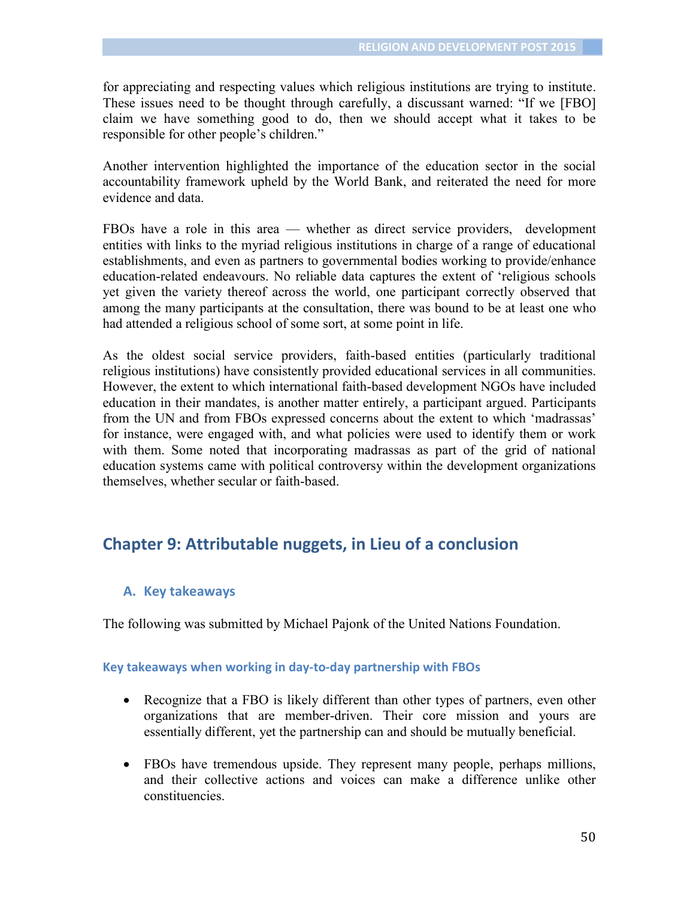for appreciating and respecting values which religious institutions are trying to institute. These issues need to be thought through carefully, a discussant warned: "If we [FBO] claim we have something good to do, then we should accept what it takes to be responsible for other people's children."

Another intervention highlighted the importance of the education sector in the social accountability framework upheld by the World Bank, and reiterated the need for more evidence and data.

FBOs have a role in this area — whether as direct service providers, development entities with links to the myriad religious institutions in charge of a range of educational establishments, and even as partners to governmental bodies working to provide/enhance education-related endeavours. No reliable data captures the extent of 'religious schools yet given the variety thereof across the world, one participant correctly observed that among the many participants at the consultation, there was bound to be at least one who had attended a religious school of some sort, at some point in life.

As the oldest social service providers, faith-based entities (particularly traditional religious institutions) have consistently provided educational services in all communities. However, the extent to which international faith-based development NGOs have included education in their mandates, is another matter entirely, a participant argued. Participants from the UN and from FBOs expressed concerns about the extent to which 'madrassas' for instance, were engaged with, and what policies were used to identify them or work with them. Some noted that incorporating madrassas as part of the grid of national education systems came with political controversy within the development organizations themselves, whether secular or faith-based.

# **Chapter 9: Attributable nuggets, in Lieu of a conclusion**

# **A. Key takeaways**

The following was submitted by Michael Pajonk of the United Nations Foundation.

#### **Key takeaways when working in day-to-day partnership with FBOs**

- Recognize that a FBO is likely different than other types of partners, even other organizations that are member-driven. Their core mission and yours are essentially different, yet the partnership can and should be mutually beneficial.
- FBOs have tremendous upside. They represent many people, perhaps millions, and their collective actions and voices can make a difference unlike other constituencies.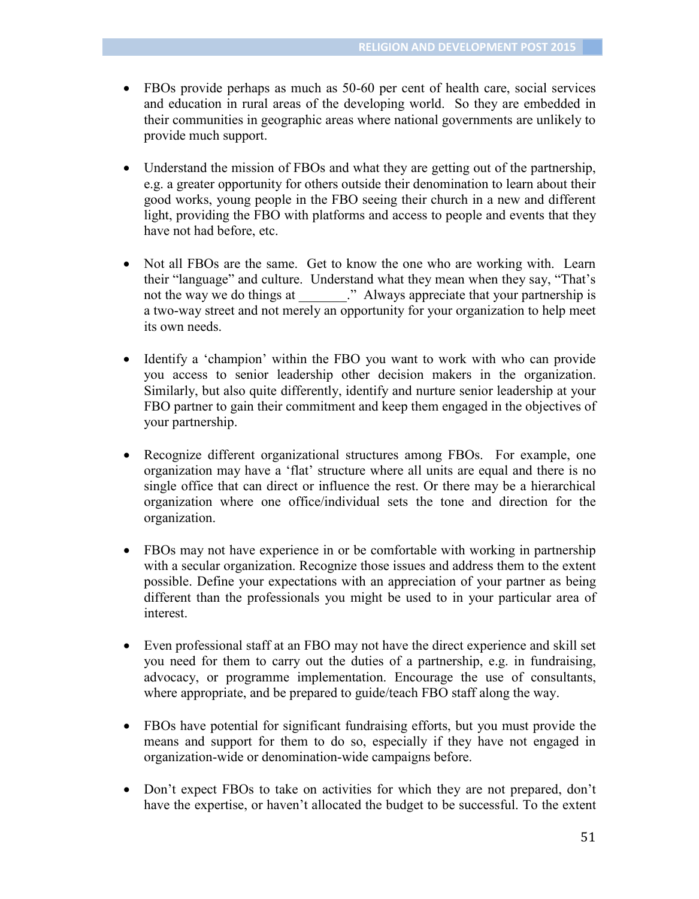- FBOs provide perhaps as much as 50-60 per cent of health care, social services and education in rural areas of the developing world. So they are embedded in their communities in geographic areas where national governments are unlikely to provide much support.
- Understand the mission of FBOs and what they are getting out of the partnership, e.g. a greater opportunity for others outside their denomination to learn about their good works, young people in the FBO seeing their church in a new and different light, providing the FBO with platforms and access to people and events that they have not had before, etc.
- Not all FBOs are the same. Get to know the one who are working with. Learn their "language" and culture. Understand what they mean when they say, "That's not the way we do things at \_\_\_\_\_\_\_." Always appreciate that your partnership is a two-way street and not merely an opportunity for your organization to help meet its own needs.
- Identify a 'champion' within the FBO you want to work with who can provide you access to senior leadership other decision makers in the organization. Similarly, but also quite differently, identify and nurture senior leadership at your FBO partner to gain their commitment and keep them engaged in the objectives of your partnership.
- Recognize different organizational structures among FBOs. For example, one organization may have a 'flat' structure where all units are equal and there is no single office that can direct or influence the rest. Or there may be a hierarchical organization where one office/individual sets the tone and direction for the organization.
- FBOs may not have experience in or be comfortable with working in partnership with a secular organization. Recognize those issues and address them to the extent possible. Define your expectations with an appreciation of your partner as being different than the professionals you might be used to in your particular area of interest.
- Even professional staff at an FBO may not have the direct experience and skill set you need for them to carry out the duties of a partnership, e.g. in fundraising, advocacy, or programme implementation. Encourage the use of consultants, where appropriate, and be prepared to guide/teach FBO staff along the way.
- FBOs have potential for significant fundraising efforts, but you must provide the means and support for them to do so, especially if they have not engaged in organization-wide or denomination-wide campaigns before.
- Don't expect FBOs to take on activities for which they are not prepared, don't have the expertise, or haven't allocated the budget to be successful. To the extent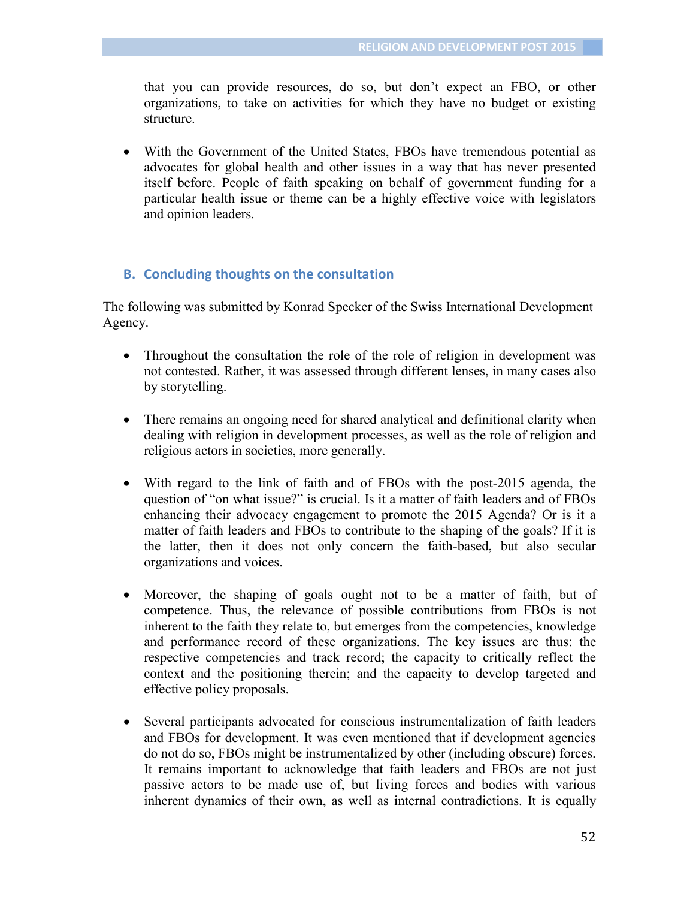that you can provide resources, do so, but don't expect an FBO, or other organizations, to take on activities for which they have no budget or existing structure.

 With the Government of the United States, FBOs have tremendous potential as advocates for global health and other issues in a way that has never presented itself before. People of faith speaking on behalf of government funding for a particular health issue or theme can be a highly effective voice with legislators and opinion leaders.

# **B. Concluding thoughts on the consultation**

The following was submitted by Konrad Specker of the Swiss International Development Agency.

- Throughout the consultation the role of the role of religion in development was not contested. Rather, it was assessed through different lenses, in many cases also by storytelling.
- There remains an ongoing need for shared analytical and definitional clarity when dealing with religion in development processes, as well as the role of religion and religious actors in societies, more generally.
- With regard to the link of faith and of FBOs with the post-2015 agenda, the question of "on what issue?" is crucial. Is it a matter of faith leaders and of FBOs enhancing their advocacy engagement to promote the 2015 Agenda? Or is it a matter of faith leaders and FBOs to contribute to the shaping of the goals? If it is the latter, then it does not only concern the faith-based, but also secular organizations and voices.
- Moreover, the shaping of goals ought not to be a matter of faith, but of competence. Thus, the relevance of possible contributions from FBOs is not inherent to the faith they relate to, but emerges from the competencies, knowledge and performance record of these organizations. The key issues are thus: the respective competencies and track record; the capacity to critically reflect the context and the positioning therein; and the capacity to develop targeted and effective policy proposals.
- Several participants advocated for conscious instrumentalization of faith leaders and FBOs for development. It was even mentioned that if development agencies do not do so, FBOs might be instrumentalized by other (including obscure) forces. It remains important to acknowledge that faith leaders and FBOs are not just passive actors to be made use of, but living forces and bodies with various inherent dynamics of their own, as well as internal contradictions. It is equally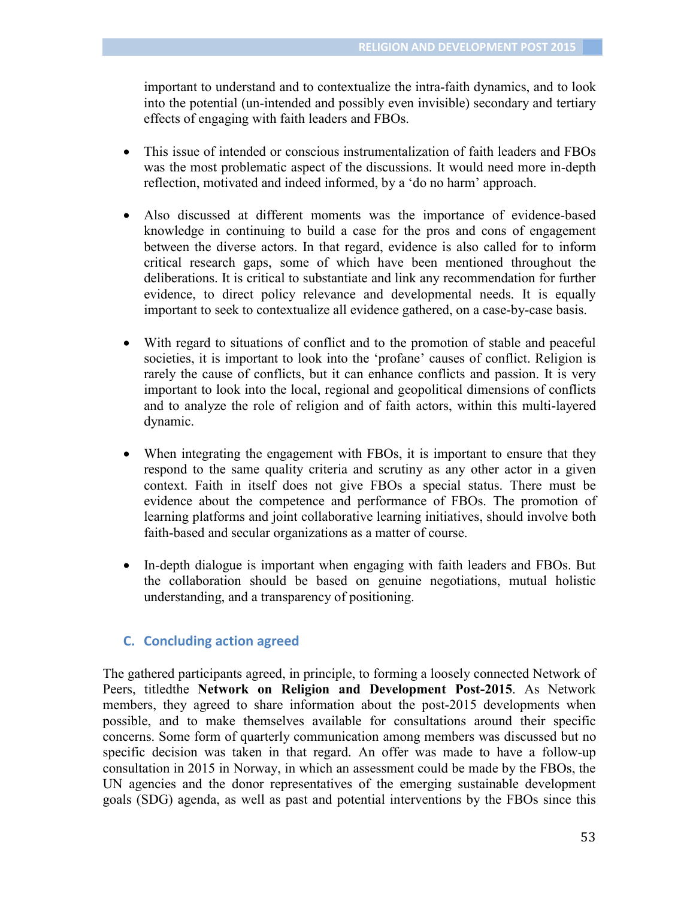important to understand and to contextualize the intra-faith dynamics, and to look into the potential (un-intended and possibly even invisible) secondary and tertiary effects of engaging with faith leaders and FBOs.

- This issue of intended or conscious instrumentalization of faith leaders and FBOs was the most problematic aspect of the discussions. It would need more in-depth reflection, motivated and indeed informed, by a 'do no harm' approach.
- Also discussed at different moments was the importance of evidence-based knowledge in continuing to build a case for the pros and cons of engagement between the diverse actors. In that regard, evidence is also called for to inform critical research gaps, some of which have been mentioned throughout the deliberations. It is critical to substantiate and link any recommendation for further evidence, to direct policy relevance and developmental needs. It is equally important to seek to contextualize all evidence gathered, on a case-by-case basis.
- With regard to situations of conflict and to the promotion of stable and peaceful societies, it is important to look into the 'profane' causes of conflict. Religion is rarely the cause of conflicts, but it can enhance conflicts and passion. It is very important to look into the local, regional and geopolitical dimensions of conflicts and to analyze the role of religion and of faith actors, within this multi-layered dynamic.
- When integrating the engagement with FBOs, it is important to ensure that they respond to the same quality criteria and scrutiny as any other actor in a given context. Faith in itself does not give FBOs a special status. There must be evidence about the competence and performance of FBOs. The promotion of learning platforms and joint collaborative learning initiatives, should involve both faith-based and secular organizations as a matter of course.
- In-depth dialogue is important when engaging with faith leaders and FBOs. But the collaboration should be based on genuine negotiations, mutual holistic understanding, and a transparency of positioning.

#### **C. Concluding action agreed**

The gathered participants agreed, in principle, to forming a loosely connected Network of Peers, titledthe **Network on Religion and Development Post-2015**. As Network members, they agreed to share information about the post-2015 developments when possible, and to make themselves available for consultations around their specific concerns. Some form of quarterly communication among members was discussed but no specific decision was taken in that regard. An offer was made to have a follow-up consultation in 2015 in Norway, in which an assessment could be made by the FBOs, the UN agencies and the donor representatives of the emerging sustainable development goals (SDG) agenda, as well as past and potential interventions by the FBOs since this